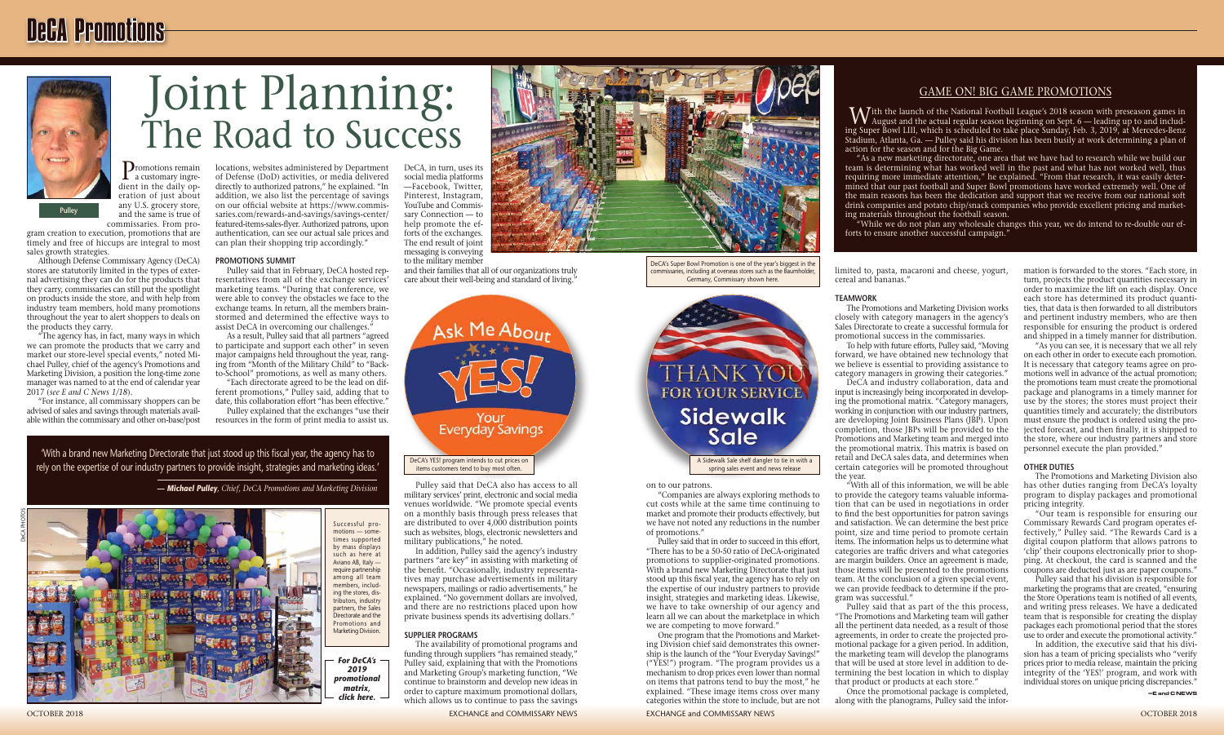mation is forwarded to the stores. "Each store, in turn, projects the product quantities necessary in order to maximize the lift on each display. Once each store has determined its product quantities, that data is then forwarded to all distributors and pertinent industry members, who are then responsible for ensuring the product is ordered and shipped in a timely manner for distribution.

"As you can see, it is necessary that we all rely on each other in order to execute each promotion. It is necessary that category teams agree on promotions well in advance of the actual promotion; the promotions team must create the promotional package and planograms in a timely manner for use by the stores; the stores must project their quantities timely and accurately; the distributors must ensure the product is ordered using the projected forecast, and then finally, it is shipped to the store, where our industry partners and store personnel execute the plan provided."

#### **OTHER DUTIES**

The Promotions and Marketing Division also has other duties ranging from DeCA's loyalty program to display packages and promotional pricing integrity.

"Our team is responsible for ensuring our Commissary Rewards Card program operates effectively," Pulley said. "The Rewards Card is a digital coupon platform that allows patrons to 'clip' their coupons electronically prior to shopping. At checkout, the card is scanned and the coupons are deducted just as are paper coupons."

Pulley said that his division is responsible for marketing the programs that are created, "ensuring the Store Operations team is notified of all events, and writing press releases. We have a dedicated team that is responsible for creating the display packages each promotional period that the stores use to order and execute the promotional activity."

In addition, the executive said that his division has a team of pricing specialists who "verify prices prior to media release, maintain the pricing integrity of the 'YES!' program, and work with individual stores on unique pricing discrepancies."

on to our patrons.

"Companies are always exploring methods to cut costs while at the same time continuing to market and promote their products effectively, but we have not noted any reductions in the number of promotions."

Pulley said that in order to succeed in this effort, "There has to be a 50-50 ratio of DeCA-originated promotions to supplier-originated promotions. With a brand new Marketing Directorate that just stood up this fiscal year, the agency has to rely on the expertise of our industry partners to provide insight, strategies and marketing ideas. Likewise, we have to take ownership of our agency and learn all we can about the marketplace in which we are competing to move forward."

and their families that all of our organizations truly care about their well-being and standard of living.<sup>7</sup>

> One program that the Promotions and Marketing Division chief said demonstrates this ownership is the launch of the "Your Everyday Savings!" ("YES!") program. "The program provides us a mechanism to drop prices even lower than normal on items that patrons tend to buy the most," he explained. "These image items cross over many categories within the store to include, but are not



The availability of promotional programs and funding through suppliers "has remained steady," Pulley said, explaining that with the Promotions and Marketing Group's marketing function, "We continue to brainstorm and develop new ideas in order to capture maximum promotional dollars, which allows us to continue to pass the savings

limited to, pasta, macaroni and cheese, yogurt, cereal and bananas."

#### **TEAMWORK**

The Promotions and Marketing Division works closely with category managers in the agency's Sales Directorate to create a successful formula for promotional success in the commissaries.

Promotions remain<br>a customary ingredient in the daily operation of just about any U.S. grocery store, and the same is true of

> To help with future efforts, Pulley said, "Moving forward, we have obtained new technology that we believe is essential to providing assistance to category managers in growing their categories."

> DeCA and industry collaboration, data and input is increasingly being incorporated in developing the promotional matrix. "Category managers, working in conjunction with our industry partners, are developing Joint Business Plans (JBP). Upon completion, those JBPs will be provided to the Promotions and Marketing team and merged into the promotional matrix. This matrix is based on retail and DeCA sales data, and determines when certain categories will be promoted throughout the year.

Pulley said that in February, DeCA hosted representatives from all of the exchange services' marketing teams. "During that conference, we were able to convey the obstacles we face to the exchange teams. In return, all the members brainstormed and determined the effective ways to assist DeCA in overcoming our challenges.<sup>5</sup>

> "With all of this information, we will be able to provide the category teams valuable information that can be used in negotiations in order to find the best opportunities for patron savings and satisfaction. We can determine the best price point, size and time period to promote certain items. The information helps us to determine what categories are traffic drivers and what categories are margin builders. Once an agreement is made, those items will be presented to the promotions team. At the conclusion of a given special event, we can provide feedback to determine if the program was successful."

'With a brand new Marketing Directorate that just stood up this fiscal year, the agency has to rely on the expertise of our industry partners to provide insight, strategies and marketing ideas.

> Pulley said that as part of the this process, "The Promotions and Marketing team will gather all the pertinent data needed, as a result of those agreements, in order to create the projected promotional package for a given period. In addition, the marketing team will develop the planograms that will be used at store level in addition to determining the best location in which to display that product or products at each store."

With the launch of the National Football League's 2018 season with preseason games in August and the actual regular season beginning on Sept. 6 — leading up to and including Super Bowl LIII, which is scheduled to take place Sunday, Feb. 3, 2019, at Mercedes-Benz Stadium, Atlanta, Ga. — Pulley said his division has been busily at work determining a plan of action for the season and for the Big Game.

Once the promotional package is completed, along with the planograms, Pulley said the infor-

DeCA, in turn, uses its

social media platforms —Facebook, Twitter, Pinterest, Instagram, YouTube and Commissary Connection — to help promote the efforts of the exchanges. The end result of joint messaging is conveying to the military member

Pulley said that DeCA also has access to all military services' print, electronic and social media venues worldwide. "We promote special events on a monthly basis through press releases that are distributed to over 4,000 distribution points such as websites, blogs, electronic newsletters and military publications," he noted.

In addition, Pulley said the agency's industry partners "are key" in assisting with marketing of the benefit. "Occasionally, industry representatives may purchase advertisements in military newspapers, mailings or radio advertisements," he explained. "No government dollars are involved, and there are no restrictions placed upon how private business spends its advertising dollars."

#### **SUPPLIER PROGRAMS**

gram creation to execution, promotions that are timely and free of hiccups are integral to most sales growth strategies.

Although Defense Commissary Agency (DeCA) stores are statutorily limited in the types of external advertising they can do for the products that they carry, commissaries can still put the spotlight on products inside the store, and with help from industry team members, hold many promotions throughout the year to alert shoppers to deals on the products they carry.

"The agency has, in fact, many ways in which we can promote the products that we carry and market our store-level special events," noted Michael Pulley, chief of the agency's Promotions and Marketing Division, a position the long-time zone manager was named to at the end of calendar year 2017 (*see E and C News 1/18*).

"For instance, all commissary shoppers can be advised of sales and savings through materials available within the commissary and other on-base/post

commissaries. From pro-**Pulley**

locations, websites administered by Department of Defense (DoD) activities, or media delivered directly to authorized patrons," he explained. "In addition, we also list the percentage of savings on our official website at https://www.commissaries.com/rewards-and-savings/savings-center/ featured-items-sales-flyer. Authorized patrons, upon authentication, can see our actual sale prices and can plan their shopping trip accordingly."

#### **PROMOTIONS SUMMIT**

As a result, Pulley said that all partners "agreed to participate and support each other" in seven major campaigns held throughout the year, ranging from "Month of the Military Child" to "Backto-School" promotions, as well as many others.

"Each directorate agreed to be the lead on different promotions," Pulley said, adding that to date, this collaboration effort "has been effective."

Pulley explained that the exchanges "use their resources in the form of print media to assist us.



*— Michael Pulley, Chief, DeCA Promotions and Marketing Division*

### GAME ON! BIG GAME PROMOTIONS



"As a new marketing directorate, one area that we have had to research while we build our team is determining what has worked well in the past and what has not worked well, thus requiring more immediate attention," he explained. "From that research, it was easily determined that our past football and Super Bowl promotions have worked extremely well. One of the main reasons has been the dedication and support that we receive from our national soft drink companies and potato chip/snack companies who provide excellent pricing and marketing materials throughout the football season.

"While we do not plan any wholesale changes this year, we do intend to re-double our efforts to ensure another successful campaign."

# Joint Planning: The Road to Success





spring sales event and news release

## DeCA Promotions

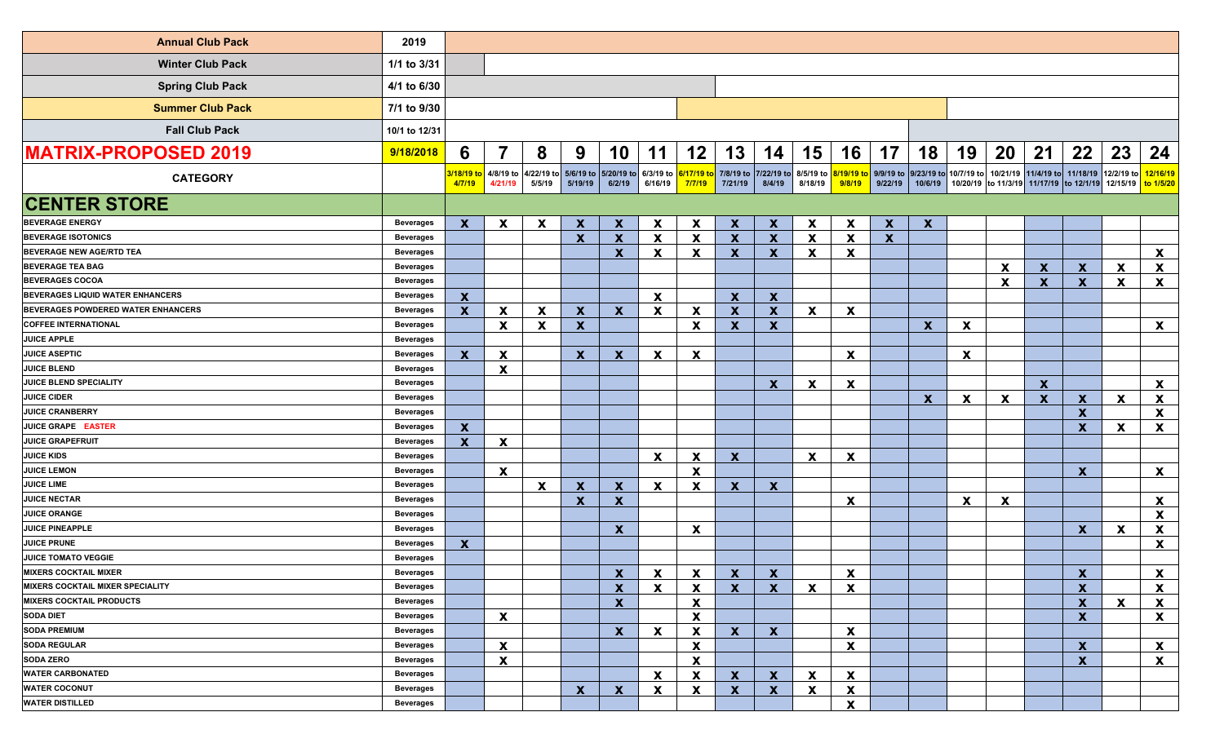<span id="page-1-0"></span>

| <b>Annual Club Pack</b>                 | 2019             |                           |                                              |                           |                           |                                |                           |                           |                           |                           |                           |                           |                      |                                  |    |                                         |                           |                                         |                    |                                          |
|-----------------------------------------|------------------|---------------------------|----------------------------------------------|---------------------------|---------------------------|--------------------------------|---------------------------|---------------------------|---------------------------|---------------------------|---------------------------|---------------------------|----------------------|----------------------------------|----|-----------------------------------------|---------------------------|-----------------------------------------|--------------------|------------------------------------------|
| <b>Winter Club Pack</b>                 | 1/1 to 3/31      |                           |                                              |                           |                           |                                |                           |                           |                           |                           |                           |                           |                      |                                  |    |                                         |                           |                                         |                    |                                          |
| <b>Spring Club Pack</b>                 | 4/1 to 6/30      |                           |                                              |                           |                           |                                |                           |                           |                           |                           |                           |                           |                      |                                  |    |                                         |                           |                                         |                    |                                          |
| <b>Summer Club Pack</b>                 | 7/1 to 9/30      |                           |                                              |                           |                           |                                |                           |                           |                           |                           |                           |                           |                      |                                  |    |                                         |                           |                                         |                    |                                          |
| <b>Fall Club Pack</b>                   | 10/1 to 12/31    |                           |                                              |                           |                           |                                |                           |                           |                           |                           |                           |                           |                      |                                  |    |                                         |                           |                                         |                    |                                          |
| <b>MATRIX-PROPOSED 2019</b>             | 9/18/2018        | 6                         | 7                                            | 8                         | 9                         | 10                             | 11                        | 12                        | 13                        | 14                        | 15                        | 16                        | 17                   | 18                               | 19 | 20                                      | 21                        | 22                                      | 23                 | 24                                       |
| <b>CATEGORY</b>                         |                  | 4/7/19                    | <mark>3/18/19 to</mark> 4/8/19 to<br>4/21/19 | 4/22/19 to<br>5/5/19      | 5/6/19 to<br>5/19/19      | 5/20/19 to 6/3/19 to<br>6/2/19 | 6/16/19                   | 6/17/19<br>7/7/19         | 7/8/19 to<br>7/21/19      | 7/22/19 to<br>8/4/19      | 8/5/19 to<br>8/18/19      | 9/8/19                    | 9/9/19 to<br>9/22/19 | 9/23/19 to 10/7/19 to<br>10/6/19 |    | 10/20/19 to 11/3/19 11/17/19 to 12/1/19 |                           | 10/21/19 11/4/19 to 11/18/19 12/2/19 to | 12/15/19 to 1/5/20 | 12/16/19                                 |
| <b>CENTER STORE</b>                     |                  |                           |                                              |                           |                           |                                |                           |                           |                           |                           |                           |                           |                      |                                  |    |                                         |                           |                                         |                    |                                          |
| <b>BEVERAGE ENERGY</b>                  | <b>Beverages</b> | $\boldsymbol{\mathsf{x}}$ | X                                            | X                         | $\boldsymbol{\mathsf{x}}$ | $\mathbf x$                    | $\mathbf{x}$              | $\boldsymbol{\mathsf{x}}$ | $\mathbf{x}$              | $\mathbf x$               | $\boldsymbol{\mathsf{x}}$ | $\boldsymbol{\mathsf{X}}$ | $\mathbf{x}$         | $\mathbf{x}$                     |    |                                         |                           |                                         |                    |                                          |
| <b>BEVERAGE ISOTONICS</b>               | <b>Beverages</b> |                           |                                              |                           | $\mathbf{x}$              | $\boldsymbol{\mathsf{x}}$      | $\boldsymbol{\mathsf{x}}$ | $\boldsymbol{\mathsf{x}}$ | $\mathbf{x}$              | $\mathbf x$               | $\mathbf{x}$              | X                         | $\mathbf{x}$         |                                  |    |                                         |                           |                                         |                    |                                          |
| <b>BEVERAGE NEW AGE/RTD TEA</b>         | <b>Beverages</b> |                           |                                              |                           |                           | $\mathbf x$                    | X                         | $\boldsymbol{\mathsf{x}}$ | $\mathbf{x}$              | $\mathbf x$               | $\boldsymbol{\mathsf{x}}$ | $\boldsymbol{\mathsf{x}}$ |                      |                                  |    |                                         |                           |                                         |                    | $\mathbf{x}$                             |
| <b>BEVERAGE TEA BAG</b>                 | <b>Beverages</b> |                           |                                              |                           |                           |                                |                           |                           |                           |                           |                           |                           |                      |                                  |    | $\boldsymbol{\mathsf{x}}$               | $\mathbf{x}$              | $\mathbf{x}$                            | X                  | $\mathbf{x}$                             |
| <b>BEVERAGES COCOA</b>                  | <b>Beverages</b> |                           |                                              |                           |                           |                                |                           |                           |                           |                           |                           |                           |                      |                                  |    | $\boldsymbol{\mathsf{x}}$               | $\mathbf{x}$              | $\mathbf{x}$                            | X                  | $\mathbf{x}$                             |
| BEVERAGES LIQUID WATER ENHANCERS        | <b>Beverages</b> | $\mathbf{x}$              |                                              |                           |                           |                                | $\mathbf{x}$              |                           | $\mathbf{x}$              | $\mathbf{x}$              |                           |                           |                      |                                  |    |                                         |                           |                                         |                    |                                          |
| BEVERAGES POWDERED WATER ENHANCERS      | <b>Beverages</b> | $\mathbf{x}$              | X                                            | $\boldsymbol{\mathsf{x}}$ | $\mathbf{x}$              | $\mathbf{x}$                   | $\boldsymbol{\mathsf{x}}$ | $\boldsymbol{\mathsf{x}}$ | $\mathbf{x}$              | $\boldsymbol{\mathsf{x}}$ | $\mathbf{x}$              | $\boldsymbol{\mathsf{x}}$ |                      |                                  |    |                                         |                           |                                         |                    |                                          |
| <b>COFFEE INTERNATIONAL</b>             | <b>Beverages</b> |                           | X                                            | X                         | $\mathbf{x}$              |                                |                           | $\boldsymbol{\mathsf{x}}$ | $\mathbf{x}$              | $\mathbf{x}$              |                           |                           |                      | $\mathbf{x}$                     | X  |                                         |                           |                                         |                    | $\mathbf{x}$                             |
| <b>JUICE APPLE</b>                      | <b>Beverages</b> |                           |                                              |                           |                           |                                |                           |                           |                           |                           |                           |                           |                      |                                  |    |                                         |                           |                                         |                    |                                          |
| <b>JUICE ASEPTIC</b>                    | <b>Beverages</b> | $\mathbf x$               | <b>X</b>                                     |                           | $\mathbf{x}$              | $\boldsymbol{\mathsf{x}}$      | X                         | $\mathbf x$               |                           |                           |                           | X                         |                      |                                  | X  |                                         |                           |                                         |                    |                                          |
| <b>JUICE BLEND</b>                      | <b>Beverages</b> |                           | X                                            |                           |                           |                                |                           |                           |                           |                           |                           |                           |                      |                                  |    |                                         |                           |                                         |                    |                                          |
| JUICE BLEND SPECIALITY                  | <b>Beverages</b> |                           |                                              |                           |                           |                                |                           |                           |                           | $\mathbf x$               | X                         | X                         |                      |                                  |    |                                         | $\mathbf{x}$              |                                         |                    | $\mathbf{x}$                             |
| <b>JUICE CIDER</b>                      | <b>Beverages</b> |                           |                                              |                           |                           |                                |                           |                           |                           |                           |                           |                           |                      | $\mathbf{x}$                     | X  | X                                       | $\boldsymbol{\mathsf{x}}$ | $\boldsymbol{\mathsf{x}}$               | X                  | $\boldsymbol{\mathsf{X}}$                |
| <b>JUICE CRANBERRY</b>                  | <b>Beverages</b> |                           |                                              |                           |                           |                                |                           |                           |                           |                           |                           |                           |                      |                                  |    |                                         |                           | $\boldsymbol{\mathsf{X}}$               |                    | $\mathbf{x}$                             |
| JUICE GRAPE EASTER                      | <b>Beverages</b> | $\boldsymbol{\mathsf{x}}$ |                                              |                           |                           |                                |                           |                           |                           |                           |                           |                           |                      |                                  |    |                                         |                           | $\boldsymbol{\mathsf{x}}$               | X                  | X                                        |
| <b>JUICE GRAPEFRUIT</b>                 | <b>Beverages</b> | X                         | X                                            |                           |                           |                                |                           |                           |                           |                           |                           |                           |                      |                                  |    |                                         |                           |                                         |                    |                                          |
| <b>JUICE KIDS</b>                       | <b>Beverages</b> |                           |                                              |                           |                           |                                | $\mathbf{x}$              | X                         | $\mathbf{x}$              |                           | $\mathbf{x}$              | X                         |                      |                                  |    |                                         |                           |                                         |                    |                                          |
| <b>JUICE LEMON</b>                      | <b>Beverages</b> |                           | X                                            |                           |                           |                                |                           | $\mathbf x$               |                           |                           |                           |                           |                      |                                  |    |                                         |                           | $\boldsymbol{\mathsf{x}}$               |                    | $\mathbf{x}$                             |
| <b>JUICE LIME</b>                       | <b>Beverages</b> |                           |                                              | $\boldsymbol{\mathsf{x}}$ | $\boldsymbol{\mathsf{x}}$ | $\mathbf x$                    | $\mathbf{x}$              | $\boldsymbol{\mathsf{x}}$ | $\mathbf{x}$              | $\mathbf{x}$              |                           |                           |                      |                                  |    |                                         |                           |                                         |                    |                                          |
| <b>JUICE NECTAR</b>                     | <b>Beverages</b> |                           |                                              |                           | $\mathbf{x}$              | $\mathbf x$                    |                           |                           |                           |                           |                           | $\boldsymbol{\mathsf{x}}$ |                      |                                  | X  | X                                       |                           |                                         |                    | $\mathbf{x}$                             |
| <b>JUICE ORANGE</b>                     | <b>Beverages</b> |                           |                                              |                           |                           |                                |                           |                           |                           |                           |                           |                           |                      |                                  |    |                                         |                           |                                         |                    | $\mathbf{x}$                             |
| <b>JUICE PINEAPPLE</b>                  | <b>Beverages</b> |                           |                                              |                           |                           | $\mathbf{x}$                   |                           | $\boldsymbol{\mathsf{x}}$ |                           |                           |                           |                           |                      |                                  |    |                                         |                           | $\mathbf{x}$                            | $\mathbf{x}$       | $\boldsymbol{\mathsf{X}}$                |
| <b>JUICE PRUNE</b>                      | <b>Beverages</b> | X                         |                                              |                           |                           |                                |                           |                           |                           |                           |                           |                           |                      |                                  |    |                                         |                           |                                         |                    | X                                        |
| JUICE TOMATO VEGGIE                     | <b>Beverages</b> |                           |                                              |                           |                           |                                |                           |                           |                           |                           |                           |                           |                      |                                  |    |                                         |                           |                                         |                    |                                          |
| <b>MIXERS COCKTAIL MIXER</b>            | <b>Beverages</b> |                           |                                              |                           |                           | $\mathbf{x}$                   | $\mathbf{x}$              | $\mathbf{x}$              | $\mathbf{x}$              | $\mathbf{x}$              |                           | Y                         |                      |                                  |    |                                         |                           | $\mathbf{x}$                            |                    | $\mathbf{x}$<br>$\overline{\phantom{a}}$ |
| <b>MIXERS COCKTAIL MIXER SPECIALITY</b> | <b>Beverages</b> |                           |                                              |                           |                           | $\boldsymbol{\mathsf{x}}$      | X                         | х                         | $\mathbf{x}$              | $\boldsymbol{\mathsf{x}}$ | X                         | X                         |                      |                                  |    |                                         |                           | $\boldsymbol{\mathsf{x}}$               |                    | $\boldsymbol{\mathsf{X}}$                |
| <b>MIXERS COCKTAIL PRODUCTS</b>         | <b>Beverages</b> |                           |                                              |                           |                           | $\mathbf x$                    |                           | $\boldsymbol{\mathsf{x}}$ |                           |                           |                           |                           |                      |                                  |    |                                         |                           | $\mathbf x$                             | X                  | X                                        |
| <b>SODA DIET</b>                        | <b>Beverages</b> |                           | X.                                           |                           |                           |                                |                           | $\boldsymbol{\mathsf{x}}$ |                           |                           |                           |                           |                      |                                  |    |                                         |                           | $\boldsymbol{\mathsf{x}}$               |                    | X                                        |
| <b>SODA PREMIUM</b>                     | <b>Beverages</b> |                           |                                              |                           |                           | $\mathbf x$                    | X                         | X                         | $\mathbf{x}$              | $\mathbf{x}$              |                           | X                         |                      |                                  |    |                                         |                           |                                         |                    |                                          |
| <b>SODA REGULAR</b>                     | <b>Beverages</b> |                           | X                                            |                           |                           |                                |                           | X                         |                           |                           |                           | X                         |                      |                                  |    |                                         |                           | $\boldsymbol{\mathsf{x}}$               |                    | $\boldsymbol{\mathsf{X}}$                |
| <b>SODA ZERO</b>                        | <b>Beverages</b> |                           | X                                            |                           |                           |                                |                           | X                         |                           |                           |                           |                           |                      |                                  |    |                                         |                           | $\boldsymbol{\mathsf{x}}$               |                    | X                                        |
| <b>WATER CARBONATED</b>                 | <b>Beverages</b> |                           |                                              |                           |                           |                                | X                         | X                         | $\mathbf{x}$              | $\mathbf x$               | X                         | X                         |                      |                                  |    |                                         |                           |                                         |                    |                                          |
| <b>WATER COCONUT</b>                    | <b>Beverages</b> |                           |                                              |                           | $\mathbf{x}$              | $\boldsymbol{\mathsf{X}}$      | X                         | X                         | $\boldsymbol{\mathsf{X}}$ | $\boldsymbol{\mathsf{X}}$ | X                         | X                         |                      |                                  |    |                                         |                           |                                         |                    |                                          |
| <b>WATER DISTILLED</b>                  | <b>Beverages</b> |                           |                                              |                           |                           |                                |                           |                           |                           |                           |                           | X                         |                      |                                  |    |                                         |                           |                                         |                    |                                          |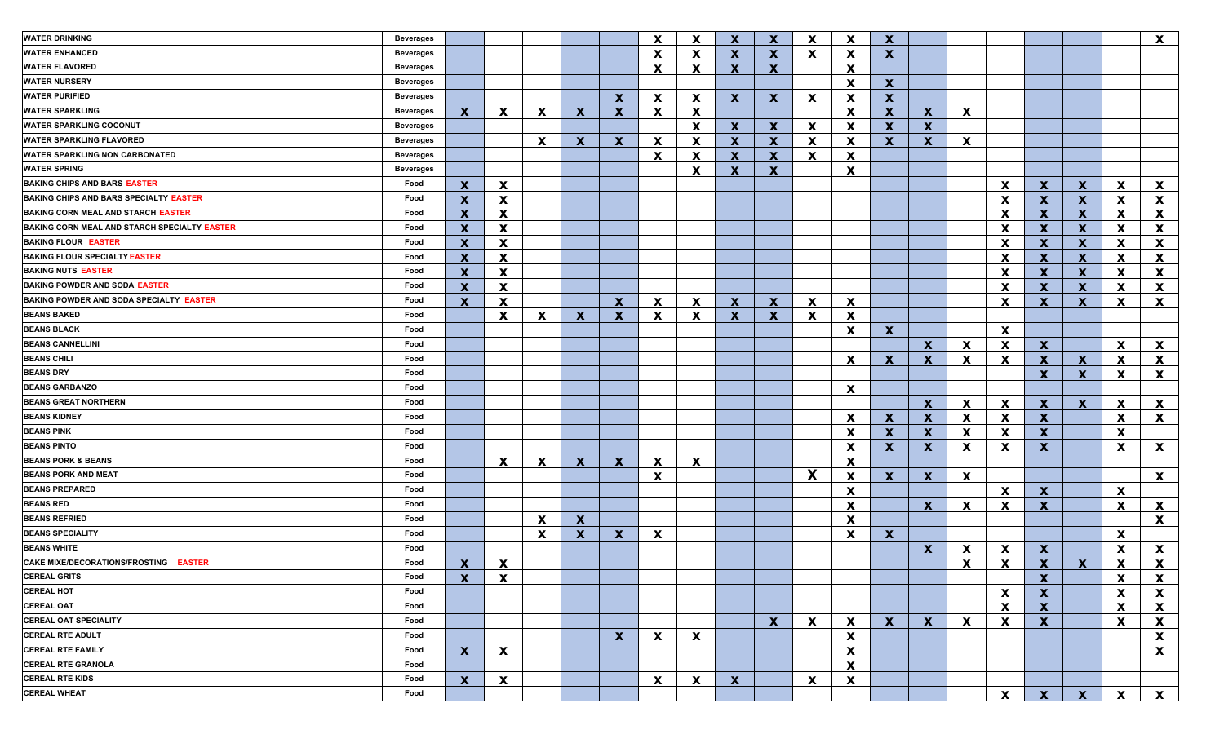| <b>WATER DRINKING</b>                         | <b>Beverages</b> |                           |                           |                           |              |              | $\mathbf x$  | $\boldsymbol{\mathsf{x}}$ | $\mathbf x$               | $\mathbf x$  | $\mathbf x$  | $\boldsymbol{\mathsf{x}}$ | $\boldsymbol{x}$ |                           |    |                           |                  |              |              | X                         |
|-----------------------------------------------|------------------|---------------------------|---------------------------|---------------------------|--------------|--------------|--------------|---------------------------|---------------------------|--------------|--------------|---------------------------|------------------|---------------------------|----|---------------------------|------------------|--------------|--------------|---------------------------|
| <b>WATER ENHANCED</b>                         | <b>Beverages</b> |                           |                           |                           |              |              | $\mathbf x$  | $\boldsymbol{\mathsf{x}}$ | $\mathbf{x}$              | $\mathbf x$  | $\mathbf{x}$ | X                         | $\mathbf{x}$     |                           |    |                           |                  |              |              |                           |
| <b>WATER FLAVORED</b>                         | <b>Beverages</b> |                           |                           |                           |              |              | $\mathbf{x}$ | X                         | $\mathbf{x}$              | $\mathbf{x}$ |              | $\boldsymbol{\mathsf{x}}$ |                  |                           |    |                           |                  |              |              |                           |
| <b>WATER NURSERY</b>                          | <b>Beverages</b> |                           |                           |                           |              |              |              |                           |                           |              |              | $\boldsymbol{\mathsf{x}}$ | $\mathbf{x}$     |                           |    |                           |                  |              |              |                           |
| <b>WATER PURIFIED</b>                         | <b>Beverages</b> |                           |                           |                           |              | $\mathbf x$  | $\mathbf{x}$ | X                         | $\mathbf{x}$              | $\mathbf x$  | X            | $\boldsymbol{\mathsf{x}}$ | $\mathbf{x}$     |                           |    |                           |                  |              |              |                           |
| <b>WATER SPARKLING</b>                        | <b>Beverages</b> | $\mathbf{x}$              | X                         | $\boldsymbol{\mathsf{x}}$ | $\mathbf{x}$ | $\mathbf x$  | X            | $\boldsymbol{\mathsf{x}}$ |                           |              |              | $\boldsymbol{\mathsf{x}}$ | $\mathbf{x}$     | $\mathbf x$               | X  |                           |                  |              |              |                           |
| <b>WATER SPARKLING COCONUT</b>                | <b>Beverages</b> |                           |                           |                           |              |              |              | $\boldsymbol{\mathsf{x}}$ | $\mathbf{x}$              | $\mathbf x$  | X            | $\boldsymbol{\mathsf{x}}$ | $\boldsymbol{x}$ | $\mathbf x$               |    |                           |                  |              |              |                           |
| <b>WATER SPARKLING FLAVORED</b>               | <b>Beverages</b> |                           |                           | $\boldsymbol{\mathsf{x}}$ | X            | $\mathbf x$  | $\mathbf{x}$ | $\boldsymbol{\mathsf{x}}$ | $\mathbf{x}$              | $\mathbf x$  | $\mathbf{x}$ | $\boldsymbol{\mathsf{x}}$ | $\mathbf{x}$     | $\boldsymbol{\mathsf{x}}$ | X  |                           |                  |              |              |                           |
| <b>WATER SPARKLING NON CARBONATED</b>         | <b>Beverages</b> |                           |                           |                           |              |              | $\mathbf x$  | $\mathbf x$               | $\mathbf{x}$              | $\mathbf x$  | X            | $\boldsymbol{\mathsf{x}}$ |                  |                           |    |                           |                  |              |              |                           |
| <b>WATER SPRING</b>                           | <b>Beverages</b> |                           |                           |                           |              |              |              | $\boldsymbol{\mathsf{x}}$ | $\mathbf{x}$              | $\mathbf x$  |              | $\boldsymbol{\mathsf{x}}$ |                  |                           |    |                           |                  |              |              |                           |
| <b>BAKING CHIPS AND BARS EASTER</b>           | Food             | $\mathbf x$               | X                         |                           |              |              |              |                           |                           |              |              |                           |                  |                           |    | X                         | $\mathbf{x}$     | $\mathbf{x}$ | <b>X</b>     | $\mathbf{x}$              |
| <b>BAKING CHIPS AND BARS SPECIALTY EASTER</b> | Food             | $\boldsymbol{\mathsf{x}}$ | X                         |                           |              |              |              |                           |                           |              |              |                           |                  |                           |    | X                         | <b>X</b>         | $\mathbf x$  | <b>X</b>     | X                         |
| <b>BAKING CORN MEAL AND STARCH EASTER</b>     | Food             | $\boldsymbol{\mathsf{x}}$ | <b>X</b>                  |                           |              |              |              |                           |                           |              |              |                           |                  |                           |    | X                         | <b>X</b>         | $\mathbf x$  | <b>X</b>     | X                         |
| BAKING CORN MEAL AND STARCH SPECIALTY EASTER  | Food             | $\boldsymbol{\mathsf{x}}$ | <b>X</b>                  |                           |              |              |              |                           |                           |              |              |                           |                  |                           |    | X                         | <b>X</b>         | $\mathbf x$  | <b>X</b>     | $\boldsymbol{\mathsf{x}}$ |
| <b>BAKING FLOUR EASTER</b>                    | Food             | $\boldsymbol{\mathsf{x}}$ | <b>X</b>                  |                           |              |              |              |                           |                           |              |              |                           |                  |                           |    | X                         | <b>X</b>         | $\mathbf x$  | <b>X</b>     | $\boldsymbol{\mathsf{x}}$ |
| <b>BAKING FLOUR SPECIALTY EASTER</b>          | Food             | $\boldsymbol{\mathsf{x}}$ | <b>X</b>                  |                           |              |              |              |                           |                           |              |              |                           |                  |                           |    | X                         | $\mathbf{x}$     | $\mathbf x$  | <b>X</b>     | $\boldsymbol{\mathsf{x}}$ |
| <b>BAKING NUTS EASTER</b>                     | Food             | $\boldsymbol{\mathsf{x}}$ | <b>X</b>                  |                           |              |              |              |                           |                           |              |              |                           |                  |                           |    | X                         | $\mathbf{x}$     | $\mathbf x$  | <b>X</b>     | $\boldsymbol{\mathsf{x}}$ |
| <b>BAKING POWDER AND SODA EASTER</b>          | Food             | $\mathbf x$               | <b>X</b>                  |                           |              |              |              |                           |                           |              |              |                           |                  |                           |    | X                         | $\mathbf{x}$     | $\mathbf x$  | <b>X</b>     | X                         |
| BAKING POWDER AND SODA SPECIALTY EASTER       | Food             | $\mathbf x$               | <b>X</b>                  |                           |              | $\mathbf{x}$ | X            | $\mathbf x$               | X                         | $\mathbf x$  | X            | $\mathbf x$               |                  |                           |    | X                         | <b>X</b>         | X            | X.           | $\mathbf{x}$              |
| <b>BEANS BAKED</b>                            | Food             |                           | X                         | X                         | $\mathbf{x}$ | $\mathbf x$  | X            | $\boldsymbol{\mathsf{x}}$ | $\mathbf{x}$              | $\mathbf x$  | X            | $\boldsymbol{\mathsf{x}}$ |                  |                           |    |                           |                  |              |              |                           |
| <b>BEANS BLACK</b>                            | Food             |                           |                           |                           |              |              |              |                           |                           |              |              | $\mathbf x$               | $\mathbf{x}$     |                           |    | $\mathbf x$               |                  |              |              |                           |
| <b>BEANS CANNELLINI</b>                       | Food             |                           |                           |                           |              |              |              |                           |                           |              |              |                           |                  | X                         | X. | X                         | <b>X</b>         |              | <b>X</b>     | $\mathbf{x}$              |
| <b>BEANS CHILI</b>                            | Food             |                           |                           |                           |              |              |              |                           |                           |              |              | X                         | $\mathbf{x}$     | X                         | X  | X                         | $\mathbf{x}$     | X            | X.           | X                         |
| <b>BEANS DRY</b>                              | Food             |                           |                           |                           |              |              |              |                           |                           |              |              |                           |                  |                           |    |                           | $\mathbf{x}$     | X            | X            | $\boldsymbol{\mathsf{x}}$ |
| <b>BEANS GARBANZO</b>                         | Food             |                           |                           |                           |              |              |              |                           |                           |              |              | X                         |                  |                           |    |                           |                  |              |              |                           |
| <b>BEANS GREAT NORTHERN</b>                   | Food             |                           |                           |                           |              |              |              |                           |                           |              |              |                           |                  | $\mathbf x$               | X. | X                         | X                | $\mathbf x$  | X.           | $\mathbf{x}$              |
| <b>BEANS KIDNEY</b>                           | Food             |                           |                           |                           |              |              |              |                           |                           |              |              | X                         | X                | X                         | X. | X                         | $\boldsymbol{X}$ |              | <b>X</b>     | X                         |
| <b>BEANS PINK</b>                             | Food             |                           |                           |                           |              |              |              |                           |                           |              |              | $\boldsymbol{\mathsf{x}}$ | $\mathbf{x}$     | X                         | X. | X                         | $\boldsymbol{X}$ |              | <b>X</b>     |                           |
| <b>BEANS PINTO</b>                            | Food             |                           |                           |                           |              |              |              |                           |                           |              |              | X                         | $\mathbf{x}$     | X                         | X  | X                         | $\mathbf{x}$     |              | <b>X</b>     | $\mathbf{x}$              |
| <b>BEANS PORK &amp; BEANS</b>                 | Food             |                           | $\mathbf{x}$              | $\boldsymbol{\mathsf{x}}$ | $\mathbf{x}$ | $\mathbf x$  | X            | X                         |                           |              |              | $\boldsymbol{\mathsf{x}}$ |                  |                           |    |                           |                  |              |              |                           |
| <b>BEANS PORK AND MEAT</b>                    | Food             |                           |                           |                           |              |              | X            |                           |                           |              | X            | $\mathbf x$               | $\mathbf{x}$     | $\boldsymbol{\mathsf{x}}$ | X  |                           |                  |              |              | $\mathbf{x}$              |
| <b>BEANS PREPARED</b>                         | Food             |                           |                           |                           |              |              |              |                           |                           |              |              | $\boldsymbol{\mathsf{x}}$ |                  |                           |    | X                         | X                |              | <b>X</b>     |                           |
| <b>BEANS RED</b>                              | Food             |                           |                           |                           |              |              |              |                           |                           |              |              | $\boldsymbol{\mathsf{x}}$ |                  | $\mathbf x$               | X. | X                         | $\mathbf{X}$     |              | X.           | X                         |
| <b>BEANS REFRIED</b>                          | Food             |                           |                           | $\mathbf x$               | $\mathbf{x}$ |              |              |                           |                           |              |              | $\boldsymbol{\mathsf{x}}$ |                  |                           |    |                           |                  |              |              | $\mathbf{x}$              |
| <b>BEANS SPECIALITY</b>                       | Food             |                           |                           | $\boldsymbol{\mathsf{x}}$ | $\mathbf{x}$ | $\mathbf{x}$ | X            |                           |                           |              |              | $\boldsymbol{\mathsf{x}}$ | $\mathbf{x}$     |                           |    |                           |                  |              | X            |                           |
| <b>BEANS WHITE</b>                            | Food             |                           |                           |                           |              |              |              |                           |                           |              |              |                           |                  | $\mathbf x$               | X  | X                         | $\mathbf{x}$     |              | X            | $\mathbf{x}$              |
| CAKE MIXE/DECORATIONS/FROSTING EASTER         | Food             | X                         | X                         |                           |              |              |              |                           |                           |              |              |                           |                  |                           | X  | X                         | $\boldsymbol{x}$ | X            | X            | $\boldsymbol{\mathsf{x}}$ |
| <b>CEREAL GRITS</b>                           | Food             | X.                        | $\boldsymbol{\mathsf{x}}$ |                           |              |              |              |                           |                           |              |              |                           |                  |                           |    |                           | X                |              | X            | X                         |
| <b>CEREAL HOT</b>                             | Food             |                           |                           |                           |              |              |              |                           |                           |              |              |                           |                  |                           |    | $\mathbf x$               | $\boldsymbol{X}$ |              | X            | $\boldsymbol{\mathsf{x}}$ |
| <b>CEREAL OAT</b>                             | Food             |                           |                           |                           |              |              |              |                           |                           |              |              |                           |                  |                           |    | $\boldsymbol{\mathsf{x}}$ | $\mathbf{x}$     |              | X            | X                         |
| <b>CEREAL OAT SPECIALITY</b>                  | Food             |                           |                           |                           |              |              |              |                           |                           | $\mathbf{x}$ | $\mathbf{x}$ | $\mathbf x$               | $\mathbf{x}$     | $\mathbf{x}$              | X  | X                         | $\mathbf{x}$     |              | $\mathbf{x}$ | X                         |
| <b>CEREAL RTE ADULT</b>                       | Food             |                           |                           |                           |              | $\mathbf{x}$ | $\mathbf{x}$ | $\boldsymbol{\mathsf{X}}$ |                           |              |              | $\boldsymbol{\mathsf{x}}$ |                  |                           |    |                           |                  |              |              | $\boldsymbol{\mathsf{x}}$ |
| <b>CEREAL RTE FAMILY</b>                      | Food             | $\mathbf{x}$              | $\mathbf{x}$              |                           |              |              |              |                           |                           |              |              | $\boldsymbol{\mathsf{x}}$ |                  |                           |    |                           |                  |              |              | $\boldsymbol{\mathsf{x}}$ |
| <b>CEREAL RTE GRANOLA</b>                     | Food             |                           |                           |                           |              |              |              |                           |                           |              |              | $\boldsymbol{\mathsf{X}}$ |                  |                           |    |                           |                  |              |              |                           |
| <b>CEREAL RTE KIDS</b>                        | Food             | $\mathbf{x}$              | X                         |                           |              |              | $\mathbf{x}$ | $\boldsymbol{\mathsf{x}}$ | $\boldsymbol{\mathsf{X}}$ |              | $\mathbf{x}$ | X                         |                  |                           |    |                           |                  |              |              |                           |
| <b>CEREAL WHEAT</b>                           | Food             |                           |                           |                           |              |              |              |                           |                           |              |              |                           |                  |                           |    | $\boldsymbol{\mathsf{x}}$ | $\mathbf{x}$     | $\mathbf{x}$ | $\mathbf{x}$ | $\boldsymbol{\mathsf{X}}$ |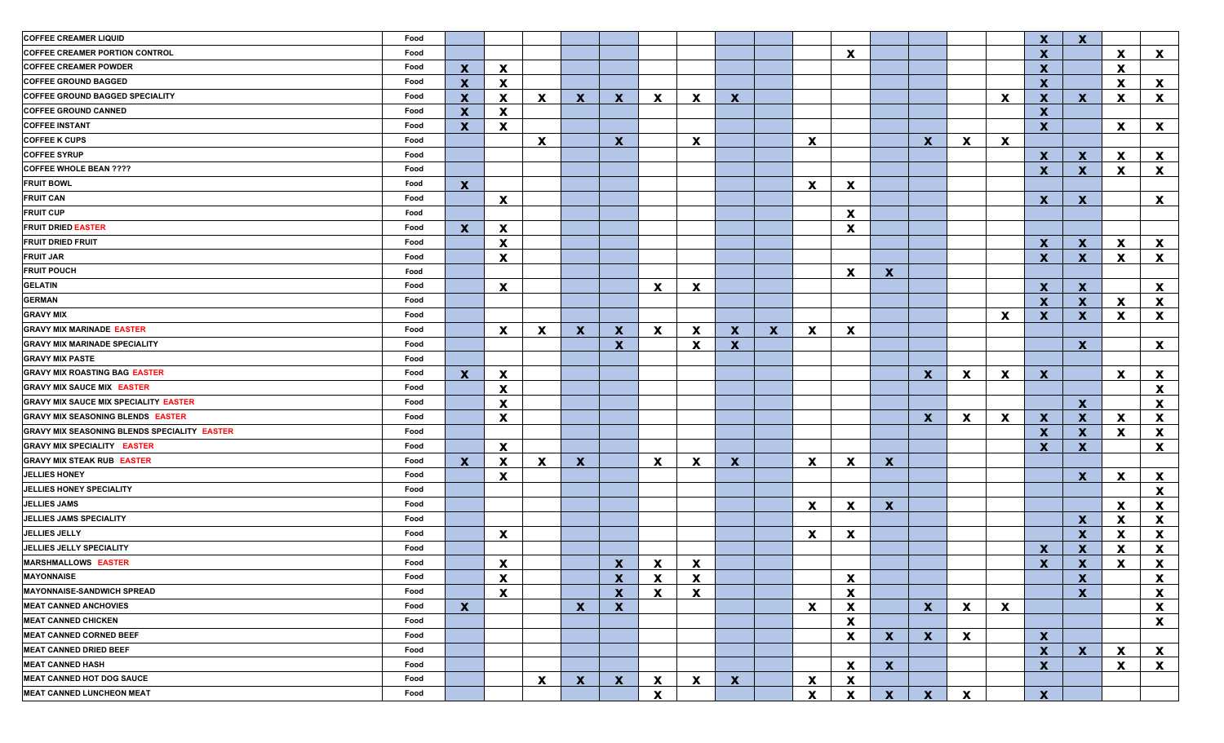| <b>COFFEE CREAMER LIQUID</b>                 | Food |                           |                           |                           |              |              |                           |                           |                           |              |              |                           |              |              |              |                           | $\boldsymbol{x}$          | $\boldsymbol{\mathsf{x}}$ |              |              |
|----------------------------------------------|------|---------------------------|---------------------------|---------------------------|--------------|--------------|---------------------------|---------------------------|---------------------------|--------------|--------------|---------------------------|--------------|--------------|--------------|---------------------------|---------------------------|---------------------------|--------------|--------------|
| <b>COFFEE CREAMER PORTION CONTROL</b>        | Food |                           |                           |                           |              |              |                           |                           |                           |              |              | $\boldsymbol{\mathsf{x}}$ |              |              |              |                           | $\boldsymbol{\mathsf{x}}$ |                           | $\mathbf{x}$ | $\mathbf{x}$ |
| <b>COFFEE CREAMER POWDER</b>                 | Food | $\mathbf{x}$              | X                         |                           |              |              |                           |                           |                           |              |              |                           |              |              |              |                           | $\boldsymbol{\mathsf{x}}$ |                           | X            |              |
| <b>COFFEE GROUND BAGGED</b>                  | Food | $\mathbf{x}$              | $\mathbf{x}$              |                           |              |              |                           |                           |                           |              |              |                           |              |              |              |                           | X                         |                           | $\mathbf{x}$ | $\mathbf{x}$ |
| <b>COFFEE GROUND BAGGED SPECIALITY</b>       | Food | $\boldsymbol{\mathsf{X}}$ | X                         | $\mathbf{x}$              | $\mathbf{x}$ | $\mathbf x$  | $\mathbf{x}$              | $\boldsymbol{\mathsf{x}}$ | $\boldsymbol{\mathsf{x}}$ |              |              |                           |              |              |              | $\boldsymbol{\mathsf{x}}$ | $\mathbf{x}$              | $\mathbf{x}$              | <b>X</b>     | $\mathbf{x}$ |
| <b>COFFEE GROUND CANNED</b>                  | Food | $\mathbf x$               | X                         |                           |              |              |                           |                           |                           |              |              |                           |              |              |              |                           | $\mathbf{x}$              |                           |              |              |
| <b>COFFEE INSTANT</b>                        | Food | $\mathbf{x}$              | $\mathbf{x}$              |                           |              |              |                           |                           |                           |              |              |                           |              |              |              |                           | $\mathbf{x}$              |                           | $\mathbf{x}$ | $\mathbf{x}$ |
| <b>COFFEE K CUPS</b>                         | Food |                           |                           | $\mathbf{x}$              |              | $\mathbf{x}$ |                           | $\boldsymbol{\mathsf{x}}$ |                           |              | $\mathbf{x}$ |                           |              | $\mathbf{x}$ | $\mathbf{x}$ | $\mathbf x$               |                           |                           |              |              |
| <b>COFFEE SYRUP</b>                          | Food |                           |                           |                           |              |              |                           |                           |                           |              |              |                           |              |              |              |                           | $\mathbf{x}$              | $\mathbf{x}$              | $\mathbf{x}$ | $\mathbf{x}$ |
| <b>COFFEE WHOLE BEAN ????</b>                | Food |                           |                           |                           |              |              |                           |                           |                           |              |              |                           |              |              |              |                           | $\mathbf{x}$              | $\mathbf x$               | $\mathbf{x}$ | $\mathbf{x}$ |
| <b>FRUIT BOWL</b>                            | Food | $\mathbf{x}$              |                           |                           |              |              |                           |                           |                           |              | $\mathbf{x}$ | $\boldsymbol{\mathsf{x}}$ |              |              |              |                           |                           |                           |              |              |
| <b>FRUIT CAN</b>                             | Food |                           | X                         |                           |              |              |                           |                           |                           |              |              |                           |              |              |              |                           | X                         | $\mathbf x$               |              | $\mathbf{x}$ |
| <b>FRUIT CUP</b>                             | Food |                           |                           |                           |              |              |                           |                           |                           |              |              | $\mathbf x$               |              |              |              |                           |                           |                           |              |              |
| <b>FRUIT DRIED EASTER</b>                    | Food | $\mathbf{x}$              | X                         |                           |              |              |                           |                           |                           |              |              | $\boldsymbol{\mathsf{x}}$ |              |              |              |                           |                           |                           |              |              |
| <b>FRUIT DRIED FRUIT</b>                     | Food |                           | X                         |                           |              |              |                           |                           |                           |              |              |                           |              |              |              |                           | $\mathbf{x}$              | X                         | X            | $\mathbf{x}$ |
| <b>FRUIT JAR</b>                             | Food |                           | X                         |                           |              |              |                           |                           |                           |              |              |                           |              |              |              |                           | X                         | X                         | $\mathbf{x}$ | $\mathbf{x}$ |
| <b>FRUIT POUCH</b>                           | Food |                           |                           |                           |              |              |                           |                           |                           |              |              | $\boldsymbol{\mathsf{x}}$ | $\mathbf{x}$ |              |              |                           |                           |                           |              |              |
| <b>GELATIN</b>                               | Food |                           | $\boldsymbol{\mathsf{x}}$ |                           |              |              | X                         | X                         |                           |              |              |                           |              |              |              |                           | $\mathbf x$               | $\mathbf x$               |              | $\mathbf{x}$ |
| <b>GERMAN</b>                                | Food |                           |                           |                           |              |              |                           |                           |                           |              |              |                           |              |              |              |                           | $\mathbf x$               | $\mathbf x$               | X            | X            |
| <b>GRAVY MIX</b>                             | Food |                           |                           |                           |              |              |                           |                           |                           |              |              |                           |              |              |              | $\boldsymbol{\mathsf{x}}$ | $\mathbf{x}$              | $\mathbf x$               | X            | X            |
| <b>GRAVY MIX MARINADE EASTER</b>             | Food |                           | $\mathbf{x}$              | $\mathbf x$               | $\mathbf{x}$ | $\mathbf x$  | X                         | $\boldsymbol{\mathsf{x}}$ | $\mathbf{x}$              | $\mathbf{x}$ | X            | $\boldsymbol{\mathsf{X}}$ |              |              |              |                           |                           |                           |              |              |
| <b>GRAVY MIX MARINADE SPECIALITY</b>         | Food |                           |                           |                           |              | $\mathbf{x}$ |                           | $\boldsymbol{\mathsf{x}}$ | $\mathbf{x}$              |              |              |                           |              |              |              |                           |                           | $\mathbf{x}$              |              | $\mathbf{x}$ |
| <b>GRAVY MIX PASTE</b>                       | Food |                           |                           |                           |              |              |                           |                           |                           |              |              |                           |              |              |              |                           |                           |                           |              |              |
| <b>GRAVY MIX ROASTING BAG EASTER</b>         | Food | $\mathbf{x}$              | $\mathbf{x}$              |                           |              |              |                           |                           |                           |              |              |                           |              | $\mathbf{x}$ | $\mathbf{x}$ | $\mathbf x$               | $\mathbf{x}$              |                           | $\mathbf{x}$ | $\mathbf{x}$ |
| <b>GRAVY MIX SAUCE MIX EASTER</b>            | Food |                           | $\mathbf{x}$              |                           |              |              |                           |                           |                           |              |              |                           |              |              |              |                           |                           |                           |              | X            |
| <b>GRAVY MIX SAUCE MIX SPECIALITY EASTER</b> | Food |                           | $\mathbf{x}$              |                           |              |              |                           |                           |                           |              |              |                           |              |              |              |                           |                           | $\mathbf{x}$              |              | X            |
| <b>GRAVY MIX SEASONING BLENDS EASTER</b>     | Food |                           | X                         |                           |              |              |                           |                           |                           |              |              |                           |              | $\mathbf{x}$ | $\mathbf{x}$ | $\mathbf{x}$              | $\mathbf{x}$              | $\mathbf x$               | $\mathbf{x}$ | $\mathbf{x}$ |
| GRAVY MIX SEASONING BLENDS SPECIALITY EASTER | Food |                           |                           |                           |              |              |                           |                           |                           |              |              |                           |              |              |              |                           | X                         | X                         | $\mathbf{x}$ | $\mathbf{x}$ |
| <b>GRAVY MIX SPECIALITY EASTER</b>           | Food |                           | $\mathbf{x}$              |                           |              |              |                           |                           |                           |              |              |                           |              |              |              |                           | X                         | $\mathbf{x}$              |              | X            |
| <b>GRAVY MIX STEAK RUB EASTER</b>            | Food | $\mathbf{x}$              | X                         | X                         | $\mathbf{x}$ |              | X                         | X                         | $\mathbf{x}$              |              | X            | $\boldsymbol{\mathsf{x}}$ | $\mathbf{x}$ |              |              |                           |                           |                           |              |              |
| <b>JELLIES HONEY</b>                         | Food |                           | X                         |                           |              |              |                           |                           |                           |              |              |                           |              |              |              |                           |                           | $\mathbf x$               | $\mathbf{x}$ | $\mathbf{x}$ |
| JELLIES HONEY SPECIALITY                     | Food |                           |                           |                           |              |              |                           |                           |                           |              |              |                           |              |              |              |                           |                           |                           |              | X            |
| <b>JELLIES JAMS</b>                          | Food |                           |                           |                           |              |              |                           |                           |                           |              | $\mathbf{x}$ | $\mathbf x$               | $\mathbf{x}$ |              |              |                           |                           |                           | $\mathbf{x}$ | X            |
| JELLIES JAMS SPECIALITY                      | Food |                           |                           |                           |              |              |                           |                           |                           |              |              |                           |              |              |              |                           |                           | $\mathbf x$               | X            | X            |
| JELLIES JELLY                                | Food |                           | $\mathbf{x}$              |                           |              |              |                           |                           |                           |              | $\mathbf{x}$ | $\boldsymbol{\mathsf{X}}$ |              |              |              |                           |                           | $\mathbf x$               | X            | X            |
| JELLIES JELLY SPECIALITY                     | Food |                           |                           |                           |              |              |                           |                           |                           |              |              |                           |              |              |              |                           | X                         | $\boldsymbol{\mathsf{x}}$ | X            | X            |
| <b>MARSHMALLOWS EASTER</b>                   | Food |                           | X                         |                           |              | $\mathbf x$  | $\boldsymbol{\mathsf{x}}$ | X                         |                           |              |              |                           |              |              |              |                           | $\boldsymbol{\mathsf{x}}$ | $\boldsymbol{\mathsf{x}}$ | X            | $\mathbf{x}$ |
| <b>MAYONNAISE</b>                            | Food |                           | $\mathbf{x}$              |                           |              | $\mathbf{x}$ | $\mathbf{x}$              | X                         |                           |              |              | X                         |              |              |              |                           |                           | $\mathbf{x}$              |              | X            |
| <b>MAYONNAISE-SANDWICH SPREAD</b>            | Food |                           | $\mathbf{x}$              |                           |              | $\mathbf{x}$ | $\mathbf{x}$              | $\boldsymbol{\mathsf{x}}$ |                           |              |              | $\boldsymbol{\mathsf{x}}$ |              |              |              |                           |                           | $\mathbf{x}$              |              | $\mathbf{x}$ |
| <b>MEAT CANNED ANCHOVIES</b>                 | Food | $\mathbf{x}$              |                           |                           | $\mathbf{x}$ | $\mathbf{x}$ |                           |                           |                           |              | $\mathbf{x}$ | X                         |              | $\mathbf{X}$ | $\mathbf{x}$ | $\boldsymbol{\mathsf{x}}$ |                           |                           |              | $\mathbf{x}$ |
| <b>MEAT CANNED CHICKEN</b>                   | Food |                           |                           |                           |              |              |                           |                           |                           |              |              | $\boldsymbol{\mathsf{x}}$ |              |              |              |                           |                           |                           |              | $\mathbf{x}$ |
| <b>MEAT CANNED CORNED BEEF</b>               | Food |                           |                           |                           |              |              |                           |                           |                           |              |              | $\boldsymbol{\mathsf{x}}$ | $\mathbf{x}$ | $\mathbf{x}$ | $\mathbf{x}$ |                           | X                         |                           |              |              |
| <b>MEAT CANNED DRIED BEEF</b>                | Food |                           |                           |                           |              |              |                           |                           |                           |              |              |                           |              |              |              |                           | $\mathbf{x}$              | $\mathbf{X}$              | $\mathbf{x}$ | $\mathbf{x}$ |
| <b>MEAT CANNED HASH</b>                      | Food |                           |                           |                           |              |              |                           |                           |                           |              |              | $\boldsymbol{\mathsf{X}}$ | $\mathbf{x}$ |              |              |                           | $\boldsymbol{x}$          |                           | $\mathbf{x}$ | $\mathbf{x}$ |
| <b>MEAT CANNED HOT DOG SAUCE</b>             | Food |                           |                           | $\boldsymbol{\mathsf{x}}$ | $\mathbf{x}$ | $\mathbf{x}$ | X                         | $\boldsymbol{\mathsf{x}}$ | $\boldsymbol{\mathsf{X}}$ |              | X            | $\boldsymbol{\mathsf{x}}$ |              |              |              |                           |                           |                           |              |              |
| <b>MEAT CANNED LUNCHEON MEAT</b>             | Food |                           |                           |                           |              |              | $\boldsymbol{\mathsf{X}}$ |                           |                           |              | $\mathbf{x}$ | $\boldsymbol{\mathsf{x}}$ | $\mathbf{X}$ | $\mathbf{x}$ | $\mathbf{x}$ |                           | $\mathbf{x}$              |                           |              |              |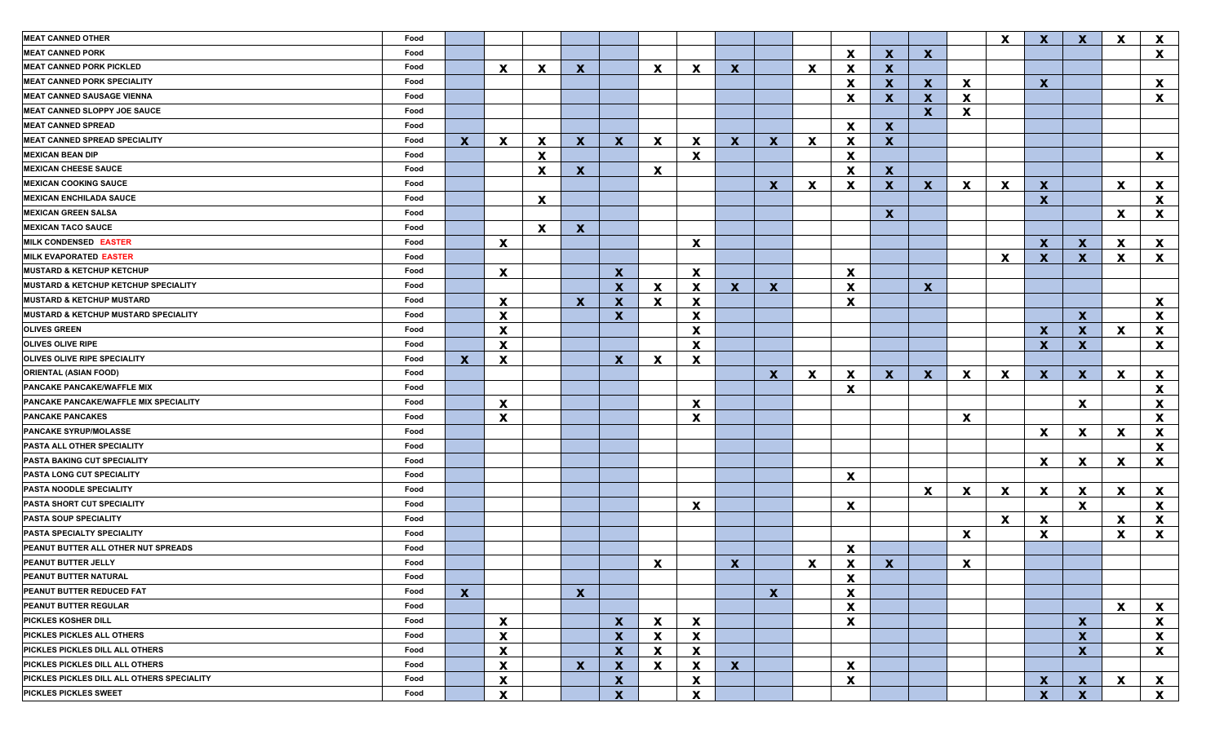| <b>MEAT CANNED OTHER</b>                   | Food |              |              |                           |              |                                           |              |                                                        |              |              |              |                                |                           |              |          | X                         | $\mathbf{x}$     | $\mathbf x$      | X            | X                         |
|--------------------------------------------|------|--------------|--------------|---------------------------|--------------|-------------------------------------------|--------------|--------------------------------------------------------|--------------|--------------|--------------|--------------------------------|---------------------------|--------------|----------|---------------------------|------------------|------------------|--------------|---------------------------|
| <b>MEAT CANNED PORK</b>                    | Food |              |              |                           |              |                                           |              |                                                        |              |              |              | $\mathbf x$                    | $\mathbf{x}$              | $\mathbf{x}$ |          |                           |                  |                  |              | $\mathbf{x}$              |
| <b>MEAT CANNED PORK PICKLED</b>            | Food |              | $\mathbf{x}$ | X                         | $\mathbf{x}$ |                                           | $\mathbf{x}$ | $\mathbf x$                                            | $\mathbf{x}$ |              | $\mathbf{x}$ | X                              | $\mathbf{x}$              |              |          |                           |                  |                  |              |                           |
| <b>MEAT CANNED PORK SPECIALITY</b>         | Food |              |              |                           |              |                                           |              |                                                        |              |              |              | $\boldsymbol{\mathsf{x}}$      | $\mathbf{x}$              | $\mathbf{x}$ | <b>X</b> |                           | $\mathbf{x}$     |                  |              | $\mathbf{x}$              |
| <b>MEAT CANNED SAUSAGE VIENNA</b>          | Food |              |              |                           |              |                                           |              |                                                        |              |              |              | $\boldsymbol{\mathsf{x}}$      | $\mathbf{x}$              | $\mathbf x$  | X        |                           |                  |                  |              | $\mathbf x$               |
| <b>MEAT CANNED SLOPPY JOE SAUCE</b>        | Food |              |              |                           |              |                                           |              |                                                        |              |              |              |                                |                           | $\mathbf{x}$ | X        |                           |                  |                  |              |                           |
| <b>MEAT CANNED SPREAD</b>                  | Food |              |              |                           |              |                                           |              |                                                        |              |              |              | $\mathbf x$                    | $\mathbf{x}$              |              |          |                           |                  |                  |              |                           |
| <b>MEAT CANNED SPREAD SPECIALITY</b>       | Food | $\mathbf{x}$ | X            | X                         | $\mathbf{x}$ | X                                         | $\mathbf{x}$ | $\mathbf x$                                            | $\mathbf{X}$ | $\mathbf x$  | X            | X                              | $\mathbf{x}$              |              |          |                           |                  |                  |              |                           |
| <b>MEXICAN BEAN DIP</b>                    | Food |              |              | $\boldsymbol{\mathsf{x}}$ |              |                                           |              | $\mathbf x$                                            |              |              |              | $\mathbf x$                    |                           |              |          |                           |                  |                  |              | $\mathbf{x}$              |
| <b>MEXICAN CHEESE SAUCE</b>                | Food |              |              | X                         | $\mathbf{x}$ |                                           | X            |                                                        |              |              |              | $\mathbf x$                    | $\mathbf{x}$              |              |          |                           |                  |                  |              |                           |
| <b>MEXICAN COOKING SAUCE</b>               | Food |              |              |                           |              |                                           |              |                                                        |              | $\mathbf x$  | X            | $\boldsymbol{\mathsf{x}}$      | $\mathbf{x}$              | $\mathbf{x}$ | X.       | X                         | X                |                  | X            | $\mathbf{x}$              |
| <b>MEXICAN ENCHILADA SAUCE</b>             | Food |              |              | $\boldsymbol{\mathsf{x}}$ |              |                                           |              |                                                        |              |              |              |                                |                           |              |          |                           | $\boldsymbol{X}$ |                  |              | $\mathbf x$               |
| <b>MEXICAN GREEN SALSA</b>                 | Food |              |              |                           |              |                                           |              |                                                        |              |              |              |                                | $\boldsymbol{\mathsf{X}}$ |              |          |                           |                  |                  | X            | X                         |
| <b>MEXICAN TACO SAUCE</b>                  | Food |              |              | $\mathbf x$               | $\mathbf{x}$ |                                           |              |                                                        |              |              |              |                                |                           |              |          |                           |                  |                  |              |                           |
| MILK CONDENSED EASTER                      | Food |              | X            |                           |              |                                           |              | $\mathbf x$                                            |              |              |              |                                |                           |              |          |                           | $\mathbf{x}$     | $\mathbf x$      | X            | $\mathbf{x}$              |
| <b>MILK EVAPORATED EASTER</b>              | Food |              |              |                           |              |                                           |              |                                                        |              |              |              |                                |                           |              |          | X                         | $\mathbf{x}$     | $\mathbf x$      | X            | X                         |
| <b>MUSTARD &amp; KETCHUP KETCHUP</b>       | Food |              | X.           |                           |              | $\mathbf x$                               |              | $\mathbf x$                                            |              |              |              | $\boldsymbol{\mathsf{x}}$      |                           |              |          |                           |                  |                  |              |                           |
| MUSTARD & KETCHUP KETCHUP SPECIALITY       | Food |              |              |                           |              | $\mathbf x$                               | X            | $\boldsymbol{\mathsf{x}}$                              | $\mathbf{x}$ | $\mathbf x$  |              | $\boldsymbol{\mathsf{x}}$      |                           | $\mathbf{x}$ |          |                           |                  |                  |              |                           |
| <b>MUSTARD &amp; KETCHUP MUSTARD</b>       | Food |              | X            |                           | $\mathbf{x}$ | $\boldsymbol{\mathsf{x}}$                 | X            | X                                                      |              |              |              | $\boldsymbol{\mathsf{x}}$      |                           |              |          |                           |                  |                  |              | $\mathbf{x}$              |
| MUSTARD & KETCHUP MUSTARD SPECIALITY       | Food |              | X            |                           |              | $\boldsymbol{\mathsf{x}}$                 |              | X                                                      |              |              |              |                                |                           |              |          |                           |                  | $\mathbf{x}$     |              | $\boldsymbol{\mathsf{x}}$ |
| <b>OLIVES GREEN</b>                        | Food |              | X            |                           |              |                                           |              | $\boldsymbol{\mathsf{x}}$                              |              |              |              |                                |                           |              |          |                           | X                | $\mathbf x$      | X            | X                         |
| <b>OLIVES OLIVE RIPE</b>                   | Food |              | X            |                           |              |                                           |              | $\mathbf x$                                            |              |              |              |                                |                           |              |          |                           | $\mathbf{x}$     | $\mathbf x$      |              | X                         |
| <b>OLIVES OLIVE RIPE SPECIALITY</b>        | Food | $\mathbf{x}$ | X            |                           |              | $\mathbf{x}$                              | X            | X                                                      |              |              |              |                                |                           |              |          |                           |                  |                  |              |                           |
| <b>ORIENTAL (ASIAN FOOD)</b>               | Food |              |              |                           |              |                                           |              |                                                        |              | $\mathbf{x}$ | $\mathbf{x}$ | $\mathbf x$                    | $\mathbf{x}$              | $\mathbf x$  | <b>X</b> | X                         | $\mathbf{x}$     | $\mathbf x$      | X            | $\mathbf{x}$              |
| PANCAKE PANCAKE/WAFFLE MIX                 | Food |              |              |                           |              |                                           |              |                                                        |              |              |              | $\boldsymbol{\mathsf{x}}$      |                           |              |          |                           |                  |                  |              | $\boldsymbol{\mathsf{x}}$ |
| PANCAKE PANCAKE/WAFFLE MIX SPECIALITY      | Food |              | X            |                           |              |                                           |              | $\mathbf x$                                            |              |              |              |                                |                           |              |          |                           |                  | X                |              | $\boldsymbol{\mathsf{x}}$ |
| <b>PANCAKE PANCAKES</b>                    | Food |              | X            |                           |              |                                           |              | X                                                      |              |              |              |                                |                           |              | X        |                           |                  |                  |              | $\boldsymbol{\mathsf{x}}$ |
| <b>PANCAKE SYRUP/MOLASSE</b>               | Food |              |              |                           |              |                                           |              |                                                        |              |              |              |                                |                           |              |          |                           | X                | $\mathbf x$      | X            | $\boldsymbol{\mathsf{x}}$ |
| PASTA ALL OTHER SPECIALITY                 | Food |              |              |                           |              |                                           |              |                                                        |              |              |              |                                |                           |              |          |                           |                  |                  |              | $\mathbf x$               |
| <b>PASTA BAKING CUT SPECIALITY</b>         | Food |              |              |                           |              |                                           |              |                                                        |              |              |              |                                |                           |              |          |                           | X                | $\mathbf x$      | X            | X                         |
| <b>PASTA LONG CUT SPECIALITY</b>           | Food |              |              |                           |              |                                           |              |                                                        |              |              |              | $\mathbf x$                    |                           |              |          |                           |                  |                  |              |                           |
| <b>PASTA NOODLE SPECIALITY</b>             | Food |              |              |                           |              |                                           |              |                                                        |              |              |              |                                |                           | $\mathbf x$  | X        | $\boldsymbol{\mathsf{x}}$ | <b>X</b>         | $\mathbf x$      | X            | $\mathbf{x}$              |
| <b>PASTA SHORT CUT SPECIALITY</b>          | Food |              |              |                           |              |                                           |              | $\boldsymbol{\mathsf{x}}$                              |              |              |              | $\boldsymbol{\mathsf{x}}$      |                           |              |          |                           |                  | $\mathbf{x}$     |              | $\mathbf x$               |
| <b>PASTA SOUP SPECIALITY</b>               | Food |              |              |                           |              |                                           |              |                                                        |              |              |              |                                |                           |              |          | $\mathbf x$               | X                |                  | X            | $\mathbf x$               |
| <b>PASTA SPECIALTY SPECIALITY</b>          | Food |              |              |                           |              |                                           |              |                                                        |              |              |              |                                |                           |              | X        |                           | X                |                  | X            | X                         |
| PEANUT BUTTER ALL OTHER NUT SPREADS        | Food |              |              |                           |              |                                           |              |                                                        |              |              |              | $\mathbf x$                    |                           |              |          |                           |                  |                  |              |                           |
| PEANUT BUTTER JELLY                        | Food |              |              |                           |              |                                           | X            |                                                        | $\mathbf{x}$ |              | X            | X                              | $\mathbf{x}$              |              | X        |                           |                  |                  |              |                           |
| <b>PEANUT BUTTER NATURAL</b>               | Food |              |              |                           |              |                                           |              |                                                        |              |              |              | X                              |                           |              |          |                           |                  |                  |              |                           |
| <b>PEANUT BUTTER REDUCED FAT</b>           | Food | $\mathbf{x}$ |              |                           | $\mathbf{X}$ |                                           |              |                                                        |              | $\mathbf{x}$ |              | $\boldsymbol{\mathsf{X}}$      |                           |              |          |                           |                  |                  |              |                           |
| <b>PEANUT BUTTER REGULAR</b>               | Food |              |              |                           |              |                                           |              |                                                        |              |              |              | $\boldsymbol{\mathsf{x}}$      |                           |              |          |                           |                  |                  | $\mathbf{x}$ | $\mathbf{x}$              |
| <b>PICKLES KOSHER DILL</b>                 | Food |              | X            |                           |              | $\mathbf{x}$                              | $\mathbf{x}$ | $\boldsymbol{\mathsf{x}}$                              |              |              |              | $\boldsymbol{\mathsf{x}}$      |                           |              |          |                           |                  | $\boldsymbol{x}$ |              | $\mathbf{x}$              |
| <b>PICKLES PICKLES ALL OTHERS</b>          | Food |              | X            |                           |              | $\mathbf{x}$                              | $\mathbf{x}$ | $\boldsymbol{\mathsf{x}}$                              |              |              |              |                                |                           |              |          |                           |                  | $\boldsymbol{X}$ |              | $\mathbf{x}$              |
| PICKLES PICKLES DILL ALL OTHERS            | Food |              |              |                           |              |                                           |              |                                                        |              |              |              |                                |                           |              |          |                           |                  |                  |              |                           |
| PICKLES PICKLES DILL ALL OTHERS            | Food |              | X            |                           |              | $\mathbf{x}$                              | $\mathbf{x}$ | $\boldsymbol{\mathsf{x}}$                              |              |              |              |                                |                           |              |          |                           |                  | $\boldsymbol{x}$ |              | $\mathbf{x}$              |
| PICKLES PICKLES DILL ALL OTHERS SPECIALITY | Food |              | X<br>X       |                           | $\mathbf{x}$ | $\boldsymbol{\mathsf{X}}$<br>$\mathbf{x}$ | $\mathbf{x}$ | $\boldsymbol{\mathsf{X}}$<br>$\boldsymbol{\mathsf{X}}$ | $\mathbf{X}$ |              |              | $\boldsymbol{\mathsf{X}}$<br>X |                           |              |          |                           |                  | $\mathbf{x}$     |              |                           |
|                                            |      |              |              |                           |              |                                           |              |                                                        |              |              |              |                                |                           |              |          |                           | $\mathbf{x}$     |                  | X            | $\mathbf{x}$              |
| <b>PICKLES PICKLES SWEET</b>               | Food |              | X            |                           |              | $\boldsymbol{X}$                          |              | $\boldsymbol{\mathsf{X}}$                              |              |              |              |                                |                           |              |          |                           | $\mathbf{X}$     | $\boldsymbol{x}$ |              | $\mathbf{x}$              |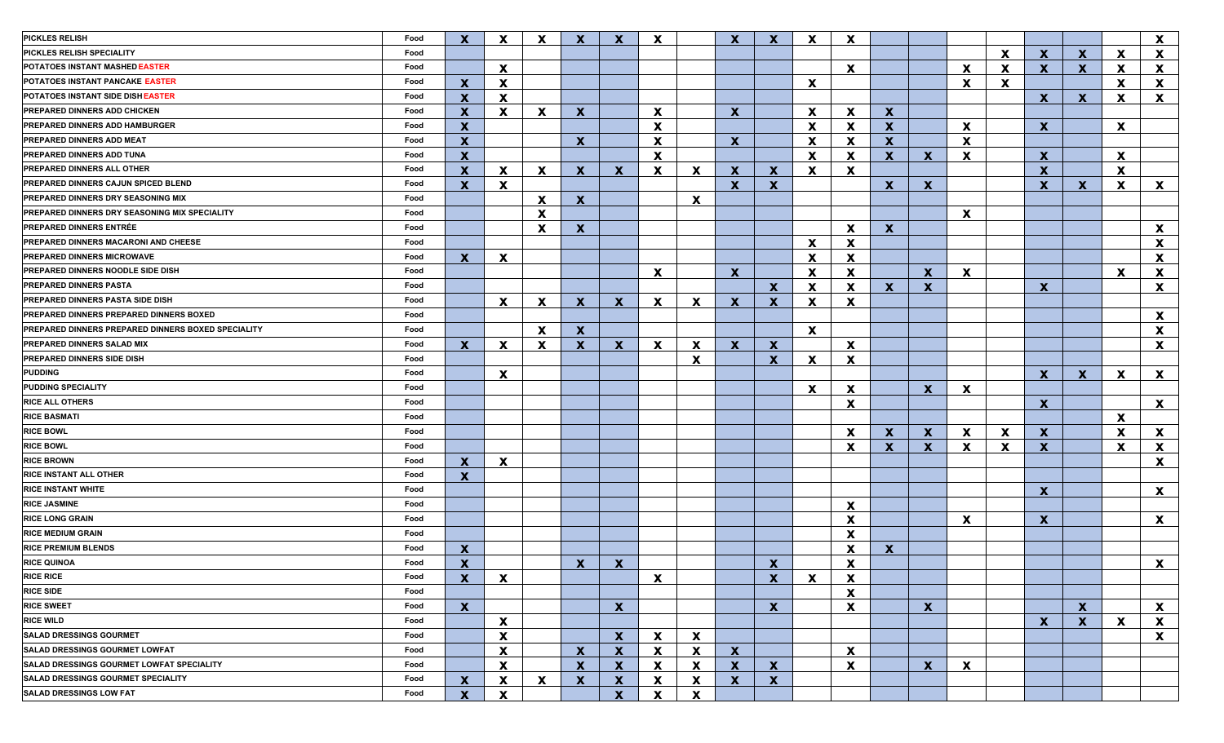| <b>PICKLES RELISH</b>                              | Food | $\mathbf{x}$              | X                         | $\boldsymbol{\mathsf{x}}$ | $\mathbf{x}$     | $\mathbf x$               | X            |                           | $\mathbf{x}$ | $\mathbf x$               | $\mathbf x$  | $\mathbf x$               |              |              |    |             |                  |                           |          | $\mathbf{x}$ |
|----------------------------------------------------|------|---------------------------|---------------------------|---------------------------|------------------|---------------------------|--------------|---------------------------|--------------|---------------------------|--------------|---------------------------|--------------|--------------|----|-------------|------------------|---------------------------|----------|--------------|
| PICKLES RELISH SPECIALITY                          | Food |                           |                           |                           |                  |                           |              |                           |              |                           |              |                           |              |              |    | $\mathbf x$ | $\mathbf{x}$     | $\mathbf{x}$              | X.       | X            |
| POTATOES INSTANT MASHED EASTER                     | Food |                           | $\mathbf{x}$              |                           |                  |                           |              |                           |              |                           |              | $\mathbf x$               |              |              | X  | X           | X                | $\mathbf{x}$              | X.       | X            |
| POTATOES INSTANT PANCAKE EASTER                    | Food | $\mathbf{x}$              | X                         |                           |                  |                           |              |                           |              |                           | X            |                           |              |              | X  | X           |                  |                           | <b>X</b> | X            |
| POTATOES INSTANT SIDE DISH EASTER                  | Food | $\mathbf x$               | X                         |                           |                  |                           |              |                           |              |                           |              |                           |              |              |    |             | $\mathbf{x}$     | X                         | <b>X</b> | X            |
| PREPARED DINNERS ADD CHICKEN                       | Food | $\mathbf x$               | X                         | X                         | $\mathbf{x}$     |                           | X            |                           | $\mathbf{x}$ |                           | X            | $\mathbf x$               | $\mathbf{x}$ |              |    |             |                  |                           |          |              |
| PREPARED DINNERS ADD HAMBURGER                     | Food | $\mathbf x$               |                           |                           |                  |                           | X            |                           |              |                           | X            | $\boldsymbol{\mathsf{x}}$ | $\mathbf{x}$ |              | X  |             | X                |                           | X        |              |
| PREPARED DINNERS ADD MEAT                          | Food | $\boldsymbol{\mathsf{x}}$ |                           |                           | $\mathbf{x}$     |                           | X            |                           | $\mathbf{x}$ |                           | X            | $\mathbf x$               | $\mathbf{x}$ |              | X  |             |                  |                           |          |              |
| <b>PREPARED DINNERS ADD TUNA</b>                   | Food | $\boldsymbol{\mathsf{x}}$ |                           |                           |                  |                           | X            |                           |              |                           | X            | $\mathbf x$               | $\mathbf{x}$ | $\mathbf{x}$ | X  |             | $\boldsymbol{x}$ |                           | X        |              |
| <b>PREPARED DINNERS ALL OTHER</b>                  | Food | $\mathbf x$               | $\mathbf{x}$              | $\boldsymbol{\mathsf{x}}$ | $\mathbf{x}$     | $\mathbf{x}$              | X            | $\mathbf x$               | $\mathbf{x}$ | $\mathbf x$               | X            | $\mathbf x$               |              |              |    |             | $\mathbf{x}$     |                           | X        |              |
| PREPARED DINNERS CAJUN SPICED BLEND                | Food | $\mathbf{x}$              | X                         |                           |                  |                           |              |                           | $\mathbf{x}$ | $\boldsymbol{\mathsf{x}}$ |              |                           | $\mathbf{x}$ | X            |    |             | $\mathbf{x}$     | $\mathbf{x}$              | <b>X</b> | $\mathbf{x}$ |
| PREPARED DINNERS DRY SEASONING MIX                 | Food |                           |                           | X                         | $\mathbf{x}$     |                           |              | $\boldsymbol{\mathsf{x}}$ |              |                           |              |                           |              |              |    |             |                  |                           |          |              |
| PREPARED DINNERS DRY SEASONING MIX SPECIALITY      | Food |                           |                           | $\mathbf x$               |                  |                           |              |                           |              |                           |              |                           |              |              | X  |             |                  |                           |          |              |
| <b>PREPARED DINNERS ENTRÉE</b>                     | Food |                           |                           | $\mathbf x$               | $\mathbf{x}$     |                           |              |                           |              |                           |              | $\mathbf x$               | $\mathbf{x}$ |              |    |             |                  |                           |          | $\mathbf{x}$ |
| PREPARED DINNERS MACARONI AND CHEESE               | Food |                           |                           |                           |                  |                           |              |                           |              |                           | X            | $\boldsymbol{\mathsf{x}}$ |              |              |    |             |                  |                           |          | $\mathbf x$  |
| <b>PREPARED DINNERS MICROWAVE</b>                  | Food | $\mathbf{x}$              | X                         |                           |                  |                           |              |                           |              |                           | X            | $\boldsymbol{\mathsf{x}}$ |              |              |    |             |                  |                           |          | $\mathbf x$  |
| PREPARED DINNERS NOODLE SIDE DISH                  | Food |                           |                           |                           |                  |                           | X            |                           | $\mathbf{x}$ |                           | X            | $\boldsymbol{\mathsf{x}}$ |              | $\mathbf x$  | X  |             |                  |                           | X        | X            |
| <b>PREPARED DINNERS PASTA</b>                      | Food |                           |                           |                           |                  |                           |              |                           |              | $\mathbf{x}$              | X            | $\mathbf x$               | X.           | $\mathbf x$  |    |             | $\mathbf{x}$     |                           |          | X            |
| PREPARED DINNERS PASTA SIDE DISH                   | Food |                           | $\mathbf{x}$              | X                         | $\mathbf{x}$     | $\mathbf{x}$              | X            | X                         | $\mathbf{x}$ | $\mathbf x$               | $\mathbf x$  | $\mathbf x$               |              |              |    |             |                  |                           |          |              |
| PREPARED DINNERS PREPARED DINNERS BOXED            | Food |                           |                           |                           |                  |                           |              |                           |              |                           |              |                           |              |              |    |             |                  |                           |          | X            |
| PREPARED DINNERS PREPARED DINNERS BOXED SPECIALITY | Food |                           |                           | X                         | $\mathbf{x}$     |                           |              |                           |              |                           | X            |                           |              |              |    |             |                  |                           |          | X            |
| PREPARED DINNERS SALAD MIX                         | Food | $\mathbf{x}$              | $\mathbf{x}$              | X                         | $\mathbf{x}$     | $\mathbf{x}$              | $\mathbf{x}$ | X                         | $\mathbf{X}$ | X                         |              | $\boldsymbol{\mathsf{x}}$ |              |              |    |             |                  |                           |          | X            |
| <b>PREPARED DINNERS SIDE DISH</b>                  | Food |                           |                           |                           |                  |                           |              | $\boldsymbol{\mathsf{x}}$ |              | $\mathbf x$               | X            | $\mathbf x$               |              |              |    |             |                  |                           |          |              |
| <b>PUDDING</b>                                     | Food |                           | X.                        |                           |                  |                           |              |                           |              |                           |              |                           |              |              |    |             | X                | X                         | X.       | $\mathbf{x}$ |
| <b>PUDDING SPECIALITY</b>                          | Food |                           |                           |                           |                  |                           |              |                           |              |                           | $\mathbf x$  | X                         |              | $\mathbf{x}$ | X. |             |                  |                           |          |              |
| <b>RICE ALL OTHERS</b>                             | Food |                           |                           |                           |                  |                           |              |                           |              |                           |              | $\mathbf x$               |              |              |    |             | $\mathbf{x}$     |                           |          | $\mathbf{x}$ |
| <b>RICE BASMATI</b>                                | Food |                           |                           |                           |                  |                           |              |                           |              |                           |              |                           |              |              |    |             |                  |                           | X.       |              |
| <b>RICE BOWL</b>                                   | Food |                           |                           |                           |                  |                           |              |                           |              |                           |              | X                         | $\mathbf{x}$ | $\mathbf x$  | X  | X           | $\mathbf{x}$     |                           | X        | $\mathbf{x}$ |
| <b>RICE BOWL</b>                                   | Food |                           |                           |                           |                  |                           |              |                           |              |                           |              | $\boldsymbol{\mathsf{x}}$ | $\mathbf{x}$ | $\mathbf x$  | X  | X           | $\mathbf{x}$     |                           | X        | X            |
| <b>RICE BROWN</b>                                  | Food | $\mathbf x$               | X                         |                           |                  |                           |              |                           |              |                           |              |                           |              |              |    |             |                  |                           |          | X            |
| <b>RICE INSTANT ALL OTHER</b>                      | Food | $\mathbf{x}$              |                           |                           |                  |                           |              |                           |              |                           |              |                           |              |              |    |             |                  |                           |          |              |
| <b>RICE INSTANT WHITE</b>                          | Food |                           |                           |                           |                  |                           |              |                           |              |                           |              |                           |              |              |    |             | $\mathbf{x}$     |                           |          | X            |
| <b>RICE JASMINE</b>                                | Food |                           |                           |                           |                  |                           |              |                           |              |                           |              | $\boldsymbol{\mathsf{x}}$ |              |              |    |             |                  |                           |          |              |
| <b>RICE LONG GRAIN</b>                             | Food |                           |                           |                           |                  |                           |              |                           |              |                           |              | $\boldsymbol{\mathsf{x}}$ |              |              | X  |             | $\mathbf{x}$     |                           |          | $\mathbf{x}$ |
| <b>RICE MEDIUM GRAIN</b>                           | Food |                           |                           |                           |                  |                           |              |                           |              |                           |              | $\boldsymbol{\mathsf{x}}$ |              |              |    |             |                  |                           |          |              |
| <b>RICE PREMIUM BLENDS</b>                         | Food | X                         |                           |                           |                  |                           |              |                           |              |                           |              | $\boldsymbol{\mathsf{x}}$ | $\mathbf{x}$ |              |    |             |                  |                           |          |              |
| <b>RICE QUINOA</b>                                 | Food | $\boldsymbol{\mathsf{x}}$ |                           |                           | $\mathbf{x}$     | X                         |              |                           |              | $\mathbf x$               |              | X                         |              |              |    |             |                  |                           |          | X            |
| <b>RICE RICE</b>                                   | Food | $\mathbf{x}$              | $\mathbf{x}$              |                           |                  |                           | X            |                           |              | X.                        | $\mathbf{x}$ | X                         |              |              |    |             |                  |                           |          |              |
| <b>RICE SIDE</b>                                   | Food |                           |                           |                           |                  |                           |              |                           |              |                           |              | $\boldsymbol{\mathsf{x}}$ |              |              |    |             |                  |                           |          |              |
| <b>RICE SWEET</b>                                  | Food | $\mathbf{x}$              |                           |                           |                  | $\mathbf{x}$              |              |                           |              | $\mathbf{x}$              |              | $\boldsymbol{\mathsf{x}}$ |              | $\mathbf{x}$ |    |             |                  | $\mathbf{x}$              |          | X            |
| <b>RICE WILD</b>                                   | Food |                           | $\boldsymbol{\mathsf{x}}$ |                           |                  |                           |              |                           |              |                           |              |                           |              |              |    |             | $\mathbf{x}$     | $\boldsymbol{\mathsf{x}}$ | X        | X            |
| <b>SALAD DRESSINGS GOURMET</b>                     | Food |                           | X                         |                           |                  | $\mathbf x$               | $\mathbf{x}$ | $\mathbf x$               |              |                           |              |                           |              |              |    |             |                  |                           |          | $\mathbf{x}$ |
| SALAD DRESSINGS GOURMET LOWFAT                     | Food |                           | X                         |                           | $\mathbf{x}$     | $\boldsymbol{\mathsf{x}}$ | $\mathbf{x}$ | $\mathbf x$               | $\mathbf{x}$ |                           |              | $\boldsymbol{\mathsf{X}}$ |              |              |    |             |                  |                           |          |              |
| <b>SALAD DRESSINGS GOURMET LOWFAT SPECIALITY</b>   | Food |                           | $\mathbf{x}$              |                           | $\boldsymbol{x}$ | $\mathbf{x}$              | $\mathbf{x}$ | $\mathbf x$               | $\mathbf{x}$ | $\mathbf{x}$              |              | $\boldsymbol{\mathsf{x}}$ |              | $\mathbf{x}$ | X  |             |                  |                           |          |              |
| <b>SALAD DRESSINGS GOURMET SPECIALITY</b>          | Food | $\mathbf{x}$              | X                         | X                         | $\mathbf{x}$     | $\mathbf{x}$              | X            | $\mathbf x$               | $\mathbf{x}$ | $\boldsymbol{\mathsf{X}}$ |              |                           |              |              |    |             |                  |                           |          |              |
| <b>SALAD DRESSINGS LOW FAT</b>                     | Food | $\mathbf x$               | X                         |                           |                  | $\boldsymbol{x}$          | X            | $\boldsymbol{\mathsf{x}}$ |              |                           |              |                           |              |              |    |             |                  |                           |          |              |
|                                                    |      |                           |                           |                           |                  |                           |              |                           |              |                           |              |                           |              |              |    |             |                  |                           |          |              |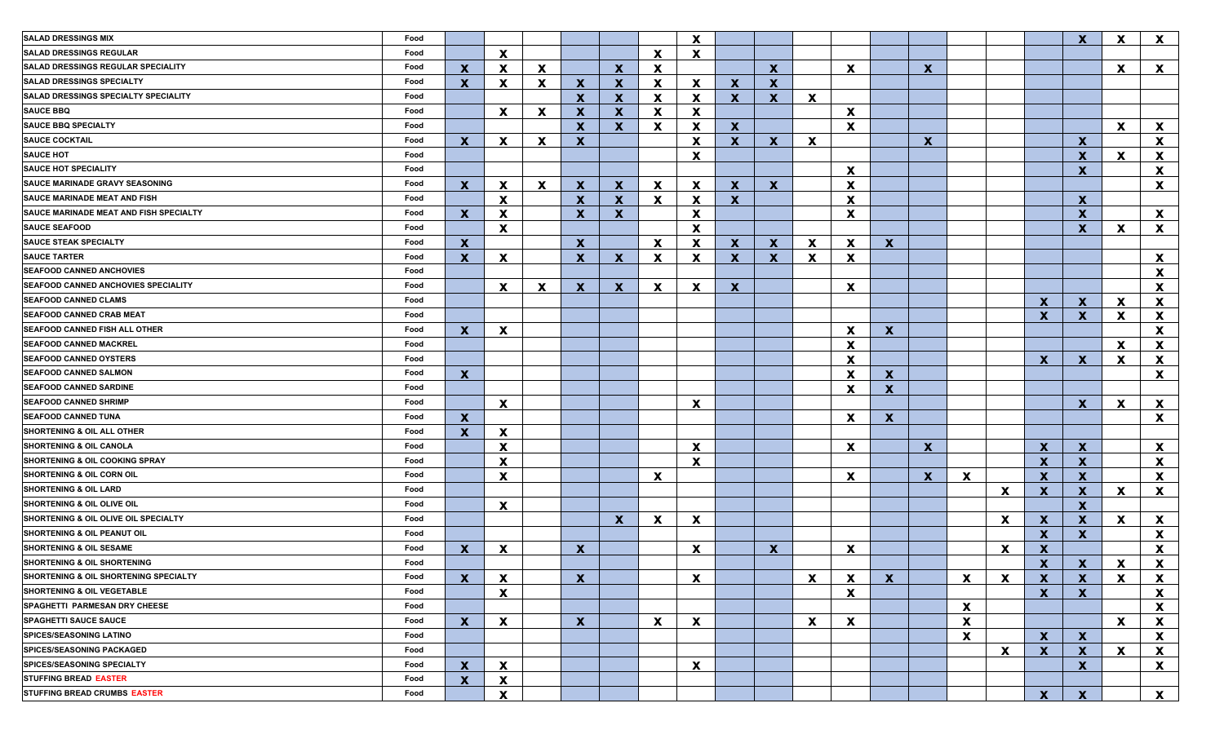| <b>SALAD DRESSINGS MIX</b>                 | Food |              |                                           |             |              |              |              | X                         |              |              |                          |                                |                           |              |              |                           |                              | $\mathbf x$                  | <b>X</b>                  | $\mathbf{x}$              |
|--------------------------------------------|------|--------------|-------------------------------------------|-------------|--------------|--------------|--------------|---------------------------|--------------|--------------|--------------------------|--------------------------------|---------------------------|--------------|--------------|---------------------------|------------------------------|------------------------------|---------------------------|---------------------------|
| <b>SALAD DRESSINGS REGULAR</b>             | Food |              | X                                         |             |              |              | <b>X</b>     | X                         |              |              |                          |                                |                           |              |              |                           |                              |                              |                           |                           |
| <b>SALAD DRESSINGS REGULAR SPECIALITY</b>  | Food | $\mathbf{x}$ | X                                         | X           |              | $\mathbf x$  | X            |                           |              | $\mathbf{x}$ |                          | X                              |                           | $\mathbf{x}$ |              |                           |                              |                              | X.                        | $\mathbf{x}$              |
| <b>SALAD DRESSINGS SPECIALTY</b>           | Food | $\mathbf{x}$ | X                                         | $\mathbf x$ | $\mathbf{x}$ | $\mathbf x$  | X            | X                         | $\mathbf{x}$ | $\mathbf x$  |                          |                                |                           |              |              |                           |                              |                              |                           |                           |
| SALAD DRESSINGS SPECIALTY SPECIALITY       | Food |              |                                           |             | X            | $\mathbf x$  | X            | X                         | $\mathbf{x}$ | $\mathbf x$  | $\mathbf{x}$             |                                |                           |              |              |                           |                              |                              |                           |                           |
| <b>SAUCE BBQ</b>                           | Food |              | X                                         | X           | $\mathbf{x}$ | $\mathbf x$  | X            | X                         |              |              |                          | $\boldsymbol{\mathsf{x}}$      |                           |              |              |                           |                              |                              |                           |                           |
| <b>SAUCE BBQ SPECIALTY</b>                 | Food |              |                                           |             | $\mathbf x$  | $\mathbf{x}$ | X            | $\boldsymbol{\mathsf{x}}$ | $\mathbf{x}$ |              |                          | $\boldsymbol{\mathsf{x}}$      |                           |              |              |                           |                              |                              | <b>X</b>                  | X                         |
| <b>SAUCE COCKTAIL</b>                      | Food | $\mathbf{x}$ | X                                         | X           | X            |              |              | $\boldsymbol{\mathsf{x}}$ | $\mathbf{x}$ | $\mathbf{x}$ | $\mathbf{x}$             |                                |                           | $\mathbf{x}$ |              |                           |                              | $\mathbf{x}$                 |                           | X                         |
| <b>SAUCE HOT</b>                           | Food |              |                                           |             |              |              |              | $\boldsymbol{\mathsf{x}}$ |              |              |                          |                                |                           |              |              |                           |                              | $\mathbf x$                  | X                         | X                         |
| <b>SAUCE HOT SPECIALITY</b>                | Food |              |                                           |             |              |              |              |                           |              |              |                          | $\boldsymbol{\mathsf{x}}$      |                           |              |              |                           |                              | $\boldsymbol{\mathsf{X}}$    |                           | X                         |
| <b>SAUCE MARINADE GRAVY SEASONING</b>      | Food | $\mathbf{X}$ | $\mathbf{x}$                              | X           | $\mathbf{x}$ | $\mathbf x$  | $\mathbf{x}$ | $\mathbf x$               | $\mathbf{x}$ | $\mathbf{x}$ |                          | $\boldsymbol{\mathsf{x}}$      |                           |              |              |                           |                              |                              |                           | X                         |
| <b>SAUCE MARINADE MEAT AND FISH</b>        | Food |              | X                                         |             | $\mathbf{x}$ | $\mathbf x$  | X            | $\boldsymbol{\mathsf{x}}$ | $\mathbf{x}$ |              |                          | X                              |                           |              |              |                           |                              | $\mathbf{x}$                 |                           |                           |
| SAUCE MARINADE MEAT AND FISH SPECIALTY     | Food | $\mathbf{x}$ | X                                         |             | $\mathbf{x}$ | $\mathbf{x}$ |              | X                         |              |              |                          | $\boldsymbol{\mathsf{x}}$      |                           |              |              |                           |                              | $\mathbf{x}$                 |                           | $\mathbf{x}$              |
| <b>SAUCE SEAFOOD</b>                       | Food |              | X                                         |             |              |              |              | X                         |              |              |                          |                                |                           |              |              |                           |                              | $\mathbf x$                  | X                         | X                         |
| <b>SAUCE STEAK SPECIALTY</b>               | Food | $\mathbf{X}$ |                                           |             | $\mathbf{x}$ |              | X            | $\mathbf x$               | $\mathbf{x}$ | $\mathbf{x}$ | X                        | $\mathbf x$                    | $\mathbf{x}$              |              |              |                           |                              |                              |                           |                           |
| <b>SAUCE TARTER</b>                        | Food | $\mathbf{x}$ | X                                         |             | $\mathbf{x}$ | X            | X            | X                         | $\mathbf{x}$ | $\mathbf{x}$ | $\mathbf{x}$             | $\boldsymbol{\mathsf{x}}$      |                           |              |              |                           |                              |                              |                           | X                         |
| <b>SEAFOOD CANNED ANCHOVIES</b>            | Food |              |                                           |             |              |              |              |                           |              |              |                          |                                |                           |              |              |                           |                              |                              |                           | $\mathbf x$               |
| <b>SEAFOOD CANNED ANCHOVIES SPECIALITY</b> | Food |              | $\mathbf{x}$                              | X           | $\mathbf{x}$ | X            | $\mathbf{x}$ | $\boldsymbol{\mathsf{x}}$ | $\mathbf{x}$ |              |                          | $\boldsymbol{\mathsf{x}}$      |                           |              |              |                           |                              |                              |                           | $\mathbf x$               |
| <b>SEAFOOD CANNED CLAMS</b>                | Food |              |                                           |             |              |              |              |                           |              |              |                          |                                |                           |              |              |                           | X                            | $\mathbf x$                  | X.                        | X                         |
| <b>SEAFOOD CANNED CRAB MEAT</b>            | Food |              |                                           |             |              |              |              |                           |              |              |                          |                                |                           |              |              |                           | $\mathbf{x}$                 | $\mathbf{x}$                 | <b>X</b>                  | X                         |
| SEAFOOD CANNED FISH ALL OTHER              | Food | $\mathbf{x}$ | X                                         |             |              |              |              |                           |              |              |                          | $\mathbf x$                    | X                         |              |              |                           |                              |                              |                           | $\mathbf{x}$              |
| <b>SEAFOOD CANNED MACKREL</b>              | Food |              |                                           |             |              |              |              |                           |              |              |                          | $\mathbf x$                    |                           |              |              |                           |                              |                              | <b>X</b>                  | X                         |
| <b>SEAFOOD CANNED OYSTERS</b>              | Food |              |                                           |             |              |              |              |                           |              |              |                          | $\mathbf x$                    |                           |              |              |                           | X                            | X                            | X.                        | X                         |
| <b>SEAFOOD CANNED SALMON</b>               | Food | $\mathbf{x}$ |                                           |             |              |              |              |                           |              |              |                          | $\mathbf x$                    | $\boldsymbol{\mathsf{X}}$ |              |              |                           |                              |                              |                           | X                         |
| <b>SEAFOOD CANNED SARDINE</b>              | Food |              |                                           |             |              |              |              |                           |              |              |                          | X                              | $\mathbf{x}$              |              |              |                           |                              |                              |                           |                           |
| <b>SEAFOOD CANNED SHRIMP</b>               | Food |              | X                                         |             |              |              |              | X                         |              |              |                          |                                |                           |              |              |                           |                              | $\mathbf x$                  | X.                        | X                         |
| <b>SEAFOOD CANNED TUNA</b>                 | Food | $\mathbf{x}$ |                                           |             |              |              |              |                           |              |              |                          | X                              | $\mathbf{x}$              |              |              |                           |                              |                              |                           | X                         |
| <b>SHORTENING &amp; OIL ALL OTHER</b>      | Food | $\mathbf{x}$ | X                                         |             |              |              |              |                           |              |              |                          |                                |                           |              |              |                           |                              |                              |                           |                           |
| <b>SHORTENING &amp; OIL CANOLA</b>         | Food |              | X                                         |             |              |              |              | $\boldsymbol{\mathsf{x}}$ |              |              |                          | $\mathbf x$                    |                           | $\mathbf{x}$ |              |                           | X                            | $\mathbf x$                  |                           | X                         |
| <b>SHORTENING &amp; OIL COOKING SPRAY</b>  | Food |              | X                                         |             |              |              |              | X                         |              |              |                          |                                |                           |              |              |                           | $\mathbf x$                  | $\mathbf{x}$                 |                           | X                         |
| <b>SHORTENING &amp; OIL CORN OIL</b>       | Food |              | X                                         |             |              |              | X            |                           |              |              |                          | $\boldsymbol{\mathsf{x}}$      |                           | $\mathbf{x}$ | X            |                           | $\boldsymbol{\mathsf{x}}$    | $\mathbf{x}$                 |                           | X                         |
| <b>SHORTENING &amp; OIL LARD</b>           | Food |              |                                           |             |              |              |              |                           |              |              |                          |                                |                           |              |              | $\mathbf x$               | $\mathbf{x}$                 | $\mathbf x$                  | X.                        | X                         |
| <b>SHORTENING &amp; OIL OLIVE OIL</b>      | Food |              | X                                         |             |              |              |              |                           |              |              |                          |                                |                           |              |              |                           |                              | $\mathbf x$                  |                           |                           |
| SHORTENING & OIL OLIVE OIL SPECIALTY       | Food |              |                                           |             |              | $\mathbf x$  | X            | X                         |              |              |                          |                                |                           |              |              | $\mathbf x$               | $\boldsymbol{\mathsf{x}}$    | $\mathbf x$                  | $\mathbf{x}$              | X                         |
| SHORTENING & OIL PEANUT OIL                | Food |              |                                           |             |              |              |              |                           |              |              |                          |                                |                           |              |              |                           | $\mathbf{x}$                 | $\mathbf{x}$                 |                           | X                         |
| <b>SHORTENING &amp; OIL SESAME</b>         | Food | X            | X                                         |             | $\mathbf{x}$ |              |              | X                         |              | $\mathbf{x}$ |                          | X                              |                           |              |              | $\boldsymbol{\mathsf{x}}$ | $\boldsymbol{x}$             |                              |                           | X                         |
| <b>SHORTENING &amp; OIL SHORTENING</b>     | Food |              |                                           |             |              |              |              |                           |              |              |                          |                                |                           |              |              |                           | $\boldsymbol{x}$             | X                            | X                         | $\boldsymbol{\mathsf{X}}$ |
| SHORTENING & OIL SHORTENING SPECIALTY      | Food |              |                                           |             |              |              |              |                           |              |              | $\underline{\mathbf{x}}$ |                                |                           |              | $\mathbf{x}$ |                           |                              |                              | $\boldsymbol{\mathsf{X}}$ |                           |
| <b>SHORTENING &amp; OIL VEGETABLE</b>      | Food | $\mathbf{x}$ | $\mathbf{x}$<br>$\boldsymbol{\mathsf{X}}$ |             | $\mathbf{x}$ |              |              | X                         |              |              |                          | X<br>$\boldsymbol{\mathsf{x}}$ | $\mathbf{X}$              |              |              | $\mathbf{X}$              | $\mathbf{X}$<br>$\mathbf{X}$ | $\mathbf{X}$<br>$\mathbf{x}$ |                           | X<br>$\mathbf{x}$         |
| SPAGHETTI PARMESAN DRY CHEESE              | Food |              |                                           |             |              |              |              |                           |              |              |                          |                                |                           |              |              |                           |                              |                              |                           |                           |
| <b>SPAGHETTI SAUCE SAUCE</b>               | Food |              |                                           |             |              |              |              |                           |              |              |                          |                                |                           |              | $\mathbf{x}$ |                           |                              |                              |                           | X                         |
| <b>SPICES/SEASONING LATINO</b>             | Food | $\mathbf{x}$ | $\mathbf{x}$                              |             | $\mathbf{X}$ |              | $\mathbf{x}$ | $\mathbf{x}$              |              |              | $\mathbf{x}$             | $\boldsymbol{\mathsf{x}}$      |                           |              | X            |                           |                              |                              | $\mathbf{x}$              | X                         |
| <b>SPICES/SEASONING PACKAGED</b>           | Food |              |                                           |             |              |              |              |                           |              |              |                          |                                |                           |              | $\mathbf{x}$ |                           | $\mathbf{x}$                 | $\mathbf{x}$                 |                           | $\mathbf{x}$              |
| <b>SPICES/SEASONING SPECIALTY</b>          |      |              |                                           |             |              |              |              |                           |              |              |                          |                                |                           |              |              | X                         | $\mathbf{x}$                 | $\mathbf{x}$                 | $\mathbf{x}$              | $\boldsymbol{\mathsf{x}}$ |
|                                            | Food | $\mathbf{x}$ | $\mathbf{x}$                              |             |              |              |              | $\mathbf{x}$              |              |              |                          |                                |                           |              |              |                           |                              | $\mathbf{x}$                 |                           | $\mathbf{x}$              |
| <b>STUFFING BREAD EASTER</b>               | Food | $\mathbf{x}$ | X                                         |             |              |              |              |                           |              |              |                          |                                |                           |              |              |                           |                              |                              |                           |                           |
| STUFFING BREAD CRUMBS EASTER               | Food |              | X                                         |             |              |              |              |                           |              |              |                          |                                |                           |              |              |                           | $\mathbf{x}$                 | $\mathbf{x}$                 |                           | $\mathbf{x}$              |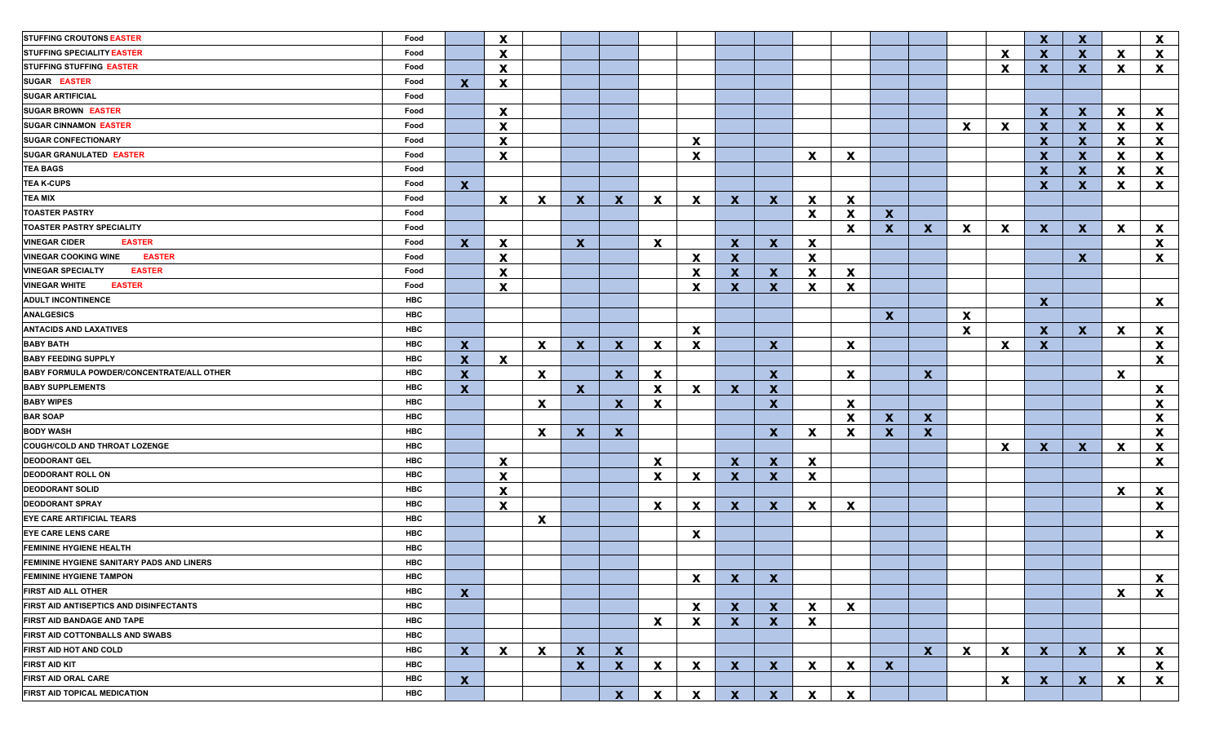| <b>STUFFING CROUTONS EASTER</b>                | Food |              | $\mathbf{x}$ |                           |              |              |              |                           |              |              |              |                           |              |              |              |              | $\mathbf{x}$ | $\mathbf x$  |              | $\mathbf{x}$ |
|------------------------------------------------|------|--------------|--------------|---------------------------|--------------|--------------|--------------|---------------------------|--------------|--------------|--------------|---------------------------|--------------|--------------|--------------|--------------|--------------|--------------|--------------|--------------|
| STUFFING SPECIALITY EASTER                     | Food |              | $\mathbf{x}$ |                           |              |              |              |                           |              |              |              |                           |              |              |              | $\mathbf x$  | X.           | $\mathbf{x}$ | X            | $\mathbf{x}$ |
| <b>STUFFING STUFFING EASTER</b>                | Food |              | $\mathbf{x}$ |                           |              |              |              |                           |              |              |              |                           |              |              |              | $\mathbf x$  | X.           | $\mathbf{x}$ | <b>X</b>     | $\mathbf{x}$ |
| <b>SUGAR EASTER</b>                            | Food | $\mathbf{x}$ | $\mathbf{x}$ |                           |              |              |              |                           |              |              |              |                           |              |              |              |              |              |              |              |              |
| <b>SUGAR ARTIFICIAL</b>                        | Food |              |              |                           |              |              |              |                           |              |              |              |                           |              |              |              |              |              |              |              |              |
| <b>SUGAR BROWN EASTER</b>                      | Food |              | $\mathbf{x}$ |                           |              |              |              |                           |              |              |              |                           |              |              |              |              | X.           | $\mathbf{x}$ | <b>X</b>     | $\mathbf{x}$ |
| <b>SUGAR CINNAMON EASTER</b>                   | Food |              | $\mathbf x$  |                           |              |              |              |                           |              |              |              |                           |              |              | <b>X</b>     | $\mathbf x$  | X.           | $\mathbf x$  | X            | $\mathbf{x}$ |
| <b>SUGAR CONFECTIONARY</b>                     | Food |              | $\mathbf x$  |                           |              |              |              | $\mathbf x$               |              |              |              |                           |              |              |              |              | $\mathbf{x}$ | $\mathbf x$  | <b>X</b>     | $\mathbf{x}$ |
| <b>SUGAR GRANULATED EASTER</b>                 | Food |              | $\mathbf x$  |                           |              |              |              | $\mathbf x$               |              |              | <b>X</b>     | X                         |              |              |              |              | X            | $\mathbf x$  | X            | $\mathbf{x}$ |
| <b>TEA BAGS</b>                                | Food |              |              |                           |              |              |              |                           |              |              |              |                           |              |              |              |              | X            | $\mathbf x$  | X            | X            |
| <b>TEA K-CUPS</b>                              | Food | $\mathbf{x}$ |              |                           |              |              |              |                           |              |              |              |                           |              |              |              |              | X            | $\mathbf x$  | X            | $\mathbf{x}$ |
| <b>TEA MIX</b>                                 | Food |              | $\mathbf{x}$ | $\boldsymbol{\mathsf{x}}$ | $\mathbf{x}$ | $\mathbf x$  | $\mathbf{x}$ | $\mathbf x$               | $\mathbf{x}$ | $\mathbf{x}$ | $\mathbf{x}$ | $\mathbf x$               |              |              |              |              |              |              |              |              |
| <b>TOASTER PASTRY</b>                          | Food |              |              |                           |              |              |              |                           |              |              | $\mathbf{x}$ | $\mathbf x$               | $\mathbf{x}$ |              |              |              |              |              |              |              |
| <b>TOASTER PASTRY SPECIALITY</b>               | Food |              |              |                           |              |              |              |                           |              |              |              | X                         | $\mathbf{x}$ | $\mathbf x$  | <b>X</b>     | $\mathbf x$  | $\mathbf{x}$ | $\mathbf{x}$ | <b>X</b>     | $\mathbf{x}$ |
| <b>VINEGAR CIDER</b><br><b>EASTER</b>          | Food | $\mathbf{x}$ | $\mathbf{x}$ |                           | $\mathbf{x}$ |              | $\mathbf{x}$ |                           | $\mathbf{x}$ | $\mathbf{x}$ | $\mathbf{x}$ |                           |              |              |              |              |              |              |              | $\mathbf{x}$ |
| <b>VINEGAR COOKING WINE</b><br><b>EASTER</b>   | Food |              | $\mathbf x$  |                           |              |              |              | $\boldsymbol{\mathsf{X}}$ | $\mathbf{x}$ |              | $\mathbf{x}$ |                           |              |              |              |              |              | $\mathbf{x}$ |              | $\mathbf{x}$ |
| <b>VINEGAR SPECIALTY</b><br><b>EASTER</b>      | Food |              | $\mathbf{x}$ |                           |              |              |              | $\mathbf x$               | $\mathbf{x}$ | $\mathbf{x}$ | $\mathbf{x}$ | $\mathbf x$               |              |              |              |              |              |              |              |              |
| <b>VINEGAR WHITE</b><br><b>EASTER</b>          | Food |              | $\mathbf{x}$ |                           |              |              |              | $\mathbf x$               | $\mathbf{x}$ | $\mathbf x$  | $\mathbf{x}$ | X                         |              |              |              |              |              |              |              |              |
| <b>ADULT INCONTINENCE</b>                      | HBC  |              |              |                           |              |              |              |                           |              |              |              |                           |              |              |              |              | <b>X</b>     |              |              | $\mathbf{x}$ |
| <b>ANALGESICS</b>                              | HBC  |              |              |                           |              |              |              |                           |              |              |              |                           | <b>X</b>     |              | <b>X</b>     |              |              |              |              |              |
| <b>ANTACIDS AND LAXATIVES</b>                  | HBC  |              |              |                           |              |              |              | $\mathbf{x}$              |              |              |              |                           |              |              | $\mathbf{x}$ |              | X.           | $\mathbf{x}$ | <b>X</b>     | $\mathbf{x}$ |
| <b>BABY BATH</b>                               | HBC  | $\mathbf{x}$ |              | $\mathbf x$               | $\mathbf{X}$ | $\mathbf{x}$ | $\mathbf{x}$ | $\mathbf x$               |              | $\mathbf{x}$ |              | X                         |              |              |              | $\mathbf x$  | X            |              |              | $\mathbf{x}$ |
| <b>BABY FEEDING SUPPLY</b>                     | HBC  | $\mathbf x$  | X            |                           |              |              |              |                           |              |              |              |                           |              |              |              |              |              |              |              | $\mathbf{x}$ |
| BABY FORMULA POWDER/CONCENTRATE/ALL OTHER      | HBC  | $\mathbf x$  |              | $\mathbf{x}$              |              | $\mathbf{x}$ | $\mathbf{x}$ |                           |              | $\mathbf{x}$ |              | X                         |              | $\mathbf{x}$ |              |              |              |              | X            |              |
| <b>BABY SUPPLEMENTS</b>                        | HBC  | $\mathbf x$  |              |                           | $\mathbf{x}$ |              | $\mathbf{x}$ | X                         | $\mathbf{x}$ | $\mathbf x$  |              |                           |              |              |              |              |              |              |              | $\mathbf{x}$ |
| <b>BABY WIPES</b>                              | HBC  |              |              | $\mathbf{x}$              |              | $\mathbf{x}$ | X            |                           |              | $\mathbf x$  |              | $\mathbf x$               |              |              |              |              |              |              |              | $\mathbf{x}$ |
| <b>BAR SOAP</b>                                | HBC  |              |              |                           |              |              |              |                           |              |              |              | X                         | $\mathbf{x}$ | $\mathbf x$  |              |              |              |              |              | $\mathbf{x}$ |
| <b>BODY WASH</b>                               | HBC  |              |              | $\mathbf{x}$              | $\mathbf{x}$ | $\mathbf x$  |              |                           |              | $\mathbf x$  | <b>X</b>     | $\boldsymbol{\mathsf{x}}$ | $\mathbf{x}$ | $\mathbf{x}$ |              |              |              |              |              | $\mathbf{x}$ |
| COUGH/COLD AND THROAT LOZENGE                  | HBC  |              |              |                           |              |              |              |                           |              |              |              |                           |              |              |              | $\mathbf x$  | X.           | $\mathbf{x}$ | X            | $\mathbf{x}$ |
| <b>DEODORANT GEL</b>                           | HBC  |              | $\mathbf{x}$ |                           |              |              | $\mathbf{x}$ |                           | $\mathbf{x}$ | $\mathbf x$  | $\mathbf{x}$ |                           |              |              |              |              |              |              |              | $\mathbf{x}$ |
| DEODORANT ROLL ON                              | HBC  |              | $\mathbf{x}$ |                           |              |              | $\mathbf{x}$ | $\mathbf x$               | $\mathbf{x}$ | $\mathbf x$  | $\mathbf{x}$ |                           |              |              |              |              |              |              |              |              |
| <b>DEODORANT SOLID</b>                         | HBC  |              | $\mathbf{x}$ |                           |              |              |              |                           |              |              |              |                           |              |              |              |              |              |              | X            | $\mathbf{x}$ |
| <b>DEODORANT SPRAY</b>                         | HBC  |              | $\mathbf x$  |                           |              |              | $\mathbf{x}$ | $\mathbf x$               | $\mathbf{X}$ | $\mathbf{x}$ | $\mathbf{x}$ | $\mathbf x$               |              |              |              |              |              |              |              | $\mathbf{x}$ |
| <b>EYE CARE ARTIFICIAL TEARS</b>               | HBC  |              |              | $\boldsymbol{\mathsf{x}}$ |              |              |              |                           |              |              |              |                           |              |              |              |              |              |              |              |              |
| <b>EYE CARE LENS CARE</b>                      | HBC  |              |              |                           |              |              |              | $\mathbf x$               |              |              |              |                           |              |              |              |              |              |              |              | $\mathbf{x}$ |
| <b>FEMININE HYGIENE HEALTH</b>                 | HBC  |              |              |                           |              |              |              |                           |              |              |              |                           |              |              |              |              |              |              |              |              |
| FEMININE HYGIENE SANITARY PADS AND LINERS      | HBC  |              |              |                           |              |              |              |                           |              |              |              |                           |              |              |              |              |              |              |              |              |
| <b>FEMININE HYGIENE TAMPON</b>                 | HBC  |              |              |                           |              |              |              | X                         | <u>X</u>     | <u>X</u>     |              |                           |              |              |              |              |              |              |              | X            |
| <b>FIRST AID ALL OTHER</b>                     | HBC  | $\mathbf{x}$ |              |                           |              |              |              |                           |              |              |              |                           |              |              |              |              |              |              | $\mathbf{x}$ | $\mathbf{x}$ |
| <b>FIRST AID ANTISEPTICS AND DISINFECTANTS</b> | HBC  |              |              |                           |              |              |              | $\mathbf{x}$              | $\mathbf{X}$ | $\mathbf{X}$ | $\mathbf{x}$ | $\mathbf{x}$              |              |              |              |              |              |              |              |              |
| <b>FIRST AID BANDAGE AND TAPE</b>              | HBC  |              |              |                           |              |              | X            | $\boldsymbol{\mathsf{x}}$ | $\mathbf{x}$ | $\mathbf{x}$ | $\mathbf{x}$ |                           |              |              |              |              |              |              |              |              |
| <b>FIRST AID COTTONBALLS AND SWABS</b>         | HBC  |              |              |                           |              |              |              |                           |              |              |              |                           |              |              |              |              |              |              |              |              |
| <b>FIRST AID HOT AND COLD</b>                  | HBC  | $\mathbf{x}$ | $\mathbf{x}$ | $\mathbf{x}$              | $\mathbf{x}$ | $\mathbf{x}$ |              |                           |              |              |              |                           |              | $\mathbf{X}$ | $\mathbf{x}$ | $\mathbf{x}$ | $\mathbf{x}$ | $\mathbf{x}$ | <b>X</b>     | $\mathbf{x}$ |
| <b>FIRST AID KIT</b>                           | HBC  |              |              |                           | $\mathbf{x}$ | $\mathbf{x}$ | $\mathbf{x}$ | $\mathbf{x}$              | $\mathbf{X}$ | $\mathbf{X}$ | $\mathbf{x}$ | $\mathbf{x}$              | $\mathbf{x}$ |              |              |              |              |              |              | $\mathbf{x}$ |
| FIRST AID ORAL CARE                            | HBC  | $\mathbf x$  |              |                           |              |              |              |                           |              |              |              |                           |              |              |              | $\mathbf{x}$ | $\mathbf{x}$ | $\mathbf{x}$ | X            | $\mathbf{x}$ |
| <b>FIRST AID TOPICAL MEDICATION</b>            | HBC  |              |              |                           |              | $\mathbf{x}$ | $\mathbf{x}$ | $\mathbf{x}$              | $\mathbf{X}$ | $\mathbf{x}$ | $\mathbf{x}$ | $\boldsymbol{\mathsf{x}}$ |              |              |              |              |              |              |              |              |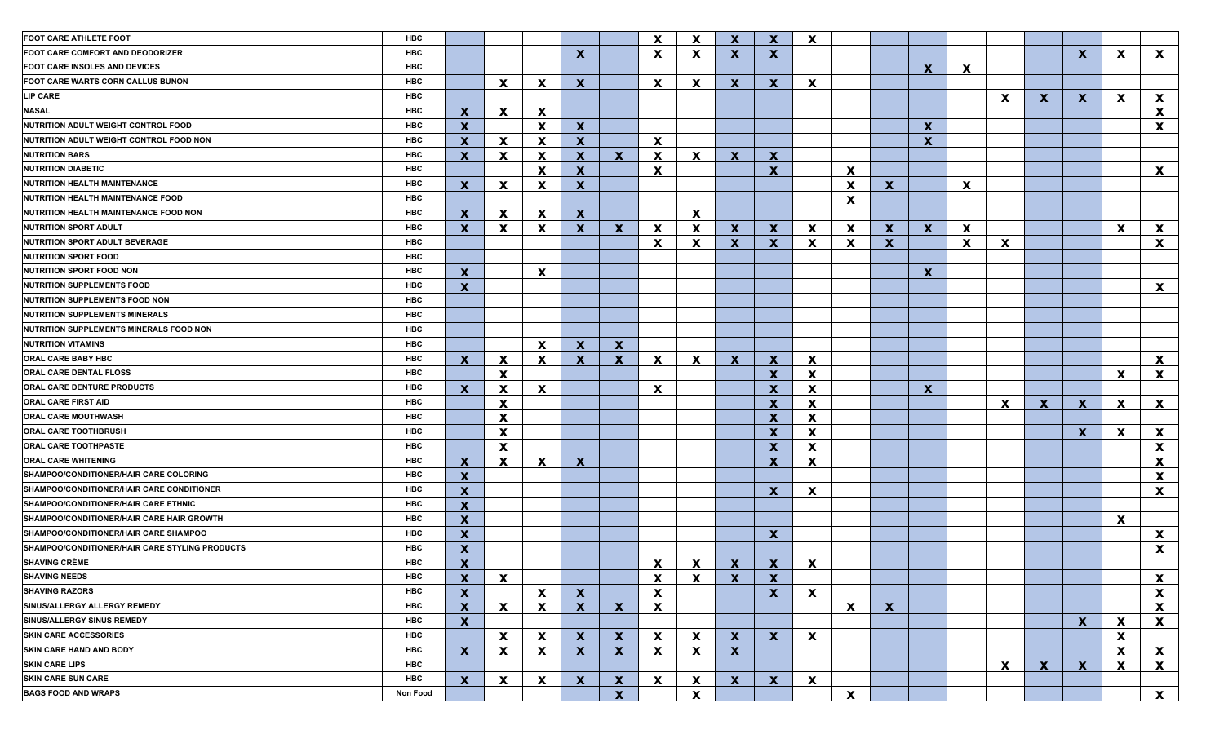| <b>FOOT CARE ATHLETE FOOT</b><br>HBC                         |                           |                           |                           |                           |              | X                         | $\boldsymbol{\mathsf{x}}$ | $\mathbf{x}$ | $\mathbf x$               | $\boldsymbol{\mathsf{x}}$ |                           |                  |                           |   |                           |              |                           |                           |                           |
|--------------------------------------------------------------|---------------------------|---------------------------|---------------------------|---------------------------|--------------|---------------------------|---------------------------|--------------|---------------------------|---------------------------|---------------------------|------------------|---------------------------|---|---------------------------|--------------|---------------------------|---------------------------|---------------------------|
| HBC<br>FOOT CARE COMFORT AND DEODORIZER                      |                           |                           |                           | $\boldsymbol{\mathsf{x}}$ |              | $\mathbf{x}$              | $\boldsymbol{\mathsf{x}}$ | $\mathbf{x}$ | $\boldsymbol{\mathsf{X}}$ |                           |                           |                  |                           |   |                           |              | $\mathbf x$               | X                         | $\mathbf{x}$              |
| HBC<br><b>FOOT CARE INSOLES AND DEVICES</b>                  |                           |                           |                           |                           |              |                           |                           |              |                           |                           |                           |                  | $\mathbf x$               | X |                           |              |                           |                           |                           |
| HBC<br><b>FOOT CARE WARTS CORN CALLUS BUNON</b>              |                           | $\mathbf{x}$              | $\boldsymbol{\mathsf{x}}$ | $\mathbf{x}$              |              | X                         | $\boldsymbol{\mathsf{x}}$ | $\mathbf{x}$ | $\boldsymbol{\mathsf{x}}$ | $\boldsymbol{\mathsf{x}}$ |                           |                  |                           |   |                           |              |                           |                           |                           |
| <b>LIP CARE</b><br><b>HBC</b>                                |                           |                           |                           |                           |              |                           |                           |              |                           |                           |                           |                  |                           |   | X                         | $\mathbf{x}$ | $\mathbf x$               | X                         | $\boldsymbol{\mathsf{x}}$ |
| <b>NASAL</b><br>HBC                                          | $\mathbf x$               | $\boldsymbol{\mathsf{x}}$ | $\boldsymbol{\mathsf{x}}$ |                           |              |                           |                           |              |                           |                           |                           |                  |                           |   |                           |              |                           |                           | X                         |
| HBC<br>NUTRITION ADULT WEIGHT CONTROL FOOD                   | $\boldsymbol{\mathsf{X}}$ |                           | $\boldsymbol{\mathsf{x}}$ | $\mathbf{x}$              |              |                           |                           |              |                           |                           |                           |                  | $\boldsymbol{\mathsf{x}}$ |   |                           |              |                           |                           | X                         |
| NUTRITION ADULT WEIGHT CONTROL FOOD NON<br>HBC               | $\boldsymbol{\mathsf{X}}$ | $\boldsymbol{\mathsf{x}}$ | $\boldsymbol{\mathsf{x}}$ | $\mathbf{x}$              |              | X                         |                           |              |                           |                           |                           |                  | $\boldsymbol{\mathsf{x}}$ |   |                           |              |                           |                           |                           |
| HBC<br><b>NUTRITION BARS</b>                                 | $\boldsymbol{\mathsf{X}}$ | $\boldsymbol{\mathsf{x}}$ | $\boldsymbol{\mathsf{x}}$ | $\mathbf{x}$              | $\mathbf{x}$ | $\boldsymbol{\mathsf{x}}$ | $\boldsymbol{\mathsf{x}}$ | $\mathbf{x}$ | $\boldsymbol{\mathsf{x}}$ |                           |                           |                  |                           |   |                           |              |                           |                           |                           |
| <b>HBC</b><br><b>NUTRITION DIABETIC</b>                      |                           |                           | $\boldsymbol{\mathsf{x}}$ | $\boldsymbol{\mathsf{x}}$ |              | $\mathbf{x}$              |                           |              | $\boldsymbol{\mathsf{X}}$ |                           | $\boldsymbol{\mathsf{X}}$ |                  |                           |   |                           |              |                           |                           | $\mathbf{x}$              |
| HBC<br>NUTRITION HEALTH MAINTENANCE                          | $\mathbf x$               | $\boldsymbol{\mathsf{x}}$ | X                         | $\boldsymbol{\mathsf{x}}$ |              |                           |                           |              |                           |                           | X                         | $\mathbf{x}$     |                           | X |                           |              |                           |                           |                           |
| <b>HBC</b><br>NUTRITION HEALTH MAINTENANCE FOOD              |                           |                           |                           |                           |              |                           |                           |              |                           |                           | X                         |                  |                           |   |                           |              |                           |                           |                           |
| HBC<br>NUTRITION HEALTH MAINTENANCE FOOD NON                 | $\mathbf x$               | $\boldsymbol{\mathsf{x}}$ | $\boldsymbol{\mathsf{x}}$ | $\mathbf{x}$              |              |                           | $\boldsymbol{\mathsf{X}}$ |              |                           |                           |                           |                  |                           |   |                           |              |                           |                           |                           |
| HBC<br>NUTRITION SPORT ADULT                                 | $\mathbf x$               | $\boldsymbol{\mathsf{x}}$ | $\boldsymbol{\mathsf{x}}$ | $\mathbf{x}$              | $\mathbf{x}$ | X                         | $\boldsymbol{\mathsf{x}}$ | $\mathbf{x}$ | $\boldsymbol{\mathsf{x}}$ | $\boldsymbol{\mathsf{x}}$ | $\boldsymbol{\mathsf{X}}$ | $\boldsymbol{x}$ | $\boldsymbol{\mathsf{x}}$ | X |                           |              |                           | $\boldsymbol{\mathsf{x}}$ | $\boldsymbol{\mathsf{x}}$ |
| <b>HBC</b><br>NUTRITION SPORT ADULT BEVERAGE                 |                           |                           |                           |                           |              | $\mathbf{x}$              | X                         | $\mathbf{x}$ | $\boldsymbol{\mathsf{x}}$ | $\mathbf{x}$              | X                         | $\mathbf{x}$     |                           | X | X                         |              |                           |                           | X                         |
| <b>HBC</b><br>NUTRITION SPORT FOOD                           |                           |                           |                           |                           |              |                           |                           |              |                           |                           |                           |                  |                           |   |                           |              |                           |                           |                           |
| HBC<br>NUTRITION SPORT FOOD NON                              | $\mathbf x$               |                           | $\boldsymbol{\mathsf{x}}$ |                           |              |                           |                           |              |                           |                           |                           |                  | $\boldsymbol{\mathsf{X}}$ |   |                           |              |                           |                           |                           |
| <b>HBC</b><br><b>NUTRITION SUPPLEMENTS FOOD</b>              | $\boldsymbol{\mathsf{x}}$ |                           |                           |                           |              |                           |                           |              |                           |                           |                           |                  |                           |   |                           |              |                           |                           | $\boldsymbol{\mathsf{x}}$ |
| <b>HBC</b><br>NUTRITION SUPPLEMENTS FOOD NON                 |                           |                           |                           |                           |              |                           |                           |              |                           |                           |                           |                  |                           |   |                           |              |                           |                           |                           |
| <b>HBC</b><br><b>NUTRITION SUPPLEMENTS MINERALS</b>          |                           |                           |                           |                           |              |                           |                           |              |                           |                           |                           |                  |                           |   |                           |              |                           |                           |                           |
| <b>HBC</b><br>NUTRITION SUPPLEMENTS MINERALS FOOD NON        |                           |                           |                           |                           |              |                           |                           |              |                           |                           |                           |                  |                           |   |                           |              |                           |                           |                           |
| <b>NUTRITION VITAMINS</b><br><b>HBC</b>                      |                           |                           | $\boldsymbol{\mathsf{x}}$ | $\mathbf{x}$              | $\mathbf{x}$ |                           |                           |              |                           |                           |                           |                  |                           |   |                           |              |                           |                           |                           |
| <b>ORAL CARE BABY HBC</b><br>HBC                             | $\mathbf x$               | $\boldsymbol{\mathsf{x}}$ | X                         | $\mathbf{x}$              | $\mathbf{x}$ | $\boldsymbol{\mathsf{x}}$ | X                         | $\mathbf{x}$ | $\boldsymbol{\mathsf{x}}$ | X                         |                           |                  |                           |   |                           |              |                           |                           | $\boldsymbol{\mathsf{x}}$ |
| <b>ORAL CARE DENTAL FLOSS</b><br><b>HBC</b>                  |                           | $\boldsymbol{\mathsf{X}}$ |                           |                           |              |                           |                           |              | $\boldsymbol{\mathsf{x}}$ | $\boldsymbol{\mathsf{X}}$ |                           |                  |                           |   |                           |              |                           | $\boldsymbol{\mathsf{x}}$ | X                         |
| ORAL CARE DENTURE PRODUCTS<br>HBC                            | $\mathbf x$               | $\boldsymbol{\mathsf{x}}$ | $\boldsymbol{\mathsf{X}}$ |                           |              | X                         |                           |              | $\boldsymbol{\mathsf{x}}$ | $\boldsymbol{\mathsf{X}}$ |                           |                  | $\boldsymbol{\mathsf{X}}$ |   |                           |              |                           |                           |                           |
| <b>HBC</b><br><b>ORAL CARE FIRST AID</b>                     |                           | X                         |                           |                           |              |                           |                           |              | $\boldsymbol{\mathsf{x}}$ | $\boldsymbol{\mathsf{X}}$ |                           |                  |                           |   | X                         | $\mathbf{x}$ | $\mathbf{x}$              | $\boldsymbol{\mathsf{x}}$ | $\mathbf{x}$              |
| <b>HBC</b><br><b>ORAL CARE MOUTHWASH</b>                     |                           | X                         |                           |                           |              |                           |                           |              | $\boldsymbol{\mathsf{x}}$ | $\boldsymbol{\mathsf{X}}$ |                           |                  |                           |   |                           |              |                           |                           |                           |
| <b>HBC</b><br><b>ORAL CARE TOOTHBRUSH</b>                    |                           | X                         |                           |                           |              |                           |                           |              | $\boldsymbol{\mathsf{x}}$ | $\boldsymbol{\mathsf{X}}$ |                           |                  |                           |   |                           |              | $\boldsymbol{\mathsf{x}}$ | X                         | $\boldsymbol{\mathsf{x}}$ |
| <b>ORAL CARE TOOTHPASTE</b><br><b>HBC</b>                    |                           | X                         |                           |                           |              |                           |                           |              | $\boldsymbol{\mathsf{x}}$ | $\boldsymbol{\mathsf{X}}$ |                           |                  |                           |   |                           |              |                           |                           | $\boldsymbol{\mathsf{x}}$ |
| <b>ORAL CARE WHITENING</b><br><b>HBC</b>                     | $\boldsymbol{\mathsf{x}}$ | $\boldsymbol{\mathsf{x}}$ | X                         | $\mathbf{x}$              |              |                           |                           |              | $\boldsymbol{\mathsf{x}}$ | $\boldsymbol{\mathsf{x}}$ |                           |                  |                           |   |                           |              |                           |                           | $\boldsymbol{\mathsf{x}}$ |
| SHAMPOO/CONDITIONER/HAIR CARE COLORING<br><b>HBC</b>         | $\boldsymbol{\mathsf{X}}$ |                           |                           |                           |              |                           |                           |              |                           |                           |                           |                  |                           |   |                           |              |                           |                           | $\boldsymbol{\mathsf{x}}$ |
| SHAMPOO/CONDITIONER/HAIR CARE CONDITIONER<br><b>HBC</b>      | $\boldsymbol{\mathsf{X}}$ |                           |                           |                           |              |                           |                           |              | $\boldsymbol{\mathsf{x}}$ | X                         |                           |                  |                           |   |                           |              |                           |                           | X                         |
| SHAMPOO/CONDITIONER/HAIR CARE ETHNIC<br><b>HBC</b>           | $\boldsymbol{\mathsf{X}}$ |                           |                           |                           |              |                           |                           |              |                           |                           |                           |                  |                           |   |                           |              |                           |                           |                           |
| SHAMPOO/CONDITIONER/HAIR CARE HAIR GROWTH<br><b>HBC</b>      | $\boldsymbol{\mathsf{X}}$ |                           |                           |                           |              |                           |                           |              |                           |                           |                           |                  |                           |   |                           |              |                           | $\boldsymbol{\mathsf{x}}$ |                           |
| SHAMPOO/CONDITIONER/HAIR CARE SHAMPOO<br><b>HBC</b>          | $\boldsymbol{\mathsf{X}}$ |                           |                           |                           |              |                           |                           |              | $\boldsymbol{\mathsf{x}}$ |                           |                           |                  |                           |   |                           |              |                           |                           | $\boldsymbol{\mathsf{x}}$ |
| SHAMPOO/CONDITIONER/HAIR CARE STYLING PRODUCTS<br><b>HBC</b> | $\boldsymbol{\mathsf{x}}$ |                           |                           |                           |              |                           |                           |              |                           |                           |                           |                  |                           |   |                           |              |                           |                           | X                         |
| <b>SHAVING CRÈME</b><br><b>HBC</b>                           | $\boldsymbol{\mathsf{x}}$ |                           |                           |                           |              | $\boldsymbol{\mathsf{X}}$ | $\boldsymbol{\mathsf{X}}$ | $\mathbf{x}$ | $\boldsymbol{\mathsf{x}}$ | X                         |                           |                  |                           |   |                           |              |                           |                           |                           |
| <b>SHAVING NEEDS</b><br>HBC                                  | $\mathbf{x}$              | $\mathbf{x}$              |                           |                           |              | $\boldsymbol{\mathsf{X}}$ | $\mathbf{x}$              | $\mathbf{x}$ | $\sim$<br>$\mathbf{x}$    |                           |                           |                  |                           |   |                           |              |                           |                           | $\mathbf{x}$              |
| <b>HBC</b><br><b>SHAVING RAZORS</b>                          | $\boldsymbol{\mathsf{X}}$ |                           | $\boldsymbol{\mathsf{x}}$ | $\mathbf{x}$              |              | $\mathbf{x}$              |                           |              | $\boldsymbol{X}$          | $\mathbf{x}$              |                           |                  |                           |   |                           |              |                           |                           | $\boldsymbol{\mathsf{X}}$ |
| SINUS/ALLERGY ALLERGY REMEDY<br>HBC                          | $\boldsymbol{\mathsf{X}}$ | $\boldsymbol{\mathsf{x}}$ | $\boldsymbol{\mathsf{X}}$ | $\mathbf{x}$              | $\mathbf{X}$ | $\mathbf{x}$              |                           |              |                           |                           | $\boldsymbol{\mathsf{x}}$ | $\mathbf{x}$     |                           |   |                           |              |                           |                           | $\boldsymbol{\mathsf{X}}$ |
| <b>SINUS/ALLERGY SINUS REMEDY</b><br>HBC                     | $\boldsymbol{\mathsf{X}}$ |                           |                           |                           |              |                           |                           |              |                           |                           |                           |                  |                           |   |                           |              | $\boldsymbol{X}$          | X                         | $\boldsymbol{\mathsf{X}}$ |
| <b>SKIN CARE ACCESSORIES</b><br><b>HBC</b>                   |                           | $\boldsymbol{\mathsf{x}}$ | $\boldsymbol{\mathsf{x}}$ | $\mathbf{X}$              | $\mathbf{X}$ | $\mathbf{x}$              | $\boldsymbol{\mathsf{x}}$ | $\mathbf{x}$ | $\mathbf{x}$              | $\mathbf{x}$              |                           |                  |                           |   |                           |              |                           | $\boldsymbol{\mathsf{X}}$ |                           |
| <b>SKIN CARE HAND AND BODY</b><br>HBC                        | $\boldsymbol{\mathsf{x}}$ | $\boldsymbol{\mathsf{x}}$ | $\boldsymbol{\mathsf{X}}$ | $\mathbf{x}$              | $\mathbf{x}$ | $\mathbf{x}$              | $\boldsymbol{\mathsf{X}}$ | $\mathbf{x}$ |                           |                           |                           |                  |                           |   |                           |              |                           | X                         | $\mathbf{x}$              |
| <b>SKIN CARE LIPS</b><br><b>HBC</b>                          |                           |                           |                           |                           |              |                           |                           |              |                           |                           |                           |                  |                           |   | $\boldsymbol{\mathsf{x}}$ | X            | $\boldsymbol{\mathsf{x}}$ | X                         | $\mathbf{x}$              |
| <b>SKIN CARE SUN CARE</b><br>HBC                             | $\boldsymbol{\mathsf{x}}$ | $\boldsymbol{\mathsf{X}}$ | $\boldsymbol{\mathsf{x}}$ | $\mathbf{X}$              | $\mathbf{x}$ | $\boldsymbol{\mathsf{x}}$ | $\boldsymbol{\mathsf{X}}$ | $\mathbf{x}$ | $\mathbf{x}$              | $\boldsymbol{\mathsf{X}}$ |                           |                  |                           |   |                           |              |                           |                           |                           |
| <b>BAGS FOOD AND WRAPS</b><br>Non Food                       |                           |                           |                           |                           | $\mathbf{x}$ |                           | $\boldsymbol{\mathsf{X}}$ |              |                           |                           | $\boldsymbol{\mathsf{X}}$ |                  |                           |   |                           |              |                           |                           | $\mathbf{x}$              |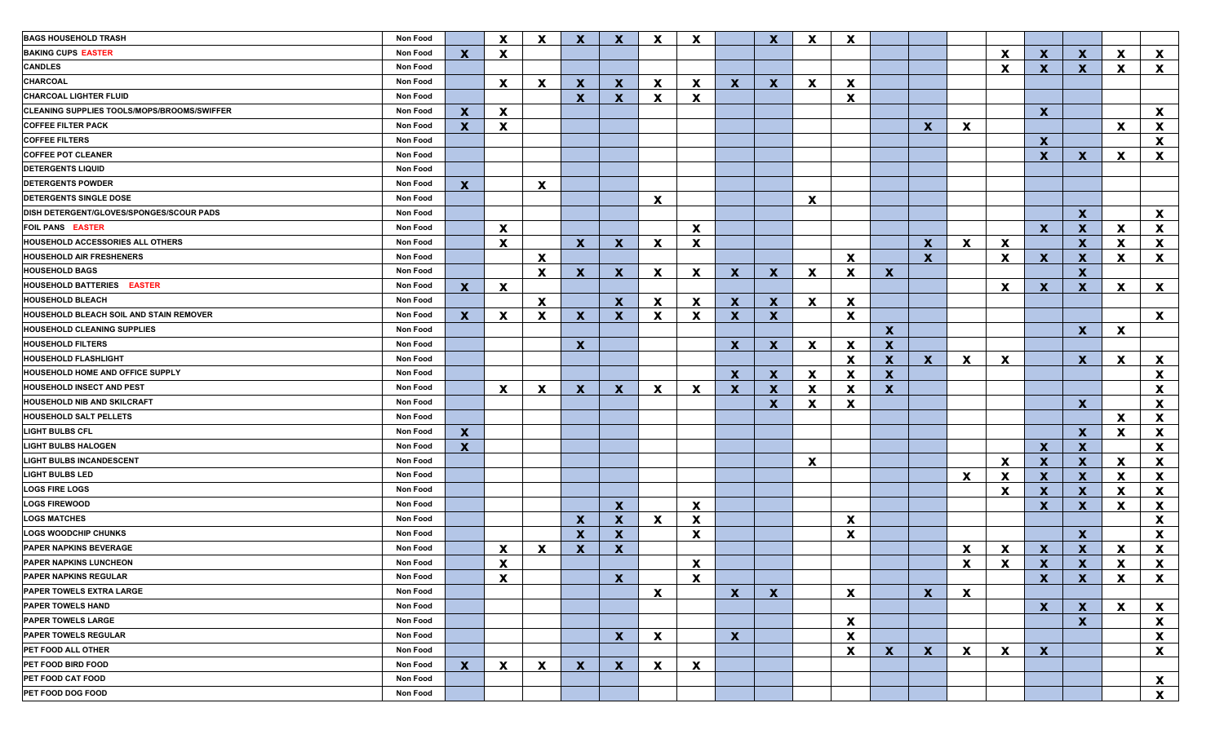| <b>BAGS HOUSEHOLD TRASH</b>                    | <b>Non Food</b> |              | $\mathbf{x}$              | $\boldsymbol{\mathsf{x}}$ | $\mathbf{x}$ | $\mathbf x$               | X            | $\mathbf x$               |              | $\mathbf x$               | $\mathbf x$  | $\boldsymbol{\mathsf{X}}$ |                           |              |              |                           |                           |              |              |              |
|------------------------------------------------|-----------------|--------------|---------------------------|---------------------------|--------------|---------------------------|--------------|---------------------------|--------------|---------------------------|--------------|---------------------------|---------------------------|--------------|--------------|---------------------------|---------------------------|--------------|--------------|--------------|
| <b>BAKING CUPS EASTER</b>                      | Non Food        | $\mathbf x$  | $\mathbf{x}$              |                           |              |                           |              |                           |              |                           |              |                           |                           |              |              | $\mathbf{x}$              | $\mathbf{x}$              | $\mathbf{X}$ | $\mathbf{x}$ | $\mathbf{x}$ |
| <b>CANDLES</b>                                 | Non Food        |              |                           |                           |              |                           |              |                           |              |                           |              |                           |                           |              |              | $\boldsymbol{\mathsf{x}}$ | $\mathbf{x}$              | $\mathbf x$  | $\mathbf{x}$ | $\mathbf{x}$ |
| CHARCOAL                                       | Non Food        |              | $\mathbf{x}$              | $\mathbf{x}$              | $\mathbf{x}$ | $\mathbf x$               | $\mathbf{x}$ | $\mathbf x$               | $\mathbf{x}$ | $\mathbf x$               | $\mathbf{x}$ | $\mathbf x$               |                           |              |              |                           |                           |              |              |              |
| <b>CHARCOAL LIGHTER FLUID</b>                  | Non Food        |              |                           |                           | $\mathbf{x}$ | $\mathbf{x}$              | X            | $\mathbf x$               |              |                           |              | $\boldsymbol{\mathsf{X}}$ |                           |              |              |                           |                           |              |              |              |
| CLEANING SUPPLIES TOOLS/MOPS/BROOMS/SWIFFER    | Non Food        | $\mathbf{x}$ | $\mathbf{x}$              |                           |              |                           |              |                           |              |                           |              |                           |                           |              |              |                           | $\mathbf{x}$              |              |              | $\mathbf{x}$ |
| <b>COFFEE FILTER PACK</b>                      | Non Food        | X            | X                         |                           |              |                           |              |                           |              |                           |              |                           |                           | $\mathbf{x}$ | $\mathbf{x}$ |                           |                           |              | $\mathbf{x}$ | X            |
| <b>COFFEE FILTERS</b>                          | Non Food        |              |                           |                           |              |                           |              |                           |              |                           |              |                           |                           |              |              |                           | $\mathbf{x}$              |              |              | X            |
| <b>COFFEE POT CLEANER</b>                      | Non Food        |              |                           |                           |              |                           |              |                           |              |                           |              |                           |                           |              |              |                           | $\mathbf{x}$              | $\mathbf{x}$ | X            | X            |
| <b>DETERGENTS LIQUID</b>                       | Non Food        |              |                           |                           |              |                           |              |                           |              |                           |              |                           |                           |              |              |                           |                           |              |              |              |
| <b>DETERGENTS POWDER</b>                       | Non Food        | $\mathbf{x}$ |                           | $\mathbf x$               |              |                           |              |                           |              |                           |              |                           |                           |              |              |                           |                           |              |              |              |
| <b>DETERGENTS SINGLE DOSE</b>                  | Non Food        |              |                           |                           |              |                           | X            |                           |              |                           | $\mathbf{x}$ |                           |                           |              |              |                           |                           |              |              |              |
| DISH DETERGENT/GLOVES/SPONGES/SCOUR PADS       | Non Food        |              |                           |                           |              |                           |              |                           |              |                           |              |                           |                           |              |              |                           |                           | $\mathbf{x}$ |              | $\mathbf{x}$ |
| <b>FOIL PANS EASTER</b>                        | Non Food        |              | $\mathbf{x}$              |                           |              |                           |              | $\boldsymbol{\mathsf{x}}$ |              |                           |              |                           |                           |              |              |                           | $\mathbf{x}$              | $\mathbf x$  | <b>X</b>     | X            |
| HOUSEHOLD ACCESSORIES ALL OTHERS               | Non Food        |              | $\mathbf{x}$              |                           | $\mathbf{x}$ | $\mathbf{x}$              | X            | $\mathbf x$               |              |                           |              |                           |                           | $\mathbf{x}$ | $\mathbf{x}$ | $\mathbf x$               |                           | $\mathbf x$  | <b>X</b>     | X            |
| <b>HOUSEHOLD AIR FRESHENERS</b>                | Non Food        |              |                           | $\boldsymbol{\mathsf{x}}$ |              |                           |              |                           |              |                           |              | $\boldsymbol{\mathsf{x}}$ |                           | $\mathbf{x}$ |              | $\mathbf x$               | $\mathbf{x}$              | $\mathbf x$  | X            | X            |
| <b>HOUSEHOLD BAGS</b>                          | Non Food        |              |                           | $\mathbf x$               | $\mathbf{x}$ | $\mathbf{x}$              | $\mathbf{x}$ | $\mathbf x$               | $\mathbf{x}$ | $\mathbf x$               | $\mathbf{x}$ | $\boldsymbol{\mathsf{x}}$ | $\boldsymbol{\mathsf{X}}$ |              |              |                           |                           | $\mathbf{x}$ |              |              |
| <b>HOUSEHOLD BATTERIES EASTER</b>              | Non Food        | $\mathbf{x}$ | $\mathbf{x}$              |                           |              |                           |              |                           |              |                           |              |                           |                           |              |              | $\mathbf x$               | $\boldsymbol{\mathsf{x}}$ | $\mathbf x$  | X            | $\mathbf{x}$ |
| <b>HOUSEHOLD BLEACH</b>                        | Non Food        |              |                           | $\mathbf{x}$              |              | $\mathbf x$               | $\mathbf{x}$ | $\boldsymbol{\mathsf{x}}$ | $\mathbf{x}$ | $\mathbf x$               | $\mathbf{x}$ | $\boldsymbol{\mathsf{X}}$ |                           |              |              |                           |                           |              |              |              |
| <b>HOUSEHOLD BLEACH SOIL AND STAIN REMOVER</b> | Non Food        | $\mathbf{x}$ | X                         | $\mathbf x$               | $\mathbf{x}$ | $\mathbf{x}$              | $\mathbf{x}$ | $\mathbf x$               | $\mathbf{x}$ | $\mathbf x$               |              | $\boldsymbol{\mathsf{X}}$ |                           |              |              |                           |                           |              |              | $\mathbf{x}$ |
| <b>HOUSEHOLD CLEANING SUPPLIES</b>             | Non Food        |              |                           |                           |              |                           |              |                           |              |                           |              |                           | $\mathbf{x}$              |              |              |                           |                           | $\mathbf{x}$ | X            |              |
| <b>HOUSEHOLD FILTERS</b>                       | Non Food        |              |                           |                           | $\mathbf{x}$ |                           |              |                           | $\mathbf{x}$ | $\mathbf x$               | $\mathbf{x}$ | $\boldsymbol{\mathsf{X}}$ | $\mathbf{x}$              |              |              |                           |                           |              |              |              |
| <b>HOUSEHOLD FLASHLIGHT</b>                    | Non Food        |              |                           |                           |              |                           |              |                           |              |                           |              | $\boldsymbol{\mathsf{X}}$ | $\mathbf{x}$              | $\mathbf{x}$ | $\mathbf{x}$ | $\boldsymbol{\mathsf{X}}$ |                           | $\mathbf{x}$ | <b>X</b>     | $\mathbf{x}$ |
| HOUSEHOLD HOME AND OFFICE SUPPLY               | Non Food        |              |                           |                           |              |                           |              |                           | $\mathbf{x}$ | $\mathbf x$               | $\mathbf{x}$ | $\boldsymbol{\mathsf{X}}$ | $\mathbf{x}$              |              |              |                           |                           |              |              | X            |
| <b>HOUSEHOLD INSECT AND PEST</b>               | Non Food        |              | $\mathbf{x}$              | $\mathbf x$               | $\mathbf{x}$ | $\mathbf x$               | $\mathbf{x}$ | $\boldsymbol{\mathsf{x}}$ | $\mathbf{x}$ | $\boldsymbol{\mathsf{x}}$ | $\mathbf{x}$ | $\boldsymbol{\mathsf{X}}$ | $\boldsymbol{\mathsf{x}}$ |              |              |                           |                           |              |              | $\mathbf{x}$ |
| HOUSEHOLD NIB AND SKILCRAFT                    | Non Food        |              |                           |                           |              |                           |              |                           |              | $\mathbf x$               | $\mathbf{x}$ | X                         |                           |              |              |                           |                           | $\mathbf{x}$ |              | $\mathbf{x}$ |
| <b>HOUSEHOLD SALT PELLETS</b>                  | Non Food        |              |                           |                           |              |                           |              |                           |              |                           |              |                           |                           |              |              |                           |                           |              | $\mathbf{x}$ | $\mathbf{x}$ |
| <b>LIGHT BULBS CFL</b>                         | Non Food        |              |                           |                           |              |                           |              |                           |              |                           |              |                           |                           |              |              |                           |                           |              |              |              |
| <b>LIGHT BULBS HALOGEN</b>                     | Non Food        | $\mathbf{x}$ |                           |                           |              |                           |              |                           |              |                           |              |                           |                           |              |              |                           |                           | $\mathbf{x}$ | <b>X</b>     | X            |
| <b>LIGHT BULBS INCANDESCENT</b>                | Non Food        | $\mathbf{x}$ |                           |                           |              |                           |              |                           |              |                           |              |                           |                           |              |              |                           | $\mathbf{x}$              | $\mathbf{x}$ |              | $\mathbf{x}$ |
|                                                |                 |              |                           |                           |              |                           |              |                           |              |                           | $\mathbf{x}$ |                           |                           |              |              | $\mathbf{x}$              | $\mathbf{x}$              | $\mathbf x$  | <b>X</b>     | $\mathbf{x}$ |
| <b>LIGHT BULBS LED</b>                         | Non Food        |              |                           |                           |              |                           |              |                           |              |                           |              |                           |                           |              | $\mathbf{x}$ | $\boldsymbol{\mathsf{x}}$ | $\mathbf{x}$              | $\mathbf x$  | <b>X</b>     | $\mathbf{x}$ |
| <b>LOGS FIRE LOGS</b>                          | Non Food        |              |                           |                           |              |                           |              |                           |              |                           |              |                           |                           |              |              | $\mathbf x$               | $\mathbf{x}$              | $\mathbf x$  | <b>X</b>     | X            |
| <b>LOGS FIREWOOD</b>                           | Non Food        |              |                           |                           |              | $\mathbf{x}$              |              | $\boldsymbol{\mathsf{x}}$ |              |                           |              |                           |                           |              |              |                           | $\mathbf{x}$              | $\mathbf{x}$ | <b>X</b>     | X            |
| <b>LOGS MATCHES</b>                            | Non Food        |              |                           |                           | $\mathbf{x}$ | $\mathbf x$               | $\mathbf{x}$ | $\mathbf x$               |              |                           |              | $\boldsymbol{\mathsf{X}}$ |                           |              |              |                           |                           |              |              | X            |
| <b>LOGS WOODCHIP CHUNKS</b>                    | Non Food        |              |                           |                           | $\mathbf{x}$ | $\mathbf x$               |              | $\mathbf x$               |              |                           |              | X                         |                           |              |              |                           |                           | $\mathbf{x}$ |              | X            |
| PAPER NAPKINS BEVERAGE                         | Non Food        |              | $\mathbf{x}$              | $\boldsymbol{\mathsf{x}}$ | $\mathbf{x}$ | $\boldsymbol{\mathsf{X}}$ |              |                           |              |                           |              |                           |                           |              | $\mathbf x$  | $\mathbf x$               | X                         | $\mathbf x$  | <b>X</b>     | X            |
| PAPER NAPKINS LUNCHEON                         | Non Food        |              | $\boldsymbol{\mathsf{X}}$ |                           |              |                           |              | $\boldsymbol{\mathsf{X}}$ |              |                           |              |                           |                           |              | X            | $\boldsymbol{\mathsf{x}}$ | $\boldsymbol{X}$          | X            | X            | X            |
| <b>PAPER NAPKINS REGULAR</b>                   | Non Food        |              | X                         |                           |              | $\mathbf{x}$              |              | X                         |              |                           |              |                           |                           |              |              |                           | $\mathbf{X}$              | $\mathbf{X}$ | X            | <u>X</u>     |
| <b>PAPER TOWELS EXTRA LARGE</b>                | Non Food        |              |                           |                           |              |                           | $\mathbf{x}$ |                           | $\mathbf{x}$ | $\mathbf{x}$              |              | $\mathbf x$               |                           | $\mathbf{x}$ | $\mathbf{x}$ |                           |                           |              |              |              |
| <b>PAPER TOWELS HAND</b>                       | Non Food        |              |                           |                           |              |                           |              |                           |              |                           |              |                           |                           |              |              |                           | $\mathbf{x}$              | $\mathbf{x}$ | $\mathbf{x}$ | $\mathbf{x}$ |
| <b>PAPER TOWELS LARGE</b>                      | Non Food        |              |                           |                           |              |                           |              |                           |              |                           |              | $\boldsymbol{\mathsf{X}}$ |                           |              |              |                           |                           | $\mathbf{x}$ |              | X            |
| PAPER TOWELS REGULAR                           | Non Food        |              |                           |                           |              | $\mathbf{x}$              | $\mathbf{x}$ |                           | $\mathbf{x}$ |                           |              | $\boldsymbol{\mathsf{X}}$ |                           |              |              |                           |                           |              |              | X            |
| PET FOOD ALL OTHER                             | Non Food        |              |                           |                           |              |                           |              |                           |              |                           |              | $\boldsymbol{\mathsf{X}}$ | $\mathbf{x}$              | $\mathbf{x}$ | $\mathbf{x}$ | $\mathbf{x}$              | $\mathbf{x}$              |              |              | X            |
| PET FOOD BIRD FOOD                             | Non Food        | $\mathbf x$  | $\mathbf{x}$              | X                         | $\mathbf{x}$ | $\mathbf{x}$              | $\mathbf{x}$ | $\boldsymbol{\mathsf{x}}$ |              |                           |              |                           |                           |              |              |                           |                           |              |              |              |
| PET FOOD CAT FOOD                              | Non Food        |              |                           |                           |              |                           |              |                           |              |                           |              |                           |                           |              |              |                           |                           |              |              | $\mathbf{x}$ |
| PET FOOD DOG FOOD                              | Non Food        |              |                           |                           |              |                           |              |                           |              |                           |              |                           |                           |              |              |                           |                           |              |              | $\mathbf{x}$ |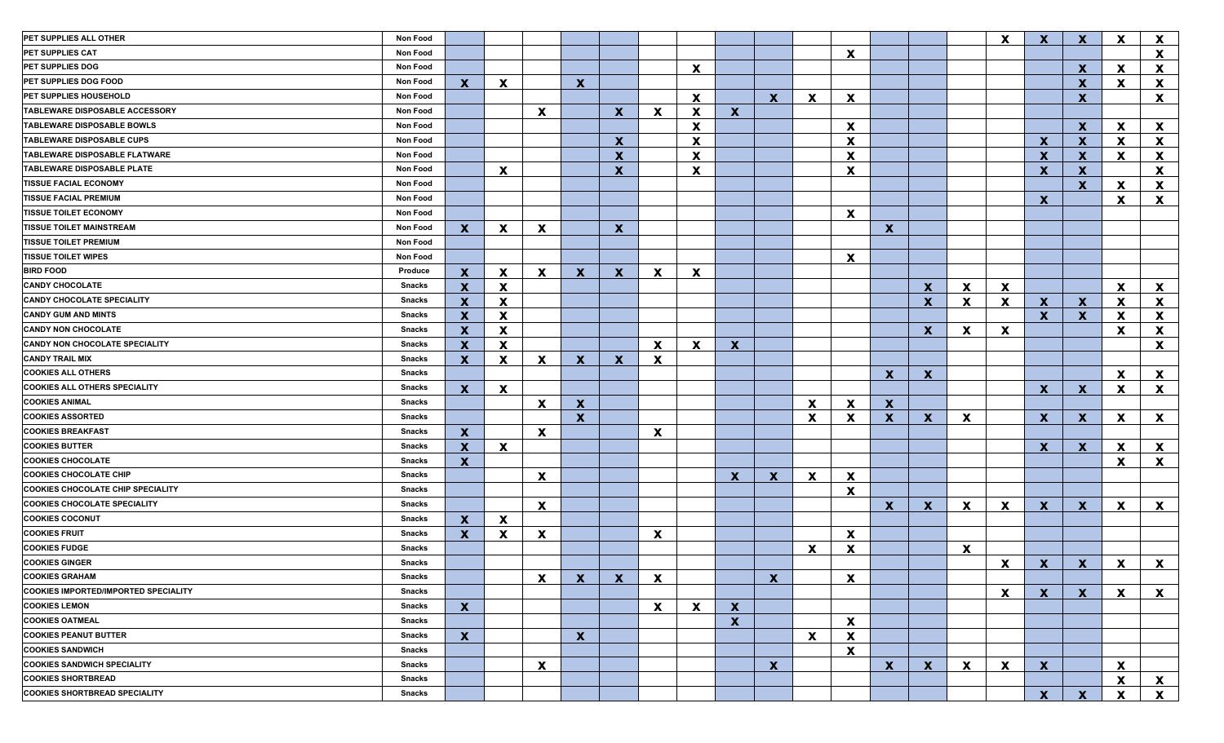| PET SUPPLIES ALL OTHER                      | Non Food |                           |              |                           |              |              |              |                           |              |              |              |                           |              |              |              | $\boldsymbol{\mathsf{x}}$ | $\mathbf{x}$ | $\mathbf x$  | X            | X                         |
|---------------------------------------------|----------|---------------------------|--------------|---------------------------|--------------|--------------|--------------|---------------------------|--------------|--------------|--------------|---------------------------|--------------|--------------|--------------|---------------------------|--------------|--------------|--------------|---------------------------|
| PET SUPPLIES CAT                            | Non Food |                           |              |                           |              |              |              |                           |              |              |              | X                         |              |              |              |                           |              |              |              | X                         |
| <b>PET SUPPLIES DOG</b>                     | Non Food |                           |              |                           |              |              |              | $\boldsymbol{\mathsf{X}}$ |              |              |              |                           |              |              |              |                           |              | $\mathbf x$  | X            | X                         |
| <b>PET SUPPLIES DOG FOOD</b>                | Non Food | $\mathbf x$               | $\mathbf{x}$ |                           | $\mathbf{x}$ |              |              |                           |              |              |              |                           |              |              |              |                           |              | $\mathbf x$  | X.           | X                         |
| PET SUPPLIES HOUSEHOLD                      | Non Food |                           |              |                           |              |              |              | $\boldsymbol{\mathsf{x}}$ |              | $\mathbf x$  | X            | $\boldsymbol{\mathsf{X}}$ |              |              |              |                           |              | $\mathbf{x}$ |              | X                         |
| <b>TABLEWARE DISPOSABLE ACCESSORY</b>       | Non Food |                           |              | $\mathbf{x}$              |              | $\mathbf{x}$ | $\mathbf{x}$ | $\boldsymbol{\mathsf{x}}$ | $\mathbf{x}$ |              |              |                           |              |              |              |                           |              |              |              |                           |
| <b>TABLEWARE DISPOSABLE BOWLS</b>           | Non Food |                           |              |                           |              |              |              | $\boldsymbol{\mathsf{x}}$ |              |              |              | $\boldsymbol{\mathsf{X}}$ |              |              |              |                           |              | $\mathbf x$  | <b>X</b>     | $\mathbf{x}$              |
| <b>TABLEWARE DISPOSABLE CUPS</b>            | Non Food |                           |              |                           |              | $\mathbf x$  |              | $\boldsymbol{\mathsf{x}}$ |              |              |              | $\boldsymbol{\mathsf{x}}$ |              |              |              |                           | $\mathbf x$  | $\mathbf x$  | <b>X</b>     | $\mathbf{x}$              |
| <b>TABLEWARE DISPOSABLE FLATWARE</b>        | Non Food |                           |              |                           |              | $\mathbf x$  |              | $\boldsymbol{\mathsf{x}}$ |              |              |              | X                         |              |              |              |                           | $\mathbf x$  | $\mathbf x$  | <b>X</b>     | X                         |
| TABLEWARE DISPOSABLE PLATE                  | Non Food |                           | $\mathbf{x}$ |                           |              | $\mathbf x$  |              | X                         |              |              |              | X                         |              |              |              |                           | $\mathbf{x}$ | $\mathbf x$  |              | X                         |
| <b>TISSUE FACIAL ECONOMY</b>                | Non Food |                           |              |                           |              |              |              |                           |              |              |              |                           |              |              |              |                           |              | $\mathbf x$  | <b>X</b>     | X                         |
| <b>TISSUE FACIAL PREMIUM</b>                | Non Food |                           |              |                           |              |              |              |                           |              |              |              |                           |              |              |              |                           | $\mathbf{x}$ |              | $\mathbf{x}$ | $\mathbf{x}$              |
| <b>TISSUE TOILET ECONOMY</b>                | Non Food |                           |              |                           |              |              |              |                           |              |              |              | $\boldsymbol{\mathsf{X}}$ |              |              |              |                           |              |              |              |                           |
| <b>TISSUE TOILET MAINSTREAM</b>             | Non Food | $\mathbf{X}$              | $\mathbf{x}$ | $\mathbf x$               |              | $\mathbf x$  |              |                           |              |              |              |                           | $\mathbf{x}$ |              |              |                           |              |              |              |                           |
| <b>TISSUE TOILET PREMIUM</b>                | Non Food |                           |              |                           |              |              |              |                           |              |              |              |                           |              |              |              |                           |              |              |              |                           |
| <b>TISSUE TOILET WIPES</b>                  | Non Food |                           |              |                           |              |              |              |                           |              |              |              | $\boldsymbol{\mathsf{X}}$ |              |              |              |                           |              |              |              |                           |
| <b>BIRD FOOD</b>                            | Produce  | $\mathbf{X}$              | $\mathbf{x}$ | $\mathbf{x}$              | $\mathbf{X}$ | $\mathbf{x}$ | $\mathbf{x}$ | $\boldsymbol{\mathsf{X}}$ |              |              |              |                           |              |              |              |                           |              |              |              |                           |
| <b>CANDY CHOCOLATE</b>                      | Snacks   | $\mathbf x$               | $\mathbf{x}$ |                           |              |              |              |                           |              |              |              |                           |              | $\mathbf{x}$ | $\mathbf{x}$ | $\mathbf{x}$              |              |              | $\mathbf{x}$ | $\mathbf{x}$              |
| <b>CANDY CHOCOLATE SPECIALITY</b>           | Snacks   | $\mathbf x$               | X            |                           |              |              |              |                           |              |              |              |                           |              | $\mathbf{x}$ | $\mathbf{x}$ | $\mathbf{x}$              | $\mathbf{x}$ | $\mathbf{x}$ | X.           | $\mathbf{x}$              |
| <b>CANDY GUM AND MINTS</b>                  | Snacks   | $\mathbf x$               | $\mathbf{x}$ |                           |              |              |              |                           |              |              |              |                           |              |              |              |                           | $\mathbf{x}$ | $\mathbf x$  | X.           | X                         |
| <b>CANDY NON CHOCOLATE</b>                  | Snacks   | $\mathbf x$               | X            |                           |              |              |              |                           |              |              |              |                           |              | $\mathbf{x}$ | X            | $\boldsymbol{\mathsf{x}}$ |              |              | <b>X</b>     | X                         |
| CANDY NON CHOCOLATE SPECIALITY              | Snacks   | $\boldsymbol{\mathsf{X}}$ | $\mathbf{x}$ |                           |              |              | $\mathbf{x}$ | X                         | $\mathbf{x}$ |              |              |                           |              |              |              |                           |              |              |              | X                         |
| <b>CANDY TRAIL MIX</b>                      | Snacks   | $\mathbf x$               | $\mathbf{x}$ | X                         | $\mathbf{X}$ | $\mathbf x$  | X            |                           |              |              |              |                           |              |              |              |                           |              |              |              |                           |
| <b>COOKIES ALL OTHERS</b>                   | Snacks   |                           |              |                           |              |              |              |                           |              |              |              |                           | X            | $\mathbf{x}$ |              |                           |              |              | X            | $\mathbf{x}$              |
| <b>COOKIES ALL OTHERS SPECIALITY</b>        | Snacks   | $\mathbf{x}$              | $\mathbf{x}$ |                           |              |              |              |                           |              |              |              |                           |              |              |              |                           | $\mathbf{x}$ | $\mathbf x$  | X.           | $\mathbf{x}$              |
| <b>COOKIES ANIMAL</b>                       | Snacks   |                           |              | $\boldsymbol{\mathsf{X}}$ | $\mathbf{x}$ |              |              |                           |              |              | $\mathbf{x}$ | $\mathbf x$               | $\mathbf{x}$ |              |              |                           |              |              |              |                           |
| <b>COOKIES ASSORTED</b>                     | Snacks   |                           |              |                           | $\mathbf{x}$ |              |              |                           |              |              | X            | X                         | $\mathbf{x}$ | $\mathbf{x}$ | X            |                           | $\mathbf{x}$ | $\mathbf x$  | $\mathbf{x}$ | $\mathbf{x}$              |
| <b>COOKIES BREAKFAST</b>                    | Snacks   | $\mathbf{X}$              |              | $\mathbf{x}$              |              |              | $\mathbf{x}$ |                           |              |              |              |                           |              |              |              |                           |              |              |              |                           |
| <b>COOKIES BUTTER</b>                       | Snacks   | $\boldsymbol{\mathsf{X}}$ | $\mathbf{x}$ |                           |              |              |              |                           |              |              |              |                           |              |              |              |                           | $\mathbf{x}$ | $\mathbf x$  | X            | $\mathbf{x}$              |
| <b>COOKIES CHOCOLATE</b>                    | Snacks   | $\mathbf x$               |              |                           |              |              |              |                           |              |              |              |                           |              |              |              |                           |              |              | X            | $\mathbf{x}$              |
| <b>COOKIES CHOCOLATE CHIP</b>               | Snacks   |                           |              | $\boldsymbol{\mathsf{x}}$ |              |              |              |                           | $\mathbf{x}$ | $\mathbf{x}$ | $\mathbf{x}$ | $\boldsymbol{\mathsf{x}}$ |              |              |              |                           |              |              |              |                           |
| <b>COOKIES CHOCOLATE CHIP SPECIALITY</b>    | Snacks   |                           |              |                           |              |              |              |                           |              |              |              | X                         |              |              |              |                           |              |              |              |                           |
| <b>COOKIES CHOCOLATE SPECIALITY</b>         | Snacks   |                           |              | $\boldsymbol{\mathsf{X}}$ |              |              |              |                           |              |              |              |                           | $\mathbf{x}$ | $\mathbf{x}$ | $\mathbf{x}$ | $\boldsymbol{\mathsf{x}}$ | $\mathbf{x}$ | $\mathbf x$  | $\mathbf{x}$ | $\mathbf{x}$              |
| <b>COOKIES COCONUT</b>                      | Snacks   | $\mathbf x$               | $\mathbf{x}$ |                           |              |              |              |                           |              |              |              |                           |              |              |              |                           |              |              |              |                           |
| <b>COOKIES FRUIT</b>                        | Snacks   | $\mathbf{x}$              | X            | $\boldsymbol{\mathsf{x}}$ |              |              | $\mathbf{x}$ |                           |              |              |              | $\boldsymbol{\mathsf{X}}$ |              |              |              |                           |              |              |              |                           |
| <b>COOKIES FUDGE</b>                        | Snacks   |                           |              |                           |              |              |              |                           |              |              | $\mathbf{x}$ | X                         |              |              | $\mathbf{x}$ |                           |              |              |              |                           |
| <b>COOKIES GINGER</b>                       | Snacks   |                           |              |                           |              |              |              |                           |              |              |              |                           |              |              |              | $\boldsymbol{\mathsf{x}}$ | $\mathbf{x}$ | $\mathbf{x}$ | X            | $\mathbf{x}$              |
| <b>COOKIES GRAHAM</b>                       | Snacks   |                           |              | X.                        | $\mathbf{X}$ | $\mathbf{X}$ | X            |                           |              | X.           |              | X                         |              |              |              |                           |              |              |              |                           |
| <b>COOKIES IMPORTED/IMPORTED SPECIALITY</b> | Snacks   |                           |              |                           |              |              |              |                           |              |              |              |                           |              |              |              | $\mathbf{x}$              | $\mathbf{x}$ | $\mathbf{X}$ | $\mathbf{x}$ | $\mathbf{x}$              |
| <b>COOKIES LEMON</b>                        | Snacks   | $\mathbf{x}$              |              |                           |              |              | $\mathbf{x}$ | $\mathbf{x}$              | $\mathbf{x}$ |              |              |                           |              |              |              |                           |              |              |              |                           |
| <b>COOKIES OATMEAL</b>                      | Snacks   |                           |              |                           |              |              |              |                           | $\mathbf{x}$ |              |              | $\boldsymbol{\mathsf{x}}$ |              |              |              |                           |              |              |              |                           |
| <b>COOKIES PEANUT BUTTER</b>                | Snacks   | $\mathbf{x}$              |              |                           | $\mathbf{x}$ |              |              |                           |              |              | $\mathbf{x}$ | $\boldsymbol{\mathsf{X}}$ |              |              |              |                           |              |              |              |                           |
| <b>COOKIES SANDWICH</b>                     | Snacks   |                           |              |                           |              |              |              |                           |              |              |              | $\boldsymbol{\mathsf{X}}$ |              |              |              |                           |              |              |              |                           |
| <b>COOKIES SANDWICH SPECIALITY</b>          | Snacks   |                           |              | $\mathbf{x}$              |              |              |              |                           |              | $\mathbf{x}$ |              |                           | $\mathbf{x}$ | $\mathbf{X}$ | $\mathbf{x}$ | $\mathbf{x}$              | $\mathbf{x}$ |              | $\mathbf{x}$ |                           |
| <b>COOKIES SHORTBREAD</b>                   | Snacks   |                           |              |                           |              |              |              |                           |              |              |              |                           |              |              |              |                           |              |              | $\mathbf{x}$ | $\boldsymbol{\mathsf{X}}$ |
| <b>COOKIES SHORTBREAD SPECIALITY</b>        | Snacks   |                           |              |                           |              |              |              |                           |              |              |              |                           |              |              |              |                           | $\mathbf{x}$ | $\mathbf{x}$ | $\mathbf{x}$ | $\mathbf{x}$              |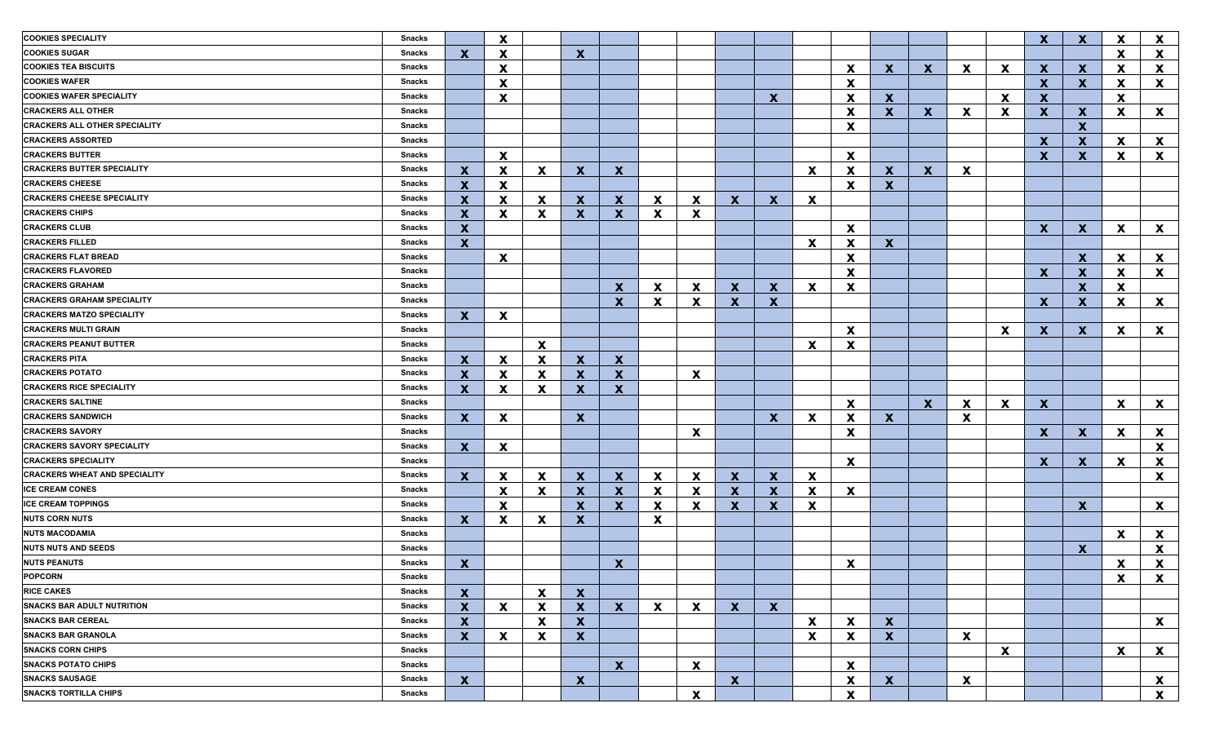| <b>COOKIES SPECIALITY</b>            | <b>Snacks</b> |                           | X                         |                           |                  |                           |              |                           |              |              |                           |                           |              |              |              |             | $\mathbf{x}$ | $\mathbf x$  | X        | $\mathbf{x}$              |
|--------------------------------------|---------------|---------------------------|---------------------------|---------------------------|------------------|---------------------------|--------------|---------------------------|--------------|--------------|---------------------------|---------------------------|--------------|--------------|--------------|-------------|--------------|--------------|----------|---------------------------|
| <b>COOKIES SUGAR</b>                 | Snacks        | $\mathbf{x}$              | X                         |                           | $\mathbf{x}$     |                           |              |                           |              |              |                           |                           |              |              |              |             |              |              | X        | $\mathbf{x}$              |
| <b>COOKIES TEA BISCUITS</b>          | <b>Snacks</b> |                           | X                         |                           |                  |                           |              |                           |              |              |                           | X                         | $\mathbf{x}$ | $\mathbf{x}$ | $\mathbf{x}$ | $\mathbf x$ | X.           | $\mathbf x$  | X        | $\mathbf{x}$              |
| <b>COOKIES WAFER</b>                 | <b>Snacks</b> |                           | $\mathbf x$               |                           |                  |                           |              |                           |              |              |                           | $\mathbf x$               |              |              |              |             | $\mathbf{x}$ | $\mathbf x$  | X        | $\mathbf{x}$              |
| <b>COOKIES WAFER SPECIALITY</b>      | <b>Snacks</b> |                           | X                         |                           |                  |                           |              |                           |              | $\mathbf x$  |                           | $\boldsymbol{\mathsf{x}}$ | $\mathbf{x}$ |              |              | X           | $\mathbf{x}$ |              | X        |                           |
| <b>CRACKERS ALL OTHER</b>            | <b>Snacks</b> |                           |                           |                           |                  |                           |              |                           |              |              |                           | $\boldsymbol{\mathsf{x}}$ | $\mathbf{x}$ | $\mathbf{x}$ | X            | X           | $\mathbf{x}$ | $\mathbf{x}$ | X        | $\mathbf{x}$              |
| <b>CRACKERS ALL OTHER SPECIALITY</b> | Snacks        |                           |                           |                           |                  |                           |              |                           |              |              |                           | $\boldsymbol{\mathsf{x}}$ |              |              |              |             |              | $\mathbf{x}$ |          |                           |
| <b>CRACKERS ASSORTED</b>             | Snacks        |                           |                           |                           |                  |                           |              |                           |              |              |                           |                           |              |              |              |             | X            | $\mathbf{x}$ | X        | $\mathbf{x}$              |
| <b>CRACKERS BUTTER</b>               | Snacks        |                           | $\mathbf{x}$              |                           |                  |                           |              |                           |              |              |                           | $\mathbf x$               |              |              |              |             | X            | X            | X        | $\mathbf{x}$              |
| <b>CRACKERS BUTTER SPECIALITY</b>    | Snacks        | $\mathbf{x}$              | X                         | $\boldsymbol{\mathsf{x}}$ | $\mathbf{X}$     | $\mathbf{x}$              |              |                           |              |              | X                         | $\boldsymbol{\mathsf{x}}$ | $\mathbf{x}$ | $\mathbf{x}$ | X            |             |              |              |          |                           |
| <b>CRACKERS CHEESE</b>               | Snacks        | $\mathbf x$               | $\mathbf{x}$              |                           |                  |                           |              |                           |              |              |                           | $\mathbf x$               | $\mathbf{x}$ |              |              |             |              |              |          |                           |
| <b>CRACKERS CHEESE SPECIALITY</b>    | Snacks        | $\mathbf x$               | X                         | X                         | $\mathbf{X}$     | $\mathbf{x}$              | X            | X                         | $\mathbf{X}$ | $\mathbf x$  | X                         |                           |              |              |              |             |              |              |          |                           |
| <b>CRACKERS CHIPS</b>                | Snacks        | $\mathbf x$               | X                         | X                         | $\mathbf{x}$     | $\mathbf{x}$              | $\mathbf{x}$ | $\mathbf x$               |              |              |                           |                           |              |              |              |             |              |              |          |                           |
| <b>CRACKERS CLUB</b>                 | Snacks        | $\mathbf{x}$              |                           |                           |                  |                           |              |                           |              |              |                           | X                         |              |              |              |             | X.           | X            | X        | $\mathbf{x}$              |
| <b>CRACKERS FILLED</b>               | Snacks        | $\mathbf{x}$              |                           |                           |                  |                           |              |                           |              |              | X                         | $\boldsymbol{\mathsf{x}}$ | $\mathbf{x}$ |              |              |             |              |              |          |                           |
| <b>CRACKERS FLAT BREAD</b>           | Snacks        |                           | X                         |                           |                  |                           |              |                           |              |              |                           | $\boldsymbol{\mathsf{x}}$ |              |              |              |             |              | $\mathbf x$  | X        | $\mathbf{x}$              |
| <b>CRACKERS FLAVORED</b>             | Snacks        |                           |                           |                           |                  |                           |              |                           |              |              |                           | $\boldsymbol{\mathsf{x}}$ |              |              |              |             | X            | $\mathbf x$  | X        | $\mathbf{x}$              |
| <b>CRACKERS GRAHAM</b>               | Snacks        |                           |                           |                           |                  | $\mathbf x$               | X            | X                         | $\mathbf{x}$ | $\mathbf x$  | X                         | $\boldsymbol{\mathsf{x}}$ |              |              |              |             |              | $\mathbf{x}$ | X.       |                           |
| <b>CRACKERS GRAHAM SPECIALITY</b>    | Snacks        |                           |                           |                           |                  | $\mathbf x$               | X            | $\mathbf x$               | $\mathbf{x}$ | $\mathbf{x}$ |                           |                           |              |              |              |             | X            | $\mathbf x$  | <b>X</b> | $\mathbf{x}$              |
| <b>CRACKERS MATZO SPECIALITY</b>     | Snacks        | $\mathbf{X}$              | X                         |                           |                  |                           |              |                           |              |              |                           |                           |              |              |              |             |              |              |          |                           |
| <b>CRACKERS MULTI GRAIN</b>          | Snacks        |                           |                           |                           |                  |                           |              |                           |              |              |                           | $\mathbf x$               |              |              |              | X           | X            | $\mathbf x$  | X.       | $\mathbf{x}$              |
| <b>CRACKERS PEANUT BUTTER</b>        | Snacks        |                           |                           | $\boldsymbol{\mathsf{x}}$ |                  |                           |              |                           |              |              | X                         | X                         |              |              |              |             |              |              |          |                           |
| <b>CRACKERS PITA</b>                 | Snacks        | $\mathbf{x}$              | X                         | X                         | $\mathbf{x}$     | $\mathbf{x}$              |              |                           |              |              |                           |                           |              |              |              |             |              |              |          |                           |
| <b>CRACKERS POTATO</b>               | Snacks        | $\mathbf x$               | X                         | X                         | $\mathbf{x}$     | $\mathbf x$               |              | $\mathbf x$               |              |              |                           |                           |              |              |              |             |              |              |          |                           |
| <b>CRACKERS RICE SPECIALITY</b>      | Snacks        | $\mathbf x$               | X                         | X                         | $\mathbf{x}$     | $\boldsymbol{\mathsf{x}}$ |              |                           |              |              |                           |                           |              |              |              |             |              |              |          |                           |
| <b>CRACKERS SALTINE</b>              | Snacks        |                           |                           |                           |                  |                           |              |                           |              |              |                           | $\mathbf x$               |              | $\mathbf{x}$ | X            | X           | $\mathbf{x}$ |              | X        | $\mathbf{x}$              |
| <b>CRACKERS SANDWICH</b>             | Snacks        | $\mathbf{x}$              | $\mathbf{x}$              |                           | $\mathbf{x}$     |                           |              |                           |              | $\mathbf x$  | X                         | $\boldsymbol{\mathsf{x}}$ | $\mathbf{x}$ |              | X            |             |              |              |          |                           |
| <b>CRACKERS SAVORY</b>               | <b>Snacks</b> |                           |                           |                           |                  |                           |              | $\boldsymbol{\mathsf{x}}$ |              |              |                           |                           |              |              |              |             | X.           | $\mathbf x$  | X        | $\mathbf{x}$              |
| <b>CRACKERS SAVORY SPECIALITY</b>    | Snacks        | $\mathbf{x}$              |                           |                           |                  |                           |              |                           |              |              |                           | $\boldsymbol{\mathsf{x}}$ |              |              |              |             |              |              |          | $\mathbf{x}$              |
| <b>CRACKERS SPECIALITY</b>           | <b>Snacks</b> |                           | X                         |                           |                  |                           |              |                           |              |              |                           |                           |              |              |              |             |              |              |          |                           |
| <b>CRACKERS WHEAT AND SPECIALITY</b> | <b>Snacks</b> |                           |                           |                           |                  |                           |              |                           |              |              |                           | X                         |              |              |              |             | $\mathbf{x}$ | $\mathbf x$  | X        | X                         |
| <b>ICE CREAM CONES</b>               | <b>Snacks</b> | $\mathbf{X}$              | X                         | X                         | $\mathbf{X}$     | $\mathbf{x}$              | X            | $\mathbf x$               | $\mathbf{x}$ | $\mathbf{x}$ | X                         |                           |              |              |              |             |              |              |          | $\boldsymbol{\mathsf{x}}$ |
| ICE CREAM TOPPINGS                   | Snacks        |                           | $\mathbf{x}$              | X                         | $\mathbf{x}$     | $\mathbf{x}$              | $\mathbf{x}$ | $\mathbf x$               | $\mathbf{x}$ | $\mathbf x$  | X                         | X                         |              |              |              |             |              |              |          |                           |
| <b>NUTS CORN NUTS</b>                |               |                           | $\mathbf{x}$              |                           | $\mathbf{X}$     | $\mathbf{x}$              | $\mathbf{x}$ | $\mathbf x$               | $\mathbf{x}$ | $\mathbf x$  | X                         |                           |              |              |              |             |              | X            |          | $\mathbf{x}$              |
|                                      | Snacks        | $\mathbf{X}$              | $\mathbf{x}$              | X                         | $\mathbf{x}$     |                           | $\mathbf{x}$ |                           |              |              |                           |                           |              |              |              |             |              |              |          |                           |
| <b>NUTS MACODAMIA</b>                | Snacks        |                           |                           |                           |                  |                           |              |                           |              |              |                           |                           |              |              |              |             |              |              | X        | $\mathbf{x}$              |
| <b>NUTS NUTS AND SEEDS</b>           | Snacks        |                           |                           |                           |                  |                           |              |                           |              |              |                           |                           |              |              |              |             |              | X            |          | X                         |
| <b>NUTS PEANUTS</b>                  | <b>Snacks</b> | $\boldsymbol{\mathsf{x}}$ |                           |                           |                  | $\mathbf{x}$              |              |                           |              |              |                           | $\boldsymbol{\mathsf{x}}$ |              |              |              |             |              |              | X        | $\boldsymbol{\mathsf{x}}$ |
| <b>POPCORN</b>                       | Snacks        |                           |                           |                           |                  |                           |              |                           |              |              |                           |                           |              |              |              |             |              |              | X        | $\mathbf{x}$              |
| <b>RICE CAKES</b>                    | Snacks        | $\mathbf{X}$              |                           | $\boldsymbol{\mathsf{x}}$ | $\mathbf{x}$     |                           |              |                           |              |              |                           |                           |              |              |              |             |              |              |          |                           |
| <b>SNACKS BAR ADULT NUTRITION</b>    | Snacks        | $\mathbf x$               | $\boldsymbol{\mathsf{x}}$ | $\boldsymbol{\mathsf{x}}$ | $\mathbf{x}$     | $\mathbf{x}$              | $\mathbf{x}$ | $\boldsymbol{\mathsf{x}}$ | $\mathbf{x}$ | $\mathbf{x}$ |                           |                           |              |              |              |             |              |              |          |                           |
| <b>SNACKS BAR CEREAL</b>             | Snacks        | $\mathbf{x}$              |                           | $\boldsymbol{\mathsf{x}}$ | $\boldsymbol{x}$ |                           |              |                           |              |              | X                         | $\boldsymbol{\mathsf{x}}$ | $\mathbf{x}$ |              |              |             |              |              |          | $\mathbf{x}$              |
| <b>SNACKS BAR GRANOLA</b>            | Snacks        | $\boldsymbol{\mathsf{X}}$ | X                         | X                         | $\boldsymbol{x}$ |                           |              |                           |              |              | $\boldsymbol{\mathsf{X}}$ | $\boldsymbol{\mathsf{x}}$ | $\mathbf{x}$ |              | X            |             |              |              |          |                           |
| <b>SNACKS CORN CHIPS</b>             | Snacks        |                           |                           |                           |                  |                           |              |                           |              |              |                           |                           |              |              |              | X           |              |              | X        | $\mathbf{x}$              |
| <b>SNACKS POTATO CHIPS</b>           | Snacks        |                           |                           |                           |                  | $\mathbf{x}$              |              | $\boldsymbol{\mathsf{X}}$ |              |              |                           | $\boldsymbol{\mathsf{x}}$ |              |              |              |             |              |              |          |                           |
| <b>SNACKS SAUSAGE</b>                | Snacks        | $\boldsymbol{\mathsf{x}}$ |                           |                           | $\mathbf{x}$     |                           |              |                           | $\mathbf{x}$ |              |                           | $\boldsymbol{\mathsf{x}}$ | $\mathbf{x}$ |              | X            |             |              |              |          | X                         |
| <b>SNACKS TORTILLA CHIPS</b>         | Snacks        |                           |                           |                           |                  |                           |              | $\boldsymbol{\mathsf{X}}$ |              |              |                           | X                         |              |              |              |             |              |              |          | $\mathbf{x}$              |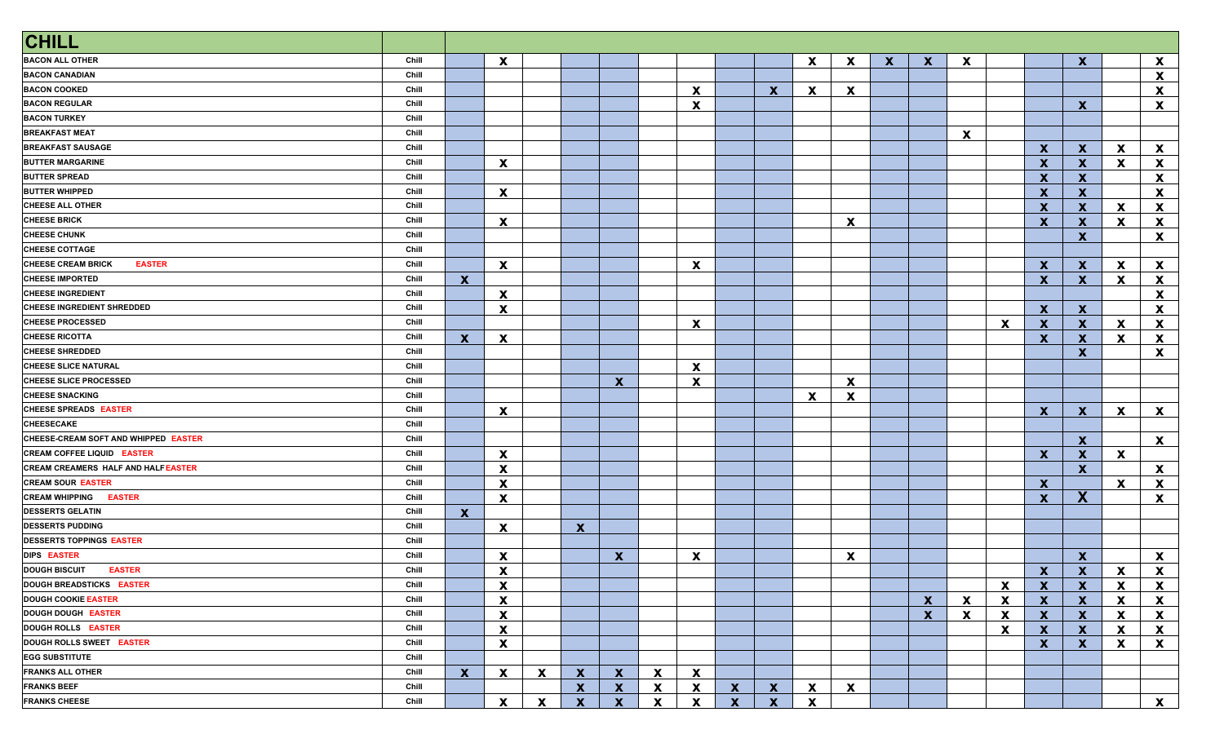| <b>CHILL</b>                               |       |              |                                      |                           |              |                           |                           |                           |              |              |   |             |              |              |    |                           |                           |                              |                              |                              |
|--------------------------------------------|-------|--------------|--------------------------------------|---------------------------|--------------|---------------------------|---------------------------|---------------------------|--------------|--------------|---|-------------|--------------|--------------|----|---------------------------|---------------------------|------------------------------|------------------------------|------------------------------|
| <b>BACON ALL OTHER</b>                     | Chill |              | $\boldsymbol{\mathsf{x}}$            |                           |              |                           |                           |                           |              |              | X | X           | $\mathbf{x}$ | $\mathbf x$  | X  |                           |                           | $\boldsymbol{\mathsf{x}}$    |                              | X                            |
| <b>BACON CANADIAN</b>                      | Chill |              |                                      |                           |              |                           |                           |                           |              |              |   |             |              |              |    |                           |                           |                              |                              | X                            |
| <b>BACON COOKED</b>                        | Chill |              |                                      |                           |              |                           |                           | $\mathbf x$               |              | $\mathbf{x}$ | X | X           |              |              |    |                           |                           |                              |                              | X                            |
| <b>BACON REGULAR</b>                       | Chill |              |                                      |                           |              |                           |                           | $\boldsymbol{\mathsf{x}}$ |              |              |   |             |              |              |    |                           |                           | $\mathbf x$                  |                              | $\boldsymbol{\mathsf{X}}$    |
| <b>BACON TURKEY</b>                        | Chill |              |                                      |                           |              |                           |                           |                           |              |              |   |             |              |              |    |                           |                           |                              |                              |                              |
| <b>BREAKFAST MEAT</b>                      | Chill |              |                                      |                           |              |                           |                           |                           |              |              |   |             |              |              | X  |                           |                           |                              |                              |                              |
| <b>BREAKFAST SAUSAGE</b>                   | Chill |              |                                      |                           |              |                           |                           |                           |              |              |   |             |              |              |    |                           | $\mathbf{x}$              | $\mathbf{x}$                 | $\mathbf{x}$                 | $\mathbf{x}$                 |
| <b>BUTTER MARGARINE</b>                    | Chill |              | $\boldsymbol{\mathsf{x}}$            |                           |              |                           |                           |                           |              |              |   |             |              |              |    |                           | $\boldsymbol{\mathsf{x}}$ | $\mathbf x$                  | X                            | $\mathbf{x}$                 |
| <b>BUTTER SPREAD</b>                       | Chill |              |                                      |                           |              |                           |                           |                           |              |              |   |             |              |              |    |                           | $\boldsymbol{\mathsf{x}}$ | $\mathbf x$                  |                              | $\boldsymbol{\mathsf{x}}$    |
| <b>BUTTER WHIPPED</b>                      | Chill |              | $\mathbf{x}$                         |                           |              |                           |                           |                           |              |              |   |             |              |              |    |                           | $\mathbf{x}$              | $\mathbf x$                  |                              | $\boldsymbol{\mathsf{x}}$    |
| <b>CHEESE ALL OTHER</b>                    | Chill |              |                                      |                           |              |                           |                           |                           |              |              |   |             |              |              |    |                           | $\mathbf{x}$              | $\mathbf{x}$                 | $\mathbf{x}$                 | X                            |
| <b>CHEESE BRICK</b>                        | Chill |              | $\mathbf{x}$                         |                           |              |                           |                           |                           |              |              |   | $\mathbf x$ |              |              |    |                           | $\mathbf{x}$              | $\mathbf{x}$                 | <b>X</b>                     | X                            |
| <b>CHEESE CHUNK</b>                        | Chill |              |                                      |                           |              |                           |                           |                           |              |              |   |             |              |              |    |                           |                           | $\mathbf{x}$                 |                              | X                            |
| <b>CHEESE COTTAGE</b>                      | Chill |              |                                      |                           |              |                           |                           |                           |              |              |   |             |              |              |    |                           |                           |                              |                              |                              |
| <b>CHEESE CREAM BRICK</b><br><b>EASTER</b> | Chill |              | $\mathbf{x}$                         |                           |              |                           |                           | $\mathbf x$               |              |              |   |             |              |              |    |                           | $\mathbf{x}$              | $\mathbf{x}$                 | X                            | X                            |
| <b>CHEESE IMPORTED</b>                     | Chill | $\mathbf{x}$ |                                      |                           |              |                           |                           |                           |              |              |   |             |              |              |    |                           | $\mathbf{x}$              | $\mathbf{x}$                 | X                            | X                            |
| <b>CHEESE INGREDIENT</b>                   | Chill |              | $\boldsymbol{\mathsf{x}}$            |                           |              |                           |                           |                           |              |              |   |             |              |              |    |                           |                           |                              |                              | X                            |
| CHEESE INGREDIENT SHREDDED                 | Chill |              | $\boldsymbol{\mathsf{x}}$            |                           |              |                           |                           |                           |              |              |   |             |              |              |    |                           | $\mathbf{x}$              | $\mathbf x$                  |                              | X                            |
| <b>CHEESE PROCESSED</b>                    | Chill |              |                                      |                           |              |                           |                           | $\boldsymbol{\mathsf{x}}$ |              |              |   |             |              |              |    | $\mathbf x$               | $\boldsymbol{\mathsf{x}}$ | $\mathbf x$                  | X                            | X                            |
| <b>CHEESE RICOTTA</b>                      | Chill | $\mathbf{x}$ | X                                    |                           |              |                           |                           |                           |              |              |   |             |              |              |    |                           | $\mathbf{x}$              | $\mathbf{x}$                 | X                            | X                            |
| <b>CHEESE SHREDDED</b>                     | Chill |              |                                      |                           |              |                           |                           |                           |              |              |   |             |              |              |    |                           |                           | $\mathbf x$                  |                              | X                            |
| <b>CHEESE SLICE NATURAL</b>                | Chill |              |                                      |                           |              |                           |                           | $\mathbf x$               |              |              |   |             |              |              |    |                           |                           |                              |                              |                              |
| CHEESE SLICE PROCESSED                     | Chill |              |                                      |                           |              | $\mathbf{x}$              |                           | $\boldsymbol{\mathsf{X}}$ |              |              |   | $\mathbf x$ |              |              |    |                           |                           |                              |                              |                              |
| <b>CHEESE SNACKING</b>                     | Chill |              |                                      |                           |              |                           |                           |                           |              |              | X | X           |              |              |    |                           |                           |                              |                              |                              |
| CHEESE SPREADS EASTER                      | Chill |              | $\boldsymbol{\mathsf{x}}$            |                           |              |                           |                           |                           |              |              |   |             |              |              |    |                           | $\mathbf{x}$              | $\mathbf{x}$                 | $\mathbf{x}$                 | $\mathbf{x}$                 |
| <b>CHEESECAKE</b>                          | Chill |              |                                      |                           |              |                           |                           |                           |              |              |   |             |              |              |    |                           |                           |                              |                              |                              |
| CHEESE-CREAM SOFT AND WHIPPED EASTER       | Chill |              |                                      |                           |              |                           |                           |                           |              |              |   |             |              |              |    |                           |                           | $\mathbf{x}$                 |                              | $\mathbf{x}$                 |
| <b>CREAM COFFEE LIQUID EASTER</b>          | Chill |              | $\mathbf{x}$                         |                           |              |                           |                           |                           |              |              |   |             |              |              |    |                           | $\mathbf{x}$              | $\mathbf{x}$                 | $\mathbf{x}$                 |                              |
| <b>CREAM CREAMERS HALF AND HALF EASTER</b> | Chill |              | $\boldsymbol{\mathsf{x}}$            |                           |              |                           |                           |                           |              |              |   |             |              |              |    |                           |                           | $\mathbf{x}$                 |                              | $\mathbf{x}$                 |
| <b>CREAM SOUR EASTER</b>                   | Chill |              | $\boldsymbol{\mathsf{x}}$            |                           |              |                           |                           |                           |              |              |   |             |              |              |    |                           | X                         |                              | X                            | X                            |
| <b>CREAM WHIPPING</b><br><b>EASTER</b>     | Chill |              | $\mathbf{x}$                         |                           |              |                           |                           |                           |              |              |   |             |              |              |    |                           | $\boldsymbol{x}$          | X                            |                              | X                            |
| <b>DESSERTS GELATIN</b>                    | Chill | $\mathbf{x}$ |                                      |                           |              |                           |                           |                           |              |              |   |             |              |              |    |                           |                           |                              |                              |                              |
| <b>DESSERTS PUDDING</b>                    | Chill |              | X                                    |                           | $\mathbf{x}$ |                           |                           |                           |              |              |   |             |              |              |    |                           |                           |                              |                              |                              |
| <b>DESSERTS TOPPINGS EASTER</b>            | Chill |              |                                      |                           |              |                           |                           |                           |              |              |   |             |              |              |    |                           |                           |                              |                              |                              |
| DIPS EASTER                                | Chill |              | X                                    |                           |              | $\boldsymbol{\mathsf{x}}$ |                           | $\mathbf x$               |              |              |   | X           |              |              |    |                           |                           | $\mathbf{x}$                 |                              | X                            |
| <b>DOUGH BISCUIT</b><br><b>EASTER</b>      | Chill |              | <b>Y</b><br>$\overline{\phantom{a}}$ |                           |              |                           |                           |                           |              |              |   |             |              |              |    |                           | <b>Y</b><br>$\mathbf{A}$  | $\mathbf{x}$<br>$\mathbf{r}$ | $\mathbf{x}$<br>$\mathbf{r}$ | $\mathbf{x}$<br>$\mathbf{r}$ |
| <b>DOUGH BREADSTICKS EASTER</b>            | Chill |              | $\boldsymbol{\mathsf{X}}$            |                           |              |                           |                           |                           |              |              |   |             |              |              |    | $\boldsymbol{\mathsf{x}}$ | X                         | $\mathbf{x}$                 | X                            | X                            |
| <b>DOUGH COOKIE EASTER</b>                 | Chill |              | $\mathbf{x}$                         |                           |              |                           |                           |                           |              |              |   |             |              | $\mathbf{x}$ | X. | X                         | $\mathbf{x}$              | $\mathbf{x}$                 | X                            | X                            |
| <b>DOUGH DOUGH EASTER</b>                  | Chill |              | $\mathbf{x}$                         |                           |              |                           |                           |                           |              |              |   |             |              | $\mathbf{x}$ | X  | X                         | $\mathbf{x}$              | $\mathbf{x}$                 | X                            | X                            |
| <b>DOUGH ROLLS EASTER</b>                  | Chill |              | $\mathbf{x}$                         |                           |              |                           |                           |                           |              |              |   |             |              |              |    | X                         | $\mathbf{x}$              | $\mathbf{x}$                 | X                            | X                            |
| DOUGH ROLLS SWEET EASTER                   | Chill |              | $\mathbf{x}$                         |                           |              |                           |                           |                           |              |              |   |             |              |              |    |                           | $\mathbf{x}$              | $\mathbf{x}$                 | X                            | X                            |
| <b>EGG SUBSTITUTE</b>                      | Chill |              |                                      |                           |              |                           |                           |                           |              |              |   |             |              |              |    |                           |                           |                              |                              |                              |
| <b>FRANKS ALL OTHER</b>                    | Chill | $\mathbf{x}$ | $\mathbf{x}$                         | $\boldsymbol{\mathsf{x}}$ | $\mathbf{x}$ | $\mathbf{x}$              | X                         | X                         |              |              |   |             |              |              |    |                           |                           |                              |                              |                              |
| <b>FRANKS BEEF</b>                         | Chill |              |                                      |                           | $\mathbf{x}$ | $\mathbf{x}$              | $\mathbf{x}$              | X                         | $\mathbf{X}$ | $\mathbf{x}$ | X | X           |              |              |    |                           |                           |                              |                              |                              |
| <b>FRANKS CHEESE</b>                       | Chill |              | $\mathbf{x}$                         | $\mathbf{x}$              | $\mathbf{x}$ | $\mathbf{x}$              | $\boldsymbol{\mathsf{x}}$ | X                         | $\mathbf{x}$ | $\mathbf{x}$ | X |             |              |              |    |                           |                           |                              |                              | $\mathbf{x}$                 |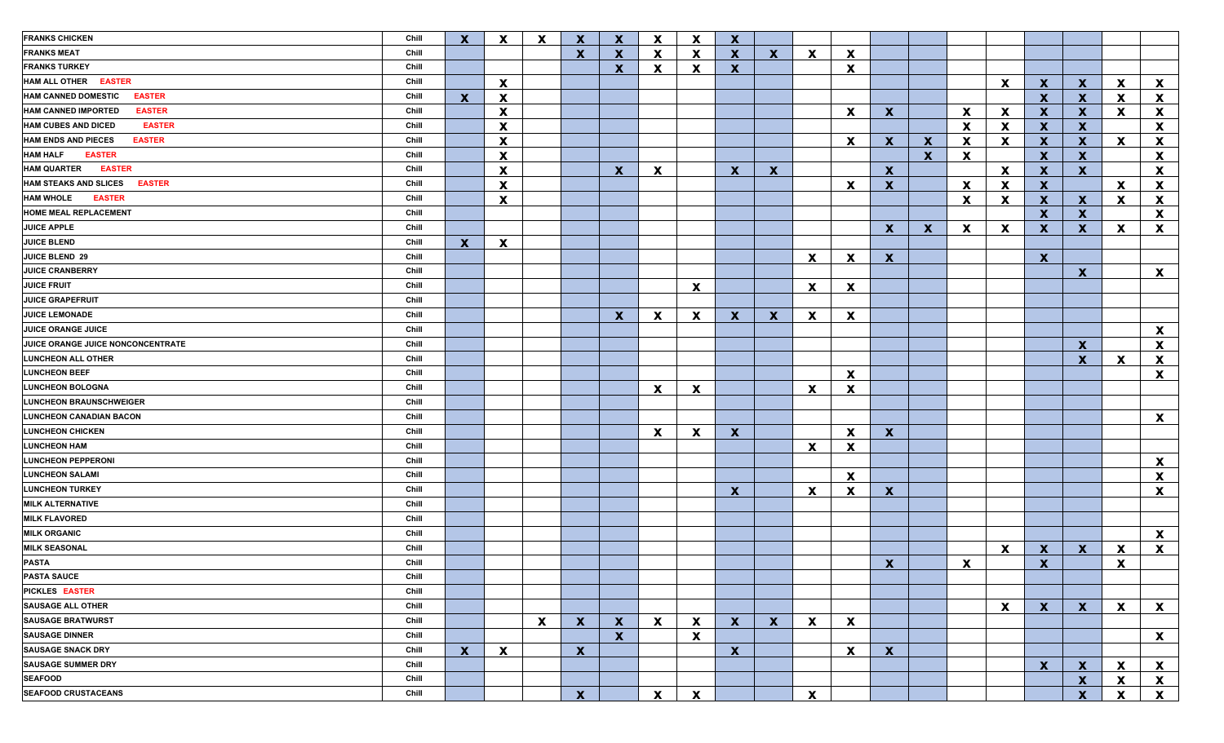| <b>FRANKS CHICKEN</b>                         | Chill | $\mathbf{x}$ | X            | $\mathbf x$  | $\mathbf{x}$ | $\mathbf x$               | X            | $\mathbf x$               | $\mathbf{x}$ |                           |              |                           |              |              |   |                           |              |                           |                           |                           |
|-----------------------------------------------|-------|--------------|--------------|--------------|--------------|---------------------------|--------------|---------------------------|--------------|---------------------------|--------------|---------------------------|--------------|--------------|---|---------------------------|--------------|---------------------------|---------------------------|---------------------------|
| <b>FRANKS MEAT</b>                            | Chill |              |              |              | $\mathbf{x}$ | X                         | X            | X                         | $\mathbf{x}$ | $\mathbf{x}$              | X            | X                         |              |              |   |                           |              |                           |                           |                           |
| <b>FRANKS TURKEY</b>                          | Chill |              |              |              |              | $\boldsymbol{\mathsf{x}}$ | X            | X                         | $\mathbf{x}$ |                           |              | X                         |              |              |   |                           |              |                           |                           |                           |
| HAM ALL OTHER EASTER                          | Chill |              | X            |              |              |                           |              |                           |              |                           |              |                           |              |              |   | X                         | X.           | $\mathbf{x}$              | X                         | $\mathbf{x}$              |
| <b>HAM CANNED DOMESTIC</b><br><b>EASTER</b>   | Chill | $\mathbf{x}$ | X            |              |              |                           |              |                           |              |                           |              |                           |              |              |   |                           | $\mathbf{x}$ | X                         | X                         | $\mathbf{x}$              |
| <b>HAM CANNED IMPORTED</b><br><b>EASTER</b>   | Chill |              | X            |              |              |                           |              |                           |              |                           |              | X                         | <b>X</b>     |              | X | X                         | X.           | $\mathbf x$               | X                         | $\mathbf{x}$              |
| <b>HAM CUBES AND DICED</b><br><b>EASTER</b>   | Chill |              | X            |              |              |                           |              |                           |              |                           |              |                           |              |              | X | X                         | $\mathbf{x}$ | $\mathbf x$               |                           | $\boldsymbol{\mathsf{x}}$ |
| <b>HAM ENDS AND PIECES</b><br><b>EASTER</b>   | Chill |              | X            |              |              |                           |              |                           |              |                           |              | X                         | X.           | $\mathbf x$  | X | X                         | $\mathbf{x}$ | $\mathbf x$               | $\boldsymbol{\mathsf{x}}$ | $\boldsymbol{\mathsf{x}}$ |
| <b>HAM HALF</b><br><b>EASTER</b>              | Chill |              | X            |              |              |                           |              |                           |              |                           |              |                           |              | $\mathbf{x}$ | X |                           | $\mathbf{x}$ | $\mathbf x$               |                           | $\mathbf{x}$              |
| <b>HAM QUARTER</b><br><b>EASTER</b>           | Chill |              | X            |              |              | $\mathbf{x}$              | X            |                           | X            | $\mathbf{x}$              |              |                           | <b>X</b>     |              |   | $\mathbf x$               | X            | $\mathbf{x}$              |                           | $\mathbf{x}$              |
| <b>HAM STEAKS AND SLICES</b><br><b>EASTER</b> | Chill |              | X            |              |              |                           |              |                           |              |                           |              | X                         | $\mathbf{x}$ |              | X | $\boldsymbol{\mathsf{x}}$ | X            |                           | $\mathbf{x}$              | $\mathbf{x}$              |
| <b>HAM WHOLE</b><br><b>EASTER</b>             | Chill |              | X            |              |              |                           |              |                           |              |                           |              |                           |              |              | X | $\boldsymbol{\mathsf{x}}$ | $\mathbf{x}$ | $\mathbf{x}$              | X                         | $\mathbf{x}$              |
| <b>HOME MEAL REPLACEMENT</b>                  | Chill |              |              |              |              |                           |              |                           |              |                           |              |                           |              |              |   |                           | $\mathbf{x}$ | $\mathbf x$               |                           | $\mathbf{x}$              |
| <b>JUICE APPLE</b>                            | Chill |              |              |              |              |                           |              |                           |              |                           |              |                           | X.           | $\mathbf{x}$ | X | $\mathbf x$               | X.           | $\mathbf{x}$              | X                         | $\mathbf{x}$              |
| <b>JUICE BLEND</b>                            | Chill | $\mathbf{x}$ | X            |              |              |                           |              |                           |              |                           |              |                           |              |              |   |                           |              |                           |                           |                           |
| JUICE BLEND 29                                | Chill |              |              |              |              |                           |              |                           |              |                           | <b>X</b>     | $\boldsymbol{\mathsf{x}}$ | $\mathbf{x}$ |              |   |                           | $\mathbf{x}$ |                           |                           |                           |
| <b>JUICE CRANBERRY</b>                        | Chill |              |              |              |              |                           |              |                           |              |                           |              |                           |              |              |   |                           |              | $\mathbf{x}$              |                           | $\mathbf{x}$              |
| <b>JUICE FRUIT</b>                            | Chill |              |              |              |              |                           |              | $\mathbf x$               |              |                           | X.           | X                         |              |              |   |                           |              |                           |                           |                           |
| <b>JUICE GRAPEFRUIT</b>                       | Chill |              |              |              |              |                           |              |                           |              |                           |              |                           |              |              |   |                           |              |                           |                           |                           |
| <b>JUICE LEMONADE</b>                         | Chill |              |              |              |              | $\mathbf{x}$              | X            | $\mathbf x$               | $\mathbf{x}$ | $\mathbf{x}$              | X.           | X                         |              |              |   |                           |              |                           |                           |                           |
| <b>JUICE ORANGE JUICE</b>                     | Chill |              |              |              |              |                           |              |                           |              |                           |              |                           |              |              |   |                           |              |                           |                           | $\mathbf{x}$              |
| JUICE ORANGE JUICE NONCONCENTRATE             | Chill |              |              |              |              |                           |              |                           |              |                           |              |                           |              |              |   |                           |              | X                         |                           | $\mathbf{x}$              |
| <b>LUNCHEON ALL OTHER</b>                     | Chill |              |              |              |              |                           |              |                           |              |                           |              |                           |              |              |   |                           |              | $\mathbf x$               | X                         | $\mathbf{x}$              |
| <b>LUNCHEON BEEF</b>                          | Chill |              |              |              |              |                           |              |                           |              |                           |              |                           |              |              |   |                           |              |                           |                           | $\boldsymbol{\mathsf{X}}$ |
| <b>LUNCHEON BOLOGNA</b>                       | Chill |              |              |              |              |                           |              |                           |              |                           |              | X                         |              |              |   |                           |              |                           |                           |                           |
| <b>LUNCHEON BRAUNSCHWEIGER</b>                | Chill |              |              |              |              |                           | X            | $\mathbf x$               |              |                           | X.           | X                         |              |              |   |                           |              |                           |                           |                           |
| <b>LUNCHEON CANADIAN BACON</b>                | Chill |              |              |              |              |                           |              |                           |              |                           |              |                           |              |              |   |                           |              |                           |                           |                           |
|                                               |       |              |              |              |              |                           |              |                           |              |                           |              |                           |              |              |   |                           |              |                           |                           | $\mathbf{x}$              |
| <b>LUNCHEON CHICKEN</b>                       | Chill |              |              |              |              |                           | X            | X                         | $\mathbf{x}$ |                           |              | X                         | $\mathbf{x}$ |              |   |                           |              |                           |                           |                           |
| <b>LUNCHEON HAM</b>                           | Chill |              |              |              |              |                           |              |                           |              |                           | X.           | X                         |              |              |   |                           |              |                           |                           |                           |
| <b>LUNCHEON PEPPERONI</b>                     | Chill |              |              |              |              |                           |              |                           |              |                           |              |                           |              |              |   |                           |              |                           |                           | $\boldsymbol{\mathsf{X}}$ |
| <b>LUNCHEON SALAMI</b>                        | Chill |              |              |              |              |                           |              |                           |              |                           |              | X                         |              |              |   |                           |              |                           |                           | $\mathbf{x}$              |
| <b>LUNCHEON TURKEY</b>                        | Chill |              |              |              |              |                           |              |                           | $\mathbf{x}$ |                           | X.           | X                         | $\mathbf{x}$ |              |   |                           |              |                           |                           | $\mathbf{x}$              |
| <b>MILK ALTERNATIVE</b>                       | Chill |              |              |              |              |                           |              |                           |              |                           |              |                           |              |              |   |                           |              |                           |                           |                           |
| <b>MILK FLAVORED</b>                          | Chill |              |              |              |              |                           |              |                           |              |                           |              |                           |              |              |   |                           |              |                           |                           |                           |
| <b>MILK ORGANIC</b>                           | Chill |              |              |              |              |                           |              |                           |              |                           |              |                           |              |              |   |                           |              |                           |                           | $\mathbf{x}$              |
| <b>MILK SEASONAL</b>                          | Chill |              |              |              |              |                           |              |                           |              |                           |              |                           |              |              |   | $\mathbf x$               | X.           | $\mathbf{x}$              | X                         | $\mathbf{x}$              |
| <b>PASTA</b>                                  | Chill |              |              |              |              |                           |              |                           |              |                           |              |                           | <b>X</b>     |              | X |                           | $\mathbf{X}$ |                           | $\pmb{\mathsf{X}}$        |                           |
| <b>PASTA SAUCE</b>                            | Chill |              |              |              |              |                           |              |                           |              |                           |              |                           |              |              |   |                           |              |                           |                           |                           |
| PICKLES EASTER                                | Chill |              |              |              |              |                           |              |                           |              |                           |              |                           |              |              |   |                           |              |                           |                           |                           |
| <b>SAUSAGE ALL OTHER</b>                      | Chill |              |              |              |              |                           |              |                           |              |                           |              |                           |              |              |   | $\mathbf x$               | $\mathbf{X}$ | $\mathbf{X}$              | $\mathbf{x}$              | $\mathbf{x}$              |
| <b>SAUSAGE BRATWURST</b>                      | Chill |              |              | $\mathbf{x}$ | $\mathbf{x}$ | $\mathbf x$               | $\mathbf{x}$ | $\boldsymbol{\mathsf{X}}$ | $\mathbf{x}$ | $\boldsymbol{\mathsf{x}}$ | $\mathbf{x}$ | X                         |              |              |   |                           |              |                           |                           |                           |
| <b>SAUSAGE DINNER</b>                         | Chill |              |              |              |              | $\mathbf{x}$              |              | $\mathbf{x}$              |              |                           |              |                           |              |              |   |                           |              |                           |                           | $\mathbf{x}$              |
| <b>SAUSAGE SNACK DRY</b>                      | Chill | $\mathbf{x}$ | $\mathbf{x}$ |              | $\mathbf{x}$ |                           |              |                           | $\mathbf{X}$ |                           |              | X                         | $\mathbf{x}$ |              |   |                           |              |                           |                           |                           |
| <b>SAUSAGE SUMMER DRY</b>                     | Chill |              |              |              |              |                           |              |                           |              |                           |              |                           |              |              |   |                           | X            | $\mathbf{x}$              | X                         | $\mathbf{x}$              |
| <b>SEAFOOD</b>                                | Chill |              |              |              |              |                           |              |                           |              |                           |              |                           |              |              |   |                           |              | $\boldsymbol{\mathsf{X}}$ | X                         | $\mathbf{x}$              |
| <b>SEAFOOD CRUSTACEANS</b>                    | Chill |              |              |              | $\mathbf{x}$ |                           | $\mathbf{x}$ | $\boldsymbol{\mathsf{X}}$ |              |                           | X            |                           |              |              |   |                           |              | $\boldsymbol{X}$          | $\mathbf{x}$              | $\mathbf{x}$              |
|                                               |       |              |              |              |              |                           |              |                           |              |                           |              |                           |              |              |   |                           |              |                           |                           |                           |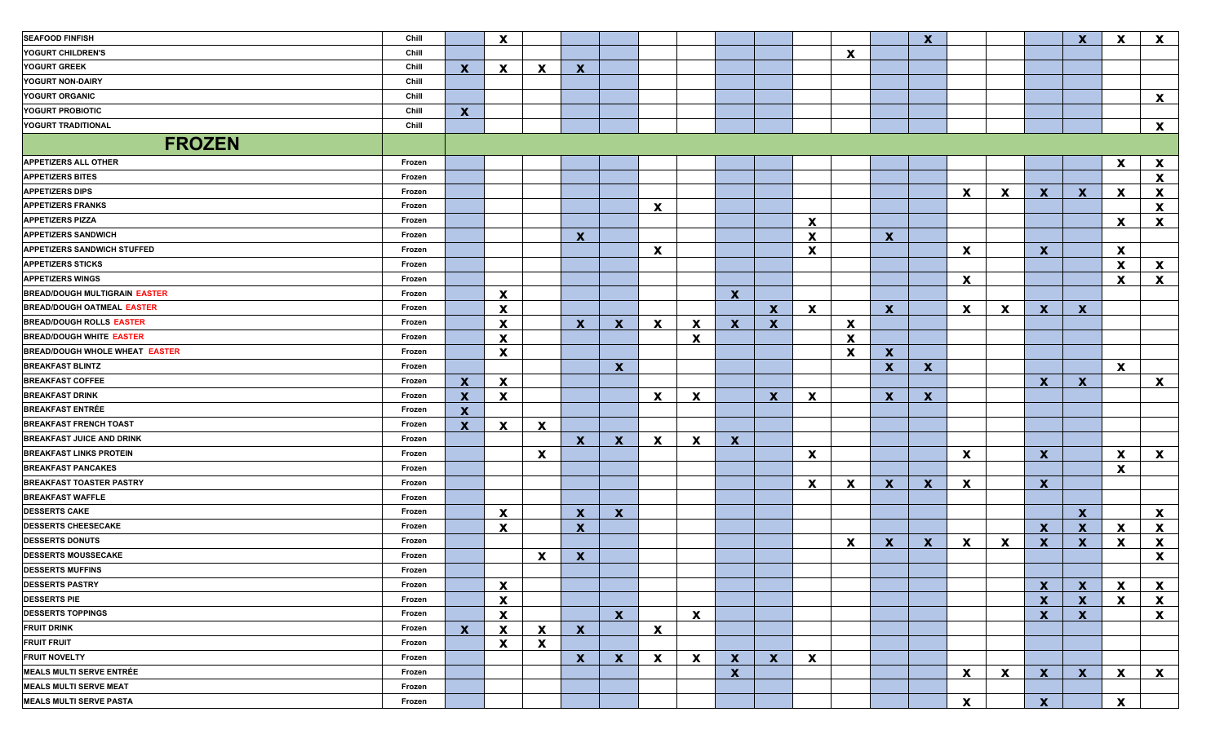| <b>SEAFOOD FINFISH</b>                | Chill  |              | $\mathbf{x}$ |              |              |              |    |                           |              |              |              |                           |              | $\mathbf{x}$ |              |   |                           | $\mathbf x$               | X            | $\mathbf{x}$              |
|---------------------------------------|--------|--------------|--------------|--------------|--------------|--------------|----|---------------------------|--------------|--------------|--------------|---------------------------|--------------|--------------|--------------|---|---------------------------|---------------------------|--------------|---------------------------|
| YOGURT CHILDREN'S                     | Chill  |              |              |              |              |              |    |                           |              |              |              | $\mathbf{x}$              |              |              |              |   |                           |                           |              |                           |
| YOGURT GREEK                          | Chill  | $\mathbf{x}$ | $\mathbf{x}$ | $\mathbf{x}$ | X.           |              |    |                           |              |              |              |                           |              |              |              |   |                           |                           |              |                           |
| YOGURT NON-DAIRY                      | Chill  |              |              |              |              |              |    |                           |              |              |              |                           |              |              |              |   |                           |                           |              |                           |
| YOGURT ORGANIC                        | Chill  |              |              |              |              |              |    |                           |              |              |              |                           |              |              |              |   |                           |                           |              | $\mathbf{x}$              |
| YOGURT PROBIOTIC                      | Chill  | $\mathbf{x}$ |              |              |              |              |    |                           |              |              |              |                           |              |              |              |   |                           |                           |              |                           |
| YOGURT TRADITIONAL                    | Chill  |              |              |              |              |              |    |                           |              |              |              |                           |              |              |              |   |                           |                           |              | $\mathbf{x}$              |
| <b>FROZEN</b>                         |        |              |              |              |              |              |    |                           |              |              |              |                           |              |              |              |   |                           |                           |              |                           |
| <b>APPETIZERS ALL OTHER</b>           | Frozen |              |              |              |              |              |    |                           |              |              |              |                           |              |              |              |   |                           |                           | X            | $\boldsymbol{\mathsf{x}}$ |
| <b>APPETIZERS BITES</b>               | Frozen |              |              |              |              |              |    |                           |              |              |              |                           |              |              |              |   |                           |                           |              | X                         |
| <b>APPETIZERS DIPS</b>                | Frozen |              |              |              |              |              |    |                           |              |              |              |                           |              |              | $\mathbf{x}$ | X | X                         | $\mathbf{x}$              | <b>X</b>     | X                         |
| <b>APPETIZERS FRANKS</b>              | Frozen |              |              |              |              |              | X  |                           |              |              |              |                           |              |              |              |   |                           |                           |              | X                         |
| <b>APPETIZERS PIZZA</b>               | Frozen |              |              |              |              |              |    |                           |              |              | X            |                           |              |              |              |   |                           |                           | X            | $\mathbf{x}$              |
| <b>APPETIZERS SANDWICH</b>            | Frozen |              |              |              | X.           |              |    |                           |              |              | X            |                           | $\mathbf{x}$ |              |              |   |                           |                           |              |                           |
| APPETIZERS SANDWICH STUFFED           | Frozen |              |              |              |              |              | X  |                           |              |              | X            |                           |              |              | X            |   | X.                        |                           | <b>X</b>     |                           |
| <b>APPETIZERS STICKS</b>              | Frozen |              |              |              |              |              |    |                           |              |              |              |                           |              |              |              |   |                           |                           | X            | $\mathbf{x}$              |
| <b>APPETIZERS WINGS</b>               | Frozen |              |              |              |              |              |    |                           |              |              |              |                           |              |              | X            |   |                           |                           | X            | $\mathbf{x}$              |
| <b>BREAD/DOUGH MULTIGRAIN EASTER</b>  | Frozen |              | <b>X</b>     |              |              |              |    |                           | X            |              |              |                           |              |              |              |   |                           |                           |              |                           |
| <b>BREAD/DOUGH OATMEAL EASTER</b>     | Frozen |              | X            |              |              |              |    |                           |              | $\mathbf x$  | $\mathbf{x}$ |                           | <b>X</b>     |              | $\mathbf{x}$ | X | $\mathbf{x}$              | $\mathbf{x}$              |              |                           |
| <b>BREAD/DOUGH ROLLS EASTER</b>       | Frozen |              | X            |              | $\mathbf{x}$ | $\mathbf{x}$ | X  | $\boldsymbol{\mathsf{x}}$ | X.           | X            |              | X                         |              |              |              |   |                           |                           |              |                           |
| <b>BREAD/DOUGH WHITE EASTER</b>       | Frozen |              | X            |              |              |              |    | X                         |              |              |              | X                         |              |              |              |   |                           |                           |              |                           |
| <b>BREAD/DOUGH WHOLE WHEAT EASTER</b> | Frozen |              | X            |              |              |              |    |                           |              |              |              | $\boldsymbol{\mathsf{x}}$ | X            |              |              |   |                           |                           |              |                           |
| <b>BREAKFAST BLINTZ</b>               | Frozen |              |              |              |              | $\mathbf{x}$ |    |                           |              |              |              |                           | $\mathbf{x}$ | X            |              |   |                           |                           | $\mathbf{x}$ |                           |
| <b>BREAKFAST COFFEE</b>               | Frozen | $\mathbf{x}$ | <b>X</b>     |              |              |              |    |                           |              |              |              |                           |              |              |              |   | X                         | $\mathbf{x}$              |              | $\mathbf{x}$              |
| <b>BREAKFAST DRINK</b>                | Frozen | $\mathbf x$  | X            |              |              |              | X. | X                         |              | $\mathbf{x}$ | X.           |                           | X.           | X            |              |   |                           |                           |              |                           |
| <b>BREAKFAST ENTRÉE</b>               | Frozen | $\mathbf x$  |              |              |              |              |    |                           |              |              |              |                           |              |              |              |   |                           |                           |              |                           |
| <b>BREAKFAST FRENCH TOAST</b>         | Frozen | $\mathbf x$  | X.           | X            |              |              |    |                           |              |              |              |                           |              |              |              |   |                           |                           |              |                           |
| <b>BREAKFAST JUICE AND DRINK</b>      | Frozen |              |              |              | $\mathbf{x}$ | $\mathbf x$  | X  | X                         | $\mathbf{x}$ |              |              |                           |              |              |              |   |                           |                           |              |                           |
| <b>BREAKFAST LINKS PROTEIN</b>        | Frozen |              |              | X            |              |              |    |                           |              |              | X            |                           |              |              | X            |   | X.                        |                           | X            | $\mathbf{x}$              |
| <b>BREAKFAST PANCAKES</b>             | Frozen |              |              |              |              |              |    |                           |              |              |              |                           |              |              |              |   |                           |                           | X            |                           |
| <b>BREAKFAST TOASTER PASTRY</b>       | Frozen |              |              |              |              |              |    |                           |              |              | X            | X                         | X            | $\mathbf{x}$ | X            |   | $\mathbf{x}$              |                           |              |                           |
| <b>BREAKFAST WAFFLE</b>               | Frozen |              |              |              |              |              |    |                           |              |              |              |                           |              |              |              |   |                           |                           |              |                           |
| <b>DESSERTS CAKE</b>                  | Frozen |              | $\mathbf{x}$ |              | X            | $\mathbf{x}$ |    |                           |              |              |              |                           |              |              |              |   |                           | $\mathbf{x}$              |              | $\mathbf{x}$              |
| <b>DESSERTS CHEESECAKE</b>            | Frozen |              | $\mathbf{x}$ |              | $\mathbf{x}$ |              |    |                           |              |              |              |                           |              |              |              |   | X                         | $\mathbf x$               | X            | X                         |
| <b>DESSERTS DONUTS</b>                | Frozen |              |              |              |              |              |    |                           |              |              |              | X                         | X.           | $\mathbf{x}$ | X            | X | X                         | $\boldsymbol{\mathsf{x}}$ | X.           | $\mathbf{x}$              |
| <b>DESSERTS MOUSSECAKE</b>            | Frozen |              |              | X            | X.           |              |    |                           |              |              |              |                           |              |              |              |   |                           |                           |              | X                         |
| <b>DESSERTS MUFFINS</b>               | Frozen |              |              |              |              |              |    |                           |              |              |              |                           |              |              |              |   |                           |                           |              |                           |
| <b>DESSERTS PASTRY</b>                | Frozen |              | X            |              |              |              |    |                           |              |              |              |                           |              |              |              |   | $\boldsymbol{\mathsf{X}}$ | $\boldsymbol{\mathsf{x}}$ | X            | X                         |
| <b>DESSERTS PIE</b>                   | Frozen |              | X            |              |              |              |    |                           |              |              |              |                           |              |              |              |   | X                         | X                         | X.           | X                         |
| <b>DESSERTS TOPPINGS</b>              | Frozen |              | X            |              |              | $\mathbf{x}$ |    | X                         |              |              |              |                           |              |              |              |   | $\boldsymbol{X}$          | X                         |              | X                         |
| <b>FRUIT DRINK</b>                    | Frozen | $\mathbf{x}$ | X            | X            | X.           |              | X  |                           |              |              |              |                           |              |              |              |   |                           |                           |              |                           |
| <b>FRUIT FRUIT</b>                    | Frozen |              | X            | X            |              |              |    |                           |              |              |              |                           |              |              |              |   |                           |                           |              |                           |
| <b>FRUIT NOVELTY</b>                  | Frozen |              |              |              | $\mathbf{x}$ | X            | X  | X                         | X.           | $\mathbf{x}$ | X            |                           |              |              |              |   |                           |                           |              |                           |
| <b>MEALS MULTI SERVE ENTRÉE</b>       | Frozen |              |              |              |              |              |    |                           | $\mathbf{x}$ |              |              |                           |              |              | X            | X | $\mathbf{X}$              | $\mathbf{x}$              | X            | $\mathbf{x}$              |
| <b>MEALS MULTI SERVE MEAT</b>         | Frozen |              |              |              |              |              |    |                           |              |              |              |                           |              |              |              |   |                           |                           |              |                           |
| <b>MEALS MULTI SERVE PASTA</b>        | Frozen |              |              |              |              |              |    |                           |              |              |              |                           |              |              | X            |   | $\boldsymbol{X}$          |                           | X            |                           |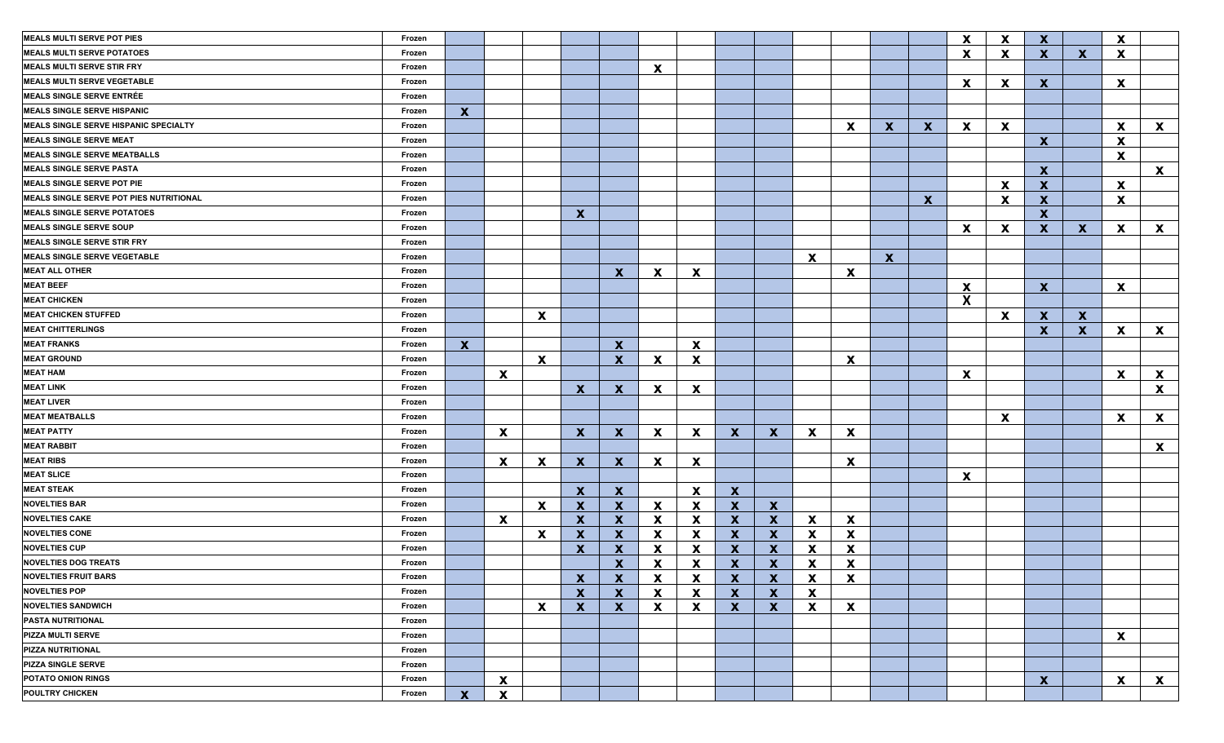| <b>MEALS MULTI SERVE POT PIES</b>            | Frozen |              |              |                           |              |                           |              |                           |              |                           |                           |                           |              |              | $\boldsymbol{\mathsf{x}}$ | $\boldsymbol{\mathsf{X}}$ | $\mathbf{x}$              |              | $\mathbf{x}$ |                           |
|----------------------------------------------|--------|--------------|--------------|---------------------------|--------------|---------------------------|--------------|---------------------------|--------------|---------------------------|---------------------------|---------------------------|--------------|--------------|---------------------------|---------------------------|---------------------------|--------------|--------------|---------------------------|
| <b>MEALS MULTI SERVE POTATOES</b>            | Frozen |              |              |                           |              |                           |              |                           |              |                           |                           |                           |              |              | X                         | $\boldsymbol{\mathsf{x}}$ | $\mathbf{x}$              | X            | X            |                           |
| <b>MEALS MULTI SERVE STIR FRY</b>            | Frozen |              |              |                           |              |                           | $\mathbf{x}$ |                           |              |                           |                           |                           |              |              |                           |                           |                           |              |              |                           |
| <b>MEALS MULTI SERVE VEGETABLE</b>           | Frozen |              |              |                           |              |                           |              |                           |              |                           |                           |                           |              |              | $\mathbf{x}$              | $\boldsymbol{\mathsf{x}}$ | $\mathbf{x}$              |              | $\mathbf{x}$ |                           |
| <b>MEALS SINGLE SERVE ENTRÉE</b>             | Frozen |              |              |                           |              |                           |              |                           |              |                           |                           |                           |              |              |                           |                           |                           |              |              |                           |
| <b>MEALS SINGLE SERVE HISPANIC</b>           | Frozen | $\mathbf{x}$ |              |                           |              |                           |              |                           |              |                           |                           |                           |              |              |                           |                           |                           |              |              |                           |
| <b>MEALS SINGLE SERVE HISPANIC SPECIALTY</b> | Frozen |              |              |                           |              |                           |              |                           |              |                           |                           | $\boldsymbol{\mathsf{x}}$ | $\mathbf{x}$ | $\mathbf{x}$ | $\mathbf{x}$              | $\boldsymbol{\mathsf{x}}$ |                           |              | X            | $\mathbf{x}$              |
| <b>MEALS SINGLE SERVE MEAT</b>               | Frozen |              |              |                           |              |                           |              |                           |              |                           |                           |                           |              |              |                           |                           | $\mathbf{x}$              |              | X            |                           |
| <b>MEALS SINGLE SERVE MEATBALLS</b>          | Frozen |              |              |                           |              |                           |              |                           |              |                           |                           |                           |              |              |                           |                           |                           |              | $\mathbf{x}$ |                           |
| <b>MEALS SINGLE SERVE PASTA</b>              | Frozen |              |              |                           |              |                           |              |                           |              |                           |                           |                           |              |              |                           |                           | $\mathbf{x}$              |              |              | $\mathbf{x}$              |
| <b>MEALS SINGLE SERVE POT PIE</b>            | Frozen |              |              |                           |              |                           |              |                           |              |                           |                           |                           |              |              |                           | $\boldsymbol{\mathsf{x}}$ | $\mathbf{x}$              |              | $\mathbf{x}$ |                           |
| MEALS SINGLE SERVE POT PIES NUTRITIONAL      | Frozen |              |              |                           |              |                           |              |                           |              |                           |                           |                           |              | $\mathbf{x}$ |                           | $\mathbf x$               | $\boldsymbol{\mathsf{x}}$ |              | X            |                           |
| <b>MEALS SINGLE SERVE POTATOES</b>           | Frozen |              |              |                           | $\mathbf{x}$ |                           |              |                           |              |                           |                           |                           |              |              |                           |                           | $\boldsymbol{\mathsf{x}}$ |              |              |                           |
| <b>MEALS SINGLE SERVE SOUP</b>               | Frozen |              |              |                           |              |                           |              |                           |              |                           |                           |                           |              |              | $\mathbf{x}$              | $\mathbf x$               | $\mathbf{x}$              | $\mathbf x$  | $\mathbf{x}$ | $\mathbf{x}$              |
| <b>MEALS SINGLE SERVE STIR FRY</b>           | Frozen |              |              |                           |              |                           |              |                           |              |                           |                           |                           |              |              |                           |                           |                           |              |              |                           |
| <b>MEALS SINGLE SERVE VEGETABLE</b>          | Frozen |              |              |                           |              |                           |              |                           |              |                           | $\mathbf{x}$              |                           | $\mathbf{x}$ |              |                           |                           |                           |              |              |                           |
| <b>MEAT ALL OTHER</b>                        | Frozen |              |              |                           |              | $\mathbf{x}$              | $\mathbf{x}$ | $\boldsymbol{\mathsf{X}}$ |              |                           |                           | $\boldsymbol{\mathsf{X}}$ |              |              |                           |                           |                           |              |              |                           |
| <b>MEAT BEEF</b>                             | Frozen |              |              |                           |              |                           |              |                           |              |                           |                           |                           |              |              | $\boldsymbol{\mathsf{x}}$ |                           | $\mathbf{x}$              |              | $\mathbf{x}$ |                           |
| <b>MEAT CHICKEN</b>                          | Frozen |              |              |                           |              |                           |              |                           |              |                           |                           |                           |              |              | X                         |                           |                           |              |              |                           |
| <b>MEAT CHICKEN STUFFED</b>                  | Frozen |              |              | $\boldsymbol{\mathsf{X}}$ |              |                           |              |                           |              |                           |                           |                           |              |              |                           | $\mathbf{x}$              | $\mathbf{x}$              | $\mathbf{x}$ |              |                           |
| <b>MEAT CHITTERLINGS</b>                     | Frozen |              |              |                           |              |                           |              |                           |              |                           |                           |                           |              |              |                           |                           | $\mathbf{x}$              | $\mathbf{x}$ | $\mathbf{x}$ | $\boldsymbol{\mathsf{x}}$ |
| <b>MEAT FRANKS</b>                           | Frozen | $\mathbf{x}$ |              |                           |              | $\mathbf x$               |              | $\boldsymbol{\mathsf{x}}$ |              |                           |                           |                           |              |              |                           |                           |                           |              |              |                           |
| <b>MEAT GROUND</b>                           | Frozen |              |              | $\mathbf{x}$              |              | $\mathbf x$               | $\mathbf{x}$ | $\boldsymbol{\mathsf{x}}$ |              |                           |                           | $\mathbf x$               |              |              |                           |                           |                           |              |              |                           |
| <b>MEAT HAM</b>                              | Frozen |              | $\mathbf{x}$ |                           |              |                           |              |                           |              |                           |                           |                           |              |              | X                         |                           |                           |              | $\mathbf{x}$ | $\boldsymbol{\mathsf{x}}$ |
| <b>MEAT LINK</b>                             | Frozen |              |              |                           | $\mathbf{x}$ | $\mathbf x$               | $\mathbf{x}$ | $\boldsymbol{\mathsf{x}}$ |              |                           |                           |                           |              |              |                           |                           |                           |              |              | $\boldsymbol{\mathsf{x}}$ |
| <b>MEAT LIVER</b>                            | Frozen |              |              |                           |              |                           |              |                           |              |                           |                           |                           |              |              |                           |                           |                           |              |              |                           |
| <b>MEAT MEATBALLS</b>                        | Frozen |              |              |                           |              |                           |              |                           |              |                           |                           |                           |              |              |                           | $\boldsymbol{\mathsf{x}}$ |                           |              | $\mathbf{x}$ | $\boldsymbol{\mathsf{x}}$ |
| <b>MEAT PATTY</b>                            | Frozen |              | X            |                           | $\mathbf{X}$ | $\mathbf x$               | $\mathbf{x}$ | $\mathbf x$               | $\mathbf{x}$ | $\mathbf x$               | $\boldsymbol{\mathsf{x}}$ | $\mathbf x$               |              |              |                           |                           |                           |              |              |                           |
| <b>MEAT RABBIT</b>                           | Frozen |              |              |                           |              |                           |              |                           |              |                           |                           |                           |              |              |                           |                           |                           |              |              | $\mathbf{x}$              |
| <b>MEAT RIBS</b>                             | Frozen |              | $\mathbf{x}$ | $\boldsymbol{\mathsf{x}}$ | $\mathbf{x}$ | $\mathbf x$               | $\mathbf{x}$ | $\boldsymbol{\mathsf{X}}$ |              |                           |                           | $\mathbf x$               |              |              |                           |                           |                           |              |              |                           |
| <b>MEAT SLICE</b>                            | Frozen |              |              |                           |              |                           |              |                           |              |                           |                           |                           |              |              | $\boldsymbol{\mathsf{x}}$ |                           |                           |              |              |                           |
| <b>MEAT STEAK</b>                            | Frozen |              |              |                           | $\mathbf{x}$ | $\mathbf{x}$              |              | $\boldsymbol{\mathsf{x}}$ | $\mathbf{x}$ |                           |                           |                           |              |              |                           |                           |                           |              |              |                           |
| <b>NOVELTIES BAR</b>                         | Frozen |              |              | $\boldsymbol{\mathsf{X}}$ | $\mathbf{x}$ | $\mathbf x$               | $\mathbf{x}$ | $\boldsymbol{\mathsf{x}}$ | $\mathbf{x}$ | $\mathbf{x}$              |                           |                           |              |              |                           |                           |                           |              |              |                           |
| <b>NOVELTIES CAKE</b>                        | Frozen |              | $\mathbf{x}$ |                           | $\mathbf{x}$ | $\mathbf x$               | X            | $\mathbf x$               | $\mathbf{x}$ | $\mathbf x$               | $\mathbf{x}$              | $\boldsymbol{\mathsf{X}}$ |              |              |                           |                           |                           |              |              |                           |
| <b>NOVELTIES CONE</b>                        | Frozen |              |              | $\boldsymbol{\mathsf{X}}$ | $\mathbf{x}$ | $\mathbf x$               | X            | $\mathbf x$               | $\mathbf{x}$ | $\mathbf x$               | $\mathbf{x}$              | X                         |              |              |                           |                           |                           |              |              |                           |
| <b>NOVELTIES CUP</b>                         | Frozen |              |              |                           | $\mathbf{x}$ | $\boldsymbol{\mathsf{x}}$ | X            | $\boldsymbol{\mathsf{x}}$ | $\mathbf{x}$ | $\mathbf x$               | $\mathbf x$               | X                         |              |              |                           |                           |                           |              |              |                           |
| <b>NOVELTIES DOG TREATS</b>                  | Frozen |              |              |                           |              | $\boldsymbol{\mathsf{x}}$ | X            | X                         | $\mathbf{x}$ | $\boldsymbol{\mathsf{X}}$ | X                         | $\boldsymbol{\mathsf{x}}$ |              |              |                           |                           |                           |              |              |                           |
| <b>NOVELTIES FRUIT BARS</b>                  | Frozen |              |              |                           | $\mathbf{x}$ | $\mathbf{x}$              | X            | X                         | $\mathbf{X}$ | $\mathbf{X}$              | $\mathbf{x}$              | $\mathbf{x}$              |              |              |                           |                           |                           |              |              |                           |
| <b>NOVELTIES POP</b>                         | Frozen |              |              |                           | $\mathbf{x}$ | $\mathbf{x}$              | $\mathbf{x}$ | X                         | $\mathbf{x}$ | $\mathbf{x}$              | $\mathbf{x}$              |                           |              |              |                           |                           |                           |              |              |                           |
| <b>NOVELTIES SANDWICH</b>                    | Frozen |              |              | $\boldsymbol{\mathsf{x}}$ | $\mathbf{x}$ | $\mathbf{x}$              | $\mathbf{x}$ | X                         | $\mathbf{x}$ | $\mathbf{x}$              | $\mathbf{x}$              | $\mathbf{x}$              |              |              |                           |                           |                           |              |              |                           |
| <b>PASTA NUTRITIONAL</b>                     | Frozen |              |              |                           |              |                           |              |                           |              |                           |                           |                           |              |              |                           |                           |                           |              |              |                           |
| <b>PIZZA MULTI SERVE</b>                     | Frozen |              |              |                           |              |                           |              |                           |              |                           |                           |                           |              |              |                           |                           |                           |              | $\mathbf{x}$ |                           |
| PIZZA NUTRITIONAL                            | Frozen |              |              |                           |              |                           |              |                           |              |                           |                           |                           |              |              |                           |                           |                           |              |              |                           |
| <b>PIZZA SINGLE SERVE</b>                    | Frozen |              |              |                           |              |                           |              |                           |              |                           |                           |                           |              |              |                           |                           |                           |              |              |                           |
| POTATO ONION RINGS                           | Frozen |              | $\mathbf{x}$ |                           |              |                           |              |                           |              |                           |                           |                           |              |              |                           |                           | $\boldsymbol{\mathsf{X}}$ |              | $\mathbf{x}$ | $\mathbf{x}$              |
| <b>POULTRY CHICKEN</b>                       | Frozen | $\mathbf{X}$ | $\mathbf{x}$ |                           |              |                           |              |                           |              |                           |                           |                           |              |              |                           |                           |                           |              |              |                           |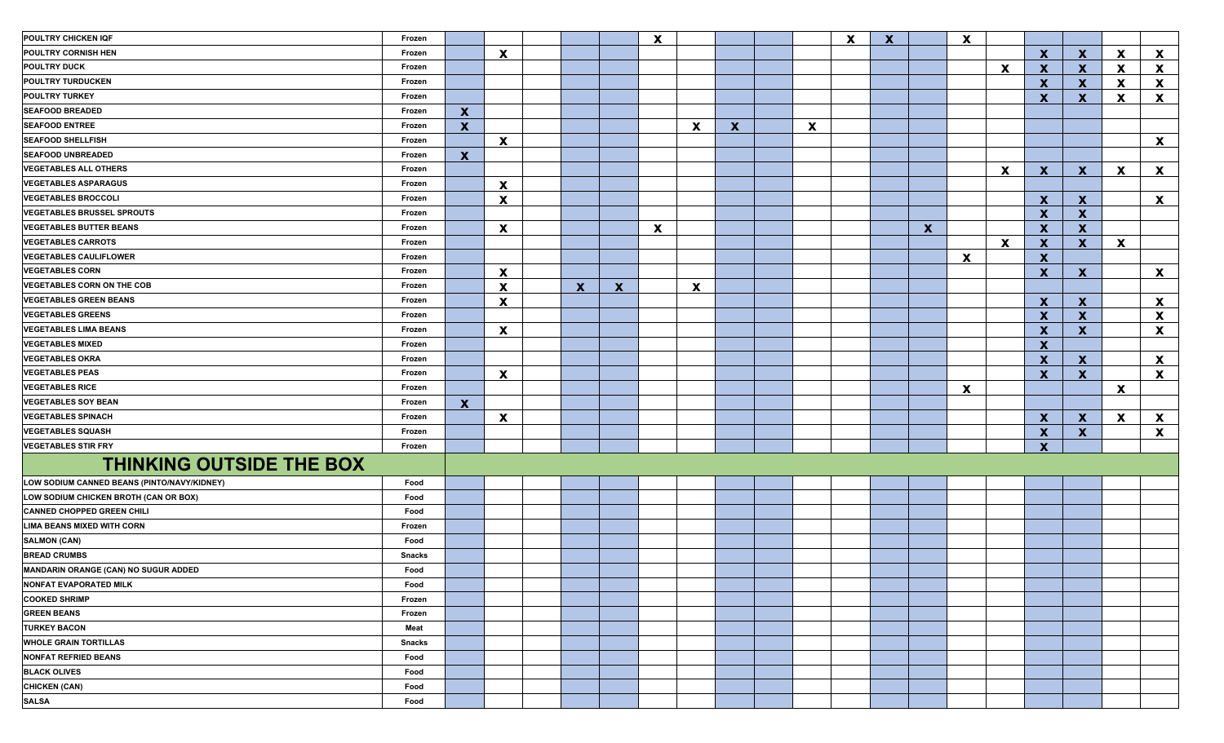| POULTRY CHICKEN IQF                         | Frozen        |                           |                           |              |              | X           |                           |                           |                           | $\boldsymbol{\mathsf{x}}$ | $\mathbf{x}$ |              | X |              |                           |                           |          |                           |
|---------------------------------------------|---------------|---------------------------|---------------------------|--------------|--------------|-------------|---------------------------|---------------------------|---------------------------|---------------------------|--------------|--------------|---|--------------|---------------------------|---------------------------|----------|---------------------------|
| POULTRY CORNISH HEN                         | Frozen        |                           | $\boldsymbol{\mathsf{x}}$ |              |              |             |                           |                           |                           |                           |              |              |   |              | X                         | $\mathbf x$               | <b>X</b> | $\mathbf{x}$              |
| <b>POULTRY DUCK</b>                         | Frozen        |                           |                           |              |              |             |                           |                           |                           |                           |              |              |   | X            | X                         | $\mathbf x$               | X        | $\mathbf{x}$              |
| <b>POULTRY TURDUCKEN</b>                    | Frozen        |                           |                           |              |              |             |                           |                           |                           |                           |              |              |   |              | $\boldsymbol{x}$          | $\mathbf x$               | <b>X</b> | $\mathbf{x}$              |
| <b>POULTRY TURKEY</b>                       | Frozen        |                           |                           |              |              |             |                           |                           |                           |                           |              |              |   |              | X                         | $\boldsymbol{\mathsf{X}}$ | X        | $\mathbf{x}$              |
| <b>SEAFOOD BREADED</b>                      | Frozen        | $\mathbf x$               |                           |              |              |             |                           |                           |                           |                           |              |              |   |              |                           |                           |          |                           |
| <b>SEAFOOD ENTREE</b>                       | Frozen        | $\boldsymbol{\mathsf{X}}$ |                           |              |              |             | $\boldsymbol{\mathsf{x}}$ | $\boldsymbol{\mathsf{X}}$ | $\boldsymbol{\mathsf{x}}$ |                           |              |              |   |              |                           |                           |          |                           |
| <b>SEAFOOD SHELLFISH</b>                    | Frozen        |                           | $\boldsymbol{\mathsf{x}}$ |              |              |             |                           |                           |                           |                           |              |              |   |              |                           |                           |          | $\mathbf{x}$              |
| <b>SEAFOOD UNBREADED</b>                    | Frozen        | $\boldsymbol{\mathsf{X}}$ |                           |              |              |             |                           |                           |                           |                           |              |              |   |              |                           |                           |          |                           |
| <b>VEGETABLES ALL OTHERS</b>                | Frozen        |                           |                           |              |              |             |                           |                           |                           |                           |              |              |   | $\mathbf x$  | $\mathbf{x}$              | $\mathbf{x}$              | <b>X</b> | $\mathbf{x}$              |
| <b>VEGETABLES ASPARAGUS</b>                 | Frozen        |                           | $\mathbf{x}$              |              |              |             |                           |                           |                           |                           |              |              |   |              |                           |                           |          |                           |
| <b>VEGETABLES BROCCOLI</b>                  | Frozen        |                           | $\mathbf{x}$              |              |              |             |                           |                           |                           |                           |              |              |   |              | $\mathbf{x}$              | $\mathbf{x}$              |          | $\mathbf{x}$              |
| <b>VEGETABLES BRUSSEL SPROUTS</b>           | Frozen        |                           |                           |              |              |             |                           |                           |                           |                           |              |              |   |              | $\mathbf{x}$              | $\boldsymbol{\mathsf{x}}$ |          |                           |
| <b>VEGETABLES BUTTER BEANS</b>              | Frozen        |                           | $\mathbf{x}$              |              |              | $\mathbf x$ |                           |                           |                           |                           |              | $\mathbf{x}$ |   |              | $\mathbf{x}$              | $\mathbf{x}$              |          |                           |
| <b>VEGETABLES CARROTS</b>                   | Frozen        |                           |                           |              |              |             |                           |                           |                           |                           |              |              |   | $\mathbf{x}$ | X                         | $\mathbf{x}$              | X        |                           |
| <b>VEGETABLES CAULIFLOWER</b>               | Frozen        |                           |                           |              |              |             |                           |                           |                           |                           |              |              | X |              | $\boldsymbol{x}$          |                           |          |                           |
| <b>VEGETABLES CORN</b>                      | Frozen        |                           | $\mathbf{x}$              |              |              |             |                           |                           |                           |                           |              |              |   |              | $\boldsymbol{x}$          | $\mathbf{x}$              |          | $\mathbf{x}$              |
| <b>VEGETABLES CORN ON THE COB</b>           | Frozen        |                           | $\boldsymbol{\mathsf{x}}$ | $\mathbf{x}$ | $\mathbf{x}$ |             | $\boldsymbol{\mathsf{x}}$ |                           |                           |                           |              |              |   |              |                           |                           |          |                           |
| <b>VEGETABLES GREEN BEANS</b>               | Frozen        |                           | $\boldsymbol{\mathsf{x}}$ |              |              |             |                           |                           |                           |                           |              |              |   |              | $\mathbf x$               | $\mathbf{x}$              |          | $\mathbf{x}$              |
| <b>VEGETABLES GREENS</b>                    | Frozen        |                           |                           |              |              |             |                           |                           |                           |                           |              |              |   |              | $\boldsymbol{\mathsf{x}}$ | $\mathbf{x}$              |          | X                         |
| <b>VEGETABLES LIMA BEANS</b>                | Frozen        |                           | $\boldsymbol{\mathsf{x}}$ |              |              |             |                           |                           |                           |                           |              |              |   |              | $\boldsymbol{\mathsf{X}}$ | $\boldsymbol{\mathsf{X}}$ |          | $\boldsymbol{\mathsf{X}}$ |
| <b>VEGETABLES MIXED</b>                     | Frozen        |                           |                           |              |              |             |                           |                           |                           |                           |              |              |   |              | $\mathbf{x}$              |                           |          |                           |
| <b>VEGETABLES OKRA</b>                      | Frozen        |                           |                           |              |              |             |                           |                           |                           |                           |              |              |   |              | $\mathbf{x}$              | $\mathbf{x}$              |          | $\mathbf{x}$              |
| <b>VEGETABLES PEAS</b>                      | Frozen        |                           | $\boldsymbol{\mathsf{x}}$ |              |              |             |                           |                           |                           |                           |              |              |   |              | $\boldsymbol{x}$          | $\boldsymbol{\mathsf{x}}$ |          | $\mathbf{x}$              |
| <b>VEGETABLES RICE</b>                      | Frozen        |                           |                           |              |              |             |                           |                           |                           |                           |              |              | X |              |                           |                           | X        |                           |
| <b>VEGETABLES SOY BEAN</b>                  | Frozen        | $\boldsymbol{\mathsf{X}}$ |                           |              |              |             |                           |                           |                           |                           |              |              |   |              |                           |                           |          |                           |
| <b>VEGETABLES SPINACH</b>                   | Frozen        |                           | $\boldsymbol{\mathsf{x}}$ |              |              |             |                           |                           |                           |                           |              |              |   |              | $\mathbf{x}$              | $\mathbf x$               | <b>X</b> | $\mathbf{x}$              |
| <b>VEGETABLES SQUASH</b>                    | Frozen        |                           |                           |              |              |             |                           |                           |                           |                           |              |              |   |              | X                         | $\boldsymbol{\mathsf{x}}$ |          | $\mathbf{x}$              |
| <b>VEGETABLES STIR FRY</b>                  | Frozen        |                           |                           |              |              |             |                           |                           |                           |                           |              |              |   |              | $\boldsymbol{x}$          |                           |          |                           |
| <b>THINKING OUTSIDE THE BOX</b>             |               |                           |                           |              |              |             |                           |                           |                           |                           |              |              |   |              |                           |                           |          |                           |
| LOW SODIUM CANNED BEANS (PINTO/NAVY/KIDNEY) | Food          |                           |                           |              |              |             |                           |                           |                           |                           |              |              |   |              |                           |                           |          |                           |
| LOW SODIUM CHICKEN BROTH (CAN OR BOX)       | Food          |                           |                           |              |              |             |                           |                           |                           |                           |              |              |   |              |                           |                           |          |                           |
| <b>CANNED CHOPPED GREEN CHILI</b>           | Food          |                           |                           |              |              |             |                           |                           |                           |                           |              |              |   |              |                           |                           |          |                           |
| <b>LIMA BEANS MIXED WITH CORN</b>           | Frozen        |                           |                           |              |              |             |                           |                           |                           |                           |              |              |   |              |                           |                           |          |                           |
| <b>SALMON (CAN)</b>                         | Food          |                           |                           |              |              |             |                           |                           |                           |                           |              |              |   |              |                           |                           |          |                           |
| <b>BREAD CRUMBS</b>                         | <b>Snacks</b> |                           |                           |              |              |             |                           |                           |                           |                           |              |              |   |              |                           |                           |          |                           |
| MANDARIN ORANGE (CAN) NO SUGUR ADDED        | Food          |                           |                           |              |              |             |                           |                           |                           |                           |              |              |   |              |                           |                           |          |                           |
| <b>NONFAT EVAPORATED MILK</b>               | Food          |                           |                           |              |              |             |                           |                           |                           |                           |              |              |   |              |                           |                           |          |                           |
| <b>COOKED SHRIMP</b>                        | Frozen        |                           |                           |              |              |             |                           |                           |                           |                           |              |              |   |              |                           |                           |          |                           |
| <b>GREEN BEANS</b>                          | Frozen        |                           |                           |              |              |             |                           |                           |                           |                           |              |              |   |              |                           |                           |          |                           |
| <b>TURKEY BACON</b>                         | Meat          |                           |                           |              |              |             |                           |                           |                           |                           |              |              |   |              |                           |                           |          |                           |
| <b>WHOLE GRAIN TORTILLAS</b>                | <b>Snacks</b> |                           |                           |              |              |             |                           |                           |                           |                           |              |              |   |              |                           |                           |          |                           |
| <b>NONFAT REFRIED BEANS</b>                 | Food          |                           |                           |              |              |             |                           |                           |                           |                           |              |              |   |              |                           |                           |          |                           |
| <b>BLACK OLIVES</b>                         | Food          |                           |                           |              |              |             |                           |                           |                           |                           |              |              |   |              |                           |                           |          |                           |
| <b>CHICKEN (CAN)</b>                        | Food          |                           |                           |              |              |             |                           |                           |                           |                           |              |              |   |              |                           |                           |          |                           |
| <b>SALSA</b>                                | Food          |                           |                           |              |              |             |                           |                           |                           |                           |              |              |   |              |                           |                           |          |                           |